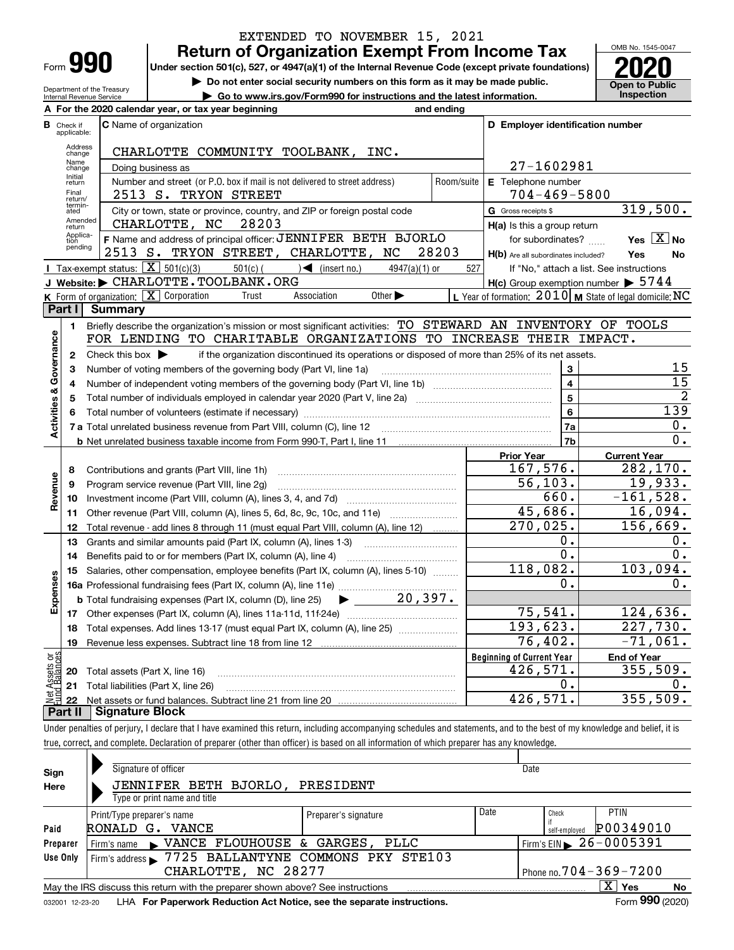| -orm |  |
|------|--|

## **Return of Organization Exempt From Income Tax** EXTENDED TO NOVEMBER 15, 2021

**Under section 501(c), 527, or 4947(a)(1) of the Internal Revenue Code (except private foundations) 2020**

**| Do not enter social security numbers on this form as it may be made public.**

**| Go to www.irs.gov/Form990 for instructions and the latest information. Inspection**



Department of the Treasury Internal Revenue Service

|                         |                                  | A For the 2020 calendar year, or tax year beginning                                                                                                                               | and ending |                                                     |                                                           |
|-------------------------|----------------------------------|-----------------------------------------------------------------------------------------------------------------------------------------------------------------------------------|------------|-----------------------------------------------------|-----------------------------------------------------------|
|                         | <b>B</b> Check if<br>applicable: | <b>C</b> Name of organization                                                                                                                                                     |            | D Employer identification number                    |                                                           |
|                         | Address<br>change                | CHARLOTTE COMMUNITY TOOLBANK,<br>INC.                                                                                                                                             |            |                                                     |                                                           |
|                         | Name<br>change                   | Doing business as                                                                                                                                                                 |            | 27-1602981                                          |                                                           |
|                         | Initial<br>return                | Number and street (or P.O. box if mail is not delivered to street address)                                                                                                        | Room/suite | <b>E</b> Telephone number                           |                                                           |
|                         | Final<br>return/                 | 2513 S. TRYON STREET                                                                                                                                                              |            | $704 - 469 - 5800$                                  |                                                           |
|                         | termin-<br>ated                  | City or town, state or province, country, and ZIP or foreign postal code                                                                                                          |            | G Gross receipts \$                                 | 319,500.                                                  |
|                         | Amended<br>return                | CHARLOTTE, NC<br>28203                                                                                                                                                            |            | $H(a)$ is this a group return                       |                                                           |
|                         | Applica-<br>tion<br>pending      | F Name and address of principal officer: JENNIFER BETH BJORLO                                                                                                                     |            | for subordinates?                                   | Yes $X$ No                                                |
|                         |                                  | 2513 S. TRYON STREET, CHARLOTTE, NC                                                                                                                                               | 28203      | H(b) Are all subordinates included?                 | <b>Yes</b><br>No                                          |
|                         |                                  | <b>I</b> Tax-exempt status: $\boxed{\textbf{X}}$ 501(c)(3)<br>$501(c)$ $\left( \begin{array}{c} \end{array} \right)$ (insert no.)<br>$4947(a)(1)$ or                              | 527        |                                                     | If "No," attach a list. See instructions                  |
|                         |                                  | J Website: CHARLOTTE. TOOLBANK.ORG                                                                                                                                                |            | $H(c)$ Group exemption number $\triangleright$ 5744 |                                                           |
|                         |                                  | K Form of organization: $X$ Corporation<br>Association<br>Other $\blacktriangleright$<br>Trust                                                                                    |            |                                                     | L Year of formation: $2010$ M State of legal domicile: NC |
|                         | Part I                           | <b>Summary</b>                                                                                                                                                                    |            |                                                     |                                                           |
|                         | 1.                               | Briefly describe the organization's mission or most significant activities: TO STEWARD AN INVENTORY OF TOOLS<br>FOR LENDING TO CHARITABLE ORGANIZATIONS TO INCREASE THEIR IMPACT. |            |                                                     |                                                           |
|                         |                                  |                                                                                                                                                                                   |            |                                                     |                                                           |
| Governance              | $\mathbf{2}$                     | Check this box $\blacktriangleright$<br>if the organization discontinued its operations or disposed of more than 25% of its net assets.                                           |            | 3                                                   | 15                                                        |
|                         | 3<br>4                           | Number of voting members of the governing body (Part VI, line 1a)                                                                                                                 |            | $\overline{\mathbf{4}}$                             | 15                                                        |
|                         | 5                                |                                                                                                                                                                                   |            | $\overline{5}$                                      | $\overline{2}$                                            |
|                         | 6                                |                                                                                                                                                                                   | 6          | 139                                                 |                                                           |
| <b>Activities &amp;</b> |                                  |                                                                                                                                                                                   |            | 7a                                                  | 0.                                                        |
|                         |                                  |                                                                                                                                                                                   |            | 7b                                                  | 0.                                                        |
|                         |                                  |                                                                                                                                                                                   |            | <b>Prior Year</b>                                   | <b>Current Year</b>                                       |
|                         | 8                                | Contributions and grants (Part VIII, line 1h)                                                                                                                                     |            | 167,576.                                            | 282, 170.                                                 |
| Revenue                 | 9                                | Program service revenue (Part VIII, line 2g)                                                                                                                                      |            | 56, 103.                                            | 19,933.                                                   |
|                         | 10                               |                                                                                                                                                                                   |            | 660.                                                | $-161,528.$                                               |
|                         | 11                               | Other revenue (Part VIII, column (A), lines 5, 6d, 8c, 9c, 10c, and 11e)                                                                                                          |            | 45,686.                                             | 16,094.                                                   |
|                         | 12                               | Total revenue - add lines 8 through 11 (must equal Part VIII, column (A), line 12)                                                                                                |            | 270,025.                                            | 156,669.                                                  |
|                         | 13                               | Grants and similar amounts paid (Part IX, column (A), lines 1-3)                                                                                                                  |            | 0.                                                  | 0.                                                        |
|                         | 14                               | Benefits paid to or for members (Part IX, column (A), line 4)                                                                                                                     |            | $\overline{0}$ .                                    | Ο.                                                        |
|                         | 15                               | Salaries, other compensation, employee benefits (Part IX, column (A), lines 5-10)                                                                                                 |            | 118,082.                                            | 103,094.                                                  |
| Expenses                |                                  |                                                                                                                                                                                   |            | Ο.                                                  | Ο.                                                        |
|                         |                                  | 20,397.<br><b>b</b> Total fundraising expenses (Part IX, column (D), line 25)<br>$\blacktriangleright$ $\_\_$                                                                     |            |                                                     |                                                           |
|                         |                                  |                                                                                                                                                                                   |            | 75, 541.                                            | 124,636.                                                  |
|                         | 18                               | Total expenses. Add lines 13-17 (must equal Part IX, column (A), line 25)                                                                                                         |            | 193,623.                                            | 227,730.                                                  |
|                         | 19                               |                                                                                                                                                                                   |            | 76,402.                                             | $-71,061.$                                                |
| កម្ព                    |                                  |                                                                                                                                                                                   |            | <b>Beginning of Current Year</b>                    | <b>End of Year</b>                                        |
| Assets<br>1 Balanc      | 20                               | Total assets (Part X, line 16)                                                                                                                                                    |            | 426,571.                                            | 355,509.                                                  |
| jari<br>I               | 21                               | Total liabilities (Part X, line 26)                                                                                                                                               |            | 0.                                                  | 0.                                                        |
|                         | 22<br>Part II                    | <b>Signature Block</b>                                                                                                                                                            |            | 426,571.                                            | 355,509.                                                  |
|                         |                                  |                                                                                                                                                                                   |            |                                                     |                                                           |

Under penalties of perjury, I declare that I have examined this return, including accompanying schedules and statements, and to the best of my knowledge and belief, it is true, correct, and complete. Declaration of preparer (other than officer) is based on all information of which preparer has any knowledge.

| Sign            | Signature of officer                                                                                      |                      |      | Date                                   |                 |  |  |  |  |
|-----------------|-----------------------------------------------------------------------------------------------------------|----------------------|------|----------------------------------------|-----------------|--|--|--|--|
| Here            | JENNIFER BETH BJORLO, PRESIDENT                                                                           |                      |      |                                        |                 |  |  |  |  |
|                 | Type or print name and title                                                                              |                      |      |                                        |                 |  |  |  |  |
|                 | Print/Type preparer's name                                                                                | Preparer's signature | Date | Check                                  | <b>PTIN</b>     |  |  |  |  |
| Paid            | RONALD G.<br>VANCE                                                                                        |                      |      | self-emploved                          | P00349010       |  |  |  |  |
| Preparer        | Firm's name NANCE FLOUHOUSE & GARGES, PLLC                                                                |                      |      | Firm's EIN $\triangleright$ 26-0005391 |                 |  |  |  |  |
| Use Only        | Firm's address > 7725 BALLANTYNE COMMONS PKY STE103                                                       |                      |      |                                        |                 |  |  |  |  |
|                 | CHARLOTTE, NC 28277                                                                                       |                      |      | Phone no. $704 - 369 - 7200$           |                 |  |  |  |  |
|                 | ΧI<br>Yes<br><b>No</b><br>May the IRS discuss this return with the preparer shown above? See instructions |                      |      |                                        |                 |  |  |  |  |
| 032001 12-23-20 | LHA For Paperwork Reduction Act Notice, see the separate instructions.                                    |                      |      |                                        | Form 990 (2020) |  |  |  |  |
|                 |                                                                                                           |                      |      |                                        |                 |  |  |  |  |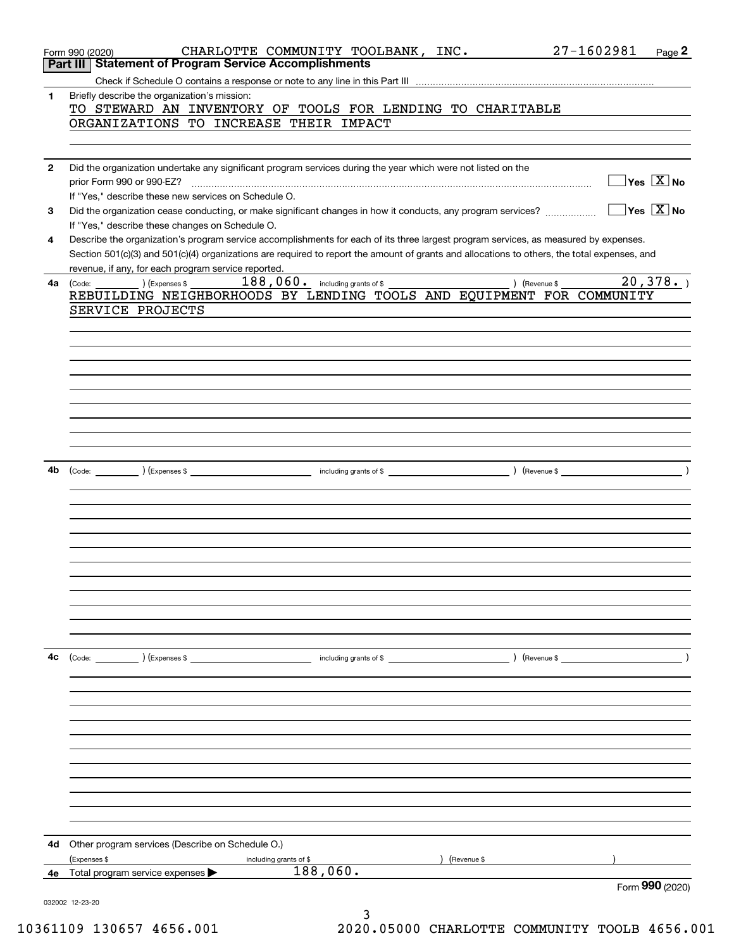|              | CHARLOTTE COMMUNITY TOOLBANK, INC. 27-1602981<br>Form 990 (2020)<br><b>Part III Statement of Program Service Accomplishments</b>             | Page 2                                               |
|--------------|----------------------------------------------------------------------------------------------------------------------------------------------|------------------------------------------------------|
|              |                                                                                                                                              |                                                      |
|              |                                                                                                                                              |                                                      |
| $\mathbf{1}$ | Briefly describe the organization's mission:                                                                                                 |                                                      |
|              | TO STEWARD AN INVENTORY OF TOOLS FOR LENDING TO CHARITABLE<br>ORGANIZATIONS TO INCREASE THEIR IMPACT                                         |                                                      |
|              |                                                                                                                                              |                                                      |
|              |                                                                                                                                              |                                                      |
| $\mathbf{2}$ | Did the organization undertake any significant program services during the year which were not listed on the                                 |                                                      |
|              | prior Form 990 or 990-EZ?                                                                                                                    | $\Box$ Yes $[\overline{\mathrm{X}}]$ No              |
|              | If "Yes," describe these new services on Schedule O.                                                                                         |                                                      |
| 3            | Did the organization cease conducting, or make significant changes in how it conducts, any program services?                                 | $\overline{\mathsf{Yes}}$ $\overline{\mathsf{X}}$ No |
|              | If "Yes," describe these changes on Schedule O.                                                                                              |                                                      |
| 4            | Describe the organization's program service accomplishments for each of its three largest program services, as measured by expenses.         |                                                      |
|              | Section 501(c)(3) and 501(c)(4) organizations are required to report the amount of grants and allocations to others, the total expenses, and |                                                      |
|              | revenue, if any, for each program service reported.                                                                                          |                                                      |
| 4a           | $\begin{pmatrix} \text{Code:} & \text{I} & \text{I} \end{pmatrix}$ $\begin{pmatrix} \text{Expenses $} \end{pmatrix}$<br>) (Revenue \$        | 20,378.                                              |
|              | REBUILDING NEIGHBORHOODS BY LENDING TOOLS AND EQUIPMENT FOR COMMUNITY                                                                        |                                                      |
|              | SERVICE PROJECTS                                                                                                                             |                                                      |
|              |                                                                                                                                              |                                                      |
|              |                                                                                                                                              |                                                      |
|              |                                                                                                                                              |                                                      |
|              |                                                                                                                                              |                                                      |
|              |                                                                                                                                              |                                                      |
|              |                                                                                                                                              |                                                      |
|              |                                                                                                                                              |                                                      |
|              |                                                                                                                                              |                                                      |
|              |                                                                                                                                              |                                                      |
|              |                                                                                                                                              |                                                      |
| 4b           | $\left(\text{Code:}\ \_\_\_\_\_\_\\right)$ (Expenses \$ $\_\_\_\_\_\_\_\_\_\_\_\$                                                            | $\lambda$                                            |
|              |                                                                                                                                              |                                                      |
|              |                                                                                                                                              |                                                      |
|              |                                                                                                                                              |                                                      |
|              |                                                                                                                                              |                                                      |
|              |                                                                                                                                              |                                                      |
|              |                                                                                                                                              |                                                      |
|              |                                                                                                                                              |                                                      |
|              |                                                                                                                                              |                                                      |
|              |                                                                                                                                              |                                                      |
|              |                                                                                                                                              |                                                      |
|              |                                                                                                                                              |                                                      |
| 4с           |                                                                                                                                              |                                                      |
|              |                                                                                                                                              |                                                      |
|              |                                                                                                                                              |                                                      |
|              |                                                                                                                                              |                                                      |
|              |                                                                                                                                              |                                                      |
|              |                                                                                                                                              |                                                      |
|              |                                                                                                                                              |                                                      |
|              |                                                                                                                                              |                                                      |
|              |                                                                                                                                              |                                                      |
|              |                                                                                                                                              |                                                      |
|              |                                                                                                                                              |                                                      |
|              |                                                                                                                                              |                                                      |
|              |                                                                                                                                              |                                                      |
| 4d           | Other program services (Describe on Schedule O.)                                                                                             |                                                      |
|              | (Expenses \$<br>Revenue \$<br>including grants of \$                                                                                         |                                                      |
| 4е           | 188,060.<br>Total program service expenses                                                                                                   |                                                      |
|              |                                                                                                                                              | Form 990 (2020)                                      |
|              | 032002 12-23-20                                                                                                                              |                                                      |
|              | 3                                                                                                                                            |                                                      |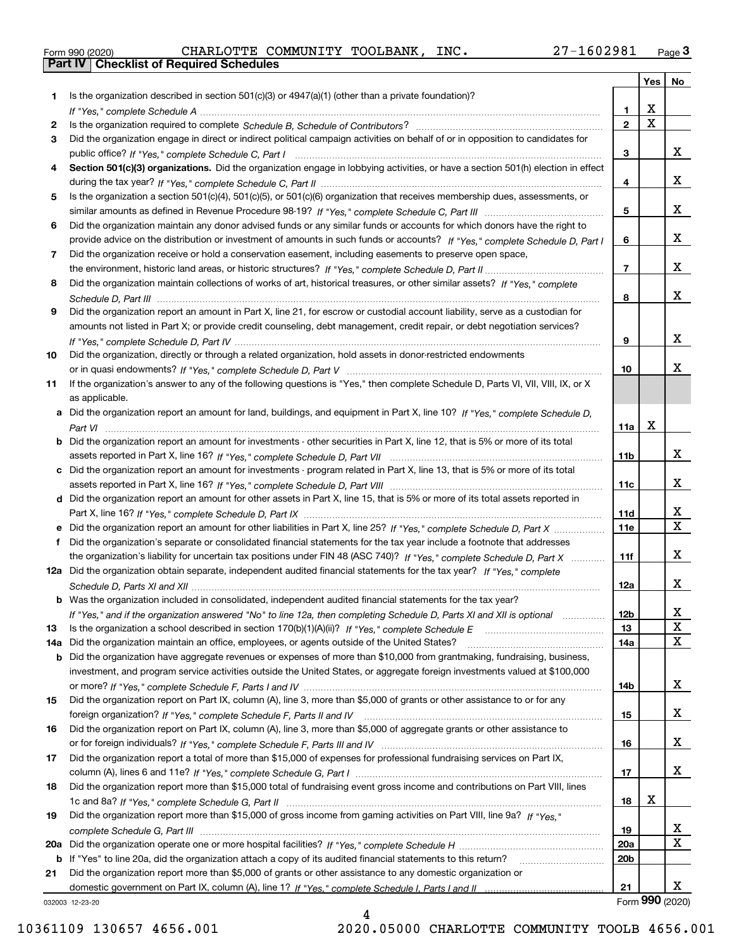|  | Form 990 (2020) |
|--|-----------------|

Form 990 (2020) CHARLOTTE COMMUNITY TOOLBANK,INC**.** 27-160 29 81 <sub>Page</sub> 3<br>**Part IV | Checklist of Required Schedules** 

|     |                                                                                                                                  |                 | Yes                     | No              |
|-----|----------------------------------------------------------------------------------------------------------------------------------|-----------------|-------------------------|-----------------|
| 1.  | Is the organization described in section $501(c)(3)$ or $4947(a)(1)$ (other than a private foundation)?                          |                 |                         |                 |
|     |                                                                                                                                  | 1.              | X                       |                 |
| 2   |                                                                                                                                  | $\overline{2}$  | $\overline{\mathbf{x}}$ |                 |
| 3   | Did the organization engage in direct or indirect political campaign activities on behalf of or in opposition to candidates for  |                 |                         |                 |
|     |                                                                                                                                  | 3               |                         | x               |
| 4   | Section 501(c)(3) organizations. Did the organization engage in lobbying activities, or have a section 501(h) election in effect |                 |                         |                 |
|     |                                                                                                                                  | 4               |                         | x               |
| 5   | Is the organization a section 501(c)(4), 501(c)(5), or 501(c)(6) organization that receives membership dues, assessments, or     |                 |                         |                 |
|     |                                                                                                                                  | 5               |                         | X.              |
| 6   | Did the organization maintain any donor advised funds or any similar funds or accounts for which donors have the right to        |                 |                         |                 |
|     | provide advice on the distribution or investment of amounts in such funds or accounts? If "Yes," complete Schedule D, Part I     | 6               |                         | x               |
| 7   | Did the organization receive or hold a conservation easement, including easements to preserve open space,                        |                 |                         |                 |
|     |                                                                                                                                  | $\overline{7}$  |                         | x               |
| 8   | Did the organization maintain collections of works of art, historical treasures, or other similar assets? If "Yes," complete     |                 |                         |                 |
|     |                                                                                                                                  | 8               |                         | X.              |
| 9   | Did the organization report an amount in Part X, line 21, for escrow or custodial account liability, serve as a custodian for    |                 |                         |                 |
|     | amounts not listed in Part X; or provide credit counseling, debt management, credit repair, or debt negotiation services?        |                 |                         |                 |
|     |                                                                                                                                  | 9               |                         | X.              |
| 10  | Did the organization, directly or through a related organization, hold assets in donor-restricted endowments                     |                 |                         |                 |
|     |                                                                                                                                  | 10              |                         | x.              |
| 11  | If the organization's answer to any of the following questions is "Yes," then complete Schedule D, Parts VI, VII, VIII, IX, or X |                 |                         |                 |
|     | as applicable.                                                                                                                   |                 |                         |                 |
|     | a Did the organization report an amount for land, buildings, and equipment in Part X, line 10? If "Yes," complete Schedule D,    |                 |                         |                 |
|     |                                                                                                                                  | 11a             | Х                       |                 |
|     | b Did the organization report an amount for investments - other securities in Part X, line 12, that is 5% or more of its total   |                 |                         |                 |
|     |                                                                                                                                  | 11b             |                         | X.              |
|     | c Did the organization report an amount for investments - program related in Part X, line 13, that is 5% or more of its total    |                 |                         |                 |
|     |                                                                                                                                  | 11c             |                         | X.              |
|     | d Did the organization report an amount for other assets in Part X, line 15, that is 5% or more of its total assets reported in  |                 |                         |                 |
|     |                                                                                                                                  | 11d             |                         | x               |
|     | e Did the organization report an amount for other liabilities in Part X, line 25? If "Yes," complete Schedule D, Part X          | 11e             |                         | $\mathbf X$     |
| f   | Did the organization's separate or consolidated financial statements for the tax year include a footnote that addresses          |                 |                         |                 |
|     | the organization's liability for uncertain tax positions under FIN 48 (ASC 740)? If "Yes," complete Schedule D, Part X           | 11f             |                         | X.              |
|     | 12a Did the organization obtain separate, independent audited financial statements for the tax year? If "Yes," complete          |                 |                         |                 |
|     |                                                                                                                                  | 12a             |                         | X.              |
|     | b Was the organization included in consolidated, independent audited financial statements for the tax year?                      |                 |                         |                 |
|     | If "Yes," and if the organization answered "No" to line 12a, then completing Schedule D, Parts XI and XII is optional manum      | 12b             |                         | X               |
| 13  |                                                                                                                                  | 13              |                         | X<br>х          |
| 14a | Did the organization maintain an office, employees, or agents outside of the United States?                                      | 14a             |                         |                 |
| b   | Did the organization have aggregate revenues or expenses of more than \$10,000 from grantmaking, fundraising, business,          |                 |                         |                 |
|     | investment, and program service activities outside the United States, or aggregate foreign investments valued at \$100,000       |                 |                         | X.              |
| 15  | Did the organization report on Part IX, column (A), line 3, more than \$5,000 of grants or other assistance to or for any        | 14b             |                         |                 |
|     |                                                                                                                                  | 15              |                         | X.              |
| 16  | Did the organization report on Part IX, column (A), line 3, more than \$5,000 of aggregate grants or other assistance to         |                 |                         |                 |
|     |                                                                                                                                  | 16              |                         | X.              |
| 17  | Did the organization report a total of more than \$15,000 of expenses for professional fundraising services on Part IX,          |                 |                         |                 |
|     |                                                                                                                                  | 17              |                         | x               |
| 18  | Did the organization report more than \$15,000 total of fundraising event gross income and contributions on Part VIII, lines     |                 |                         |                 |
|     |                                                                                                                                  | 18              | х                       |                 |
| 19  | Did the organization report more than \$15,000 of gross income from gaming activities on Part VIII, line 9a? If "Yes."           |                 |                         |                 |
|     |                                                                                                                                  | 19              |                         | X.              |
|     |                                                                                                                                  | 20a             |                         | х               |
|     | b If "Yes" to line 20a, did the organization attach a copy of its audited financial statements to this return?                   | 20 <sub>b</sub> |                         |                 |
| 21  | Did the organization report more than \$5,000 of grants or other assistance to any domestic organization or                      |                 |                         |                 |
|     |                                                                                                                                  | 21              |                         | X.              |
|     | 032003 12-23-20                                                                                                                  |                 |                         | Form 990 (2020) |
|     |                                                                                                                                  |                 |                         |                 |

032003 12-23-20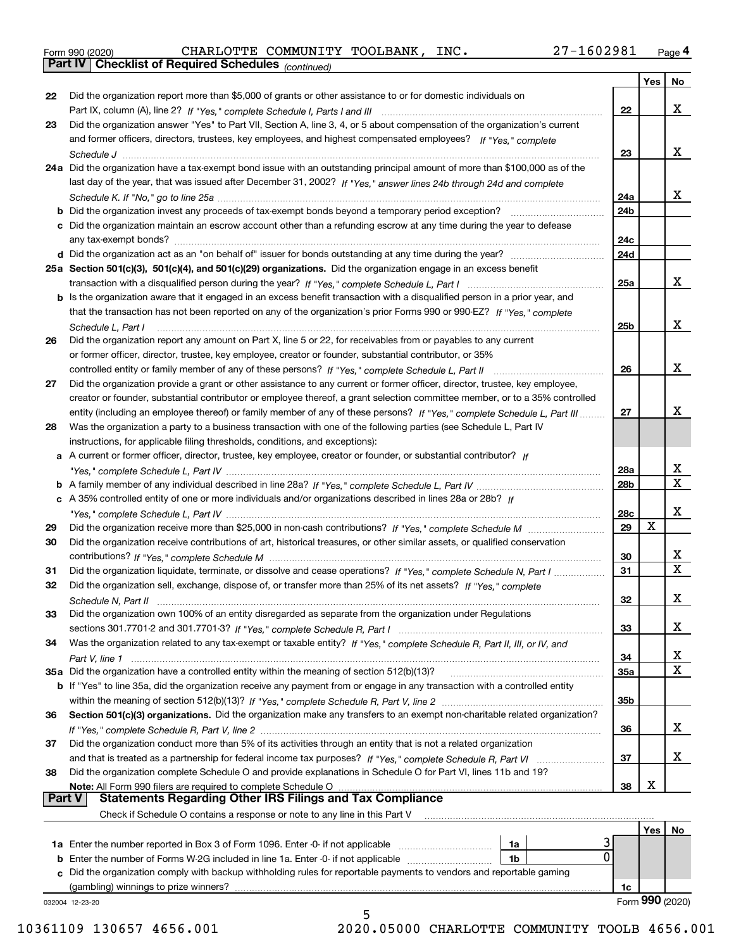|  | Form 990 (2020) |
|--|-----------------|
|  |                 |

Form 990 (2020) CHARLOTTE COMMUNITY TOOLBANK,INC**.** 27-160 29 81 <sub>Page</sub> 4<br>**Part IV | Checklist of Required Schedules** <sub>(continued)</sub>

*(continued)*

|               |                                                                                                                                                                                                                                                         |                 | Yes | No                      |
|---------------|---------------------------------------------------------------------------------------------------------------------------------------------------------------------------------------------------------------------------------------------------------|-----------------|-----|-------------------------|
| 22            | Did the organization report more than \$5,000 of grants or other assistance to or for domestic individuals on                                                                                                                                           |                 |     |                         |
|               |                                                                                                                                                                                                                                                         | 22              |     | x                       |
| 23            | Did the organization answer "Yes" to Part VII, Section A, line 3, 4, or 5 about compensation of the organization's current                                                                                                                              |                 |     |                         |
|               | and former officers, directors, trustees, key employees, and highest compensated employees? If "Yes," complete                                                                                                                                          |                 |     |                         |
|               |                                                                                                                                                                                                                                                         | 23              |     | x                       |
|               | 24a Did the organization have a tax-exempt bond issue with an outstanding principal amount of more than \$100,000 as of the                                                                                                                             |                 |     |                         |
|               | last day of the year, that was issued after December 31, 2002? If "Yes," answer lines 24b through 24d and complete                                                                                                                                      |                 |     |                         |
|               |                                                                                                                                                                                                                                                         | 24a             |     | x                       |
|               | <b>b</b> Did the organization invest any proceeds of tax-exempt bonds beyond a temporary period exception?                                                                                                                                              | 24b             |     |                         |
|               | c Did the organization maintain an escrow account other than a refunding escrow at any time during the year to defease                                                                                                                                  |                 |     |                         |
|               |                                                                                                                                                                                                                                                         | 24c             |     |                         |
|               |                                                                                                                                                                                                                                                         | 24d             |     |                         |
|               | 25a Section 501(c)(3), 501(c)(4), and 501(c)(29) organizations. Did the organization engage in an excess benefit                                                                                                                                        |                 |     |                         |
|               |                                                                                                                                                                                                                                                         | 25a             |     | x                       |
|               | b Is the organization aware that it engaged in an excess benefit transaction with a disqualified person in a prior year, and                                                                                                                            |                 |     |                         |
|               | that the transaction has not been reported on any of the organization's prior Forms 990 or 990-EZ? If "Yes," complete                                                                                                                                   |                 |     |                         |
|               | Schedule L, Part I                                                                                                                                                                                                                                      | 25 <sub>b</sub> |     | х                       |
| 26            | Did the organization report any amount on Part X, line 5 or 22, for receivables from or payables to any current                                                                                                                                         |                 |     |                         |
|               | or former officer, director, trustee, key employee, creator or founder, substantial contributor, or 35%                                                                                                                                                 |                 |     | x                       |
|               | controlled entity or family member of any of these persons? If "Yes," complete Schedule L, Part II                                                                                                                                                      | 26              |     |                         |
| 27            | Did the organization provide a grant or other assistance to any current or former officer, director, trustee, key employee,                                                                                                                             |                 |     |                         |
|               | creator or founder, substantial contributor or employee thereof, a grant selection committee member, or to a 35% controlled<br>entity (including an employee thereof) or family member of any of these persons? If "Yes," complete Schedule L, Part III | 27              |     | x                       |
| 28            | Was the organization a party to a business transaction with one of the following parties (see Schedule L, Part IV                                                                                                                                       |                 |     |                         |
|               | instructions, for applicable filing thresholds, conditions, and exceptions):                                                                                                                                                                            |                 |     |                         |
|               | a A current or former officer, director, trustee, key employee, creator or founder, or substantial contributor? If                                                                                                                                      |                 |     |                         |
|               |                                                                                                                                                                                                                                                         | 28a             |     | x                       |
|               |                                                                                                                                                                                                                                                         | 28 <sub>b</sub> |     | $\overline{\mathbf{x}}$ |
|               | c A 35% controlled entity of one or more individuals and/or organizations described in lines 28a or 28b? If                                                                                                                                             |                 |     |                         |
|               |                                                                                                                                                                                                                                                         | 28c             |     | x                       |
| 29            |                                                                                                                                                                                                                                                         | 29              | X   |                         |
| 30            | Did the organization receive contributions of art, historical treasures, or other similar assets, or qualified conservation                                                                                                                             |                 |     |                         |
|               |                                                                                                                                                                                                                                                         | 30              |     | X                       |
| 31            | Did the organization liquidate, terminate, or dissolve and cease operations? If "Yes," complete Schedule N, Part I                                                                                                                                      | 31              |     | $\overline{\mathbf{x}}$ |
| 32            | Did the organization sell, exchange, dispose of, or transfer more than 25% of its net assets? If "Yes," complete                                                                                                                                        |                 |     |                         |
|               |                                                                                                                                                                                                                                                         | 32              |     | х                       |
| 33            | Did the organization own 100% of an entity disregarded as separate from the organization under Regulations                                                                                                                                              |                 |     |                         |
|               |                                                                                                                                                                                                                                                         | 33              |     | x                       |
| 34            | Was the organization related to any tax-exempt or taxable entity? If "Yes," complete Schedule R, Part II, III, or IV, and                                                                                                                               |                 |     |                         |
|               |                                                                                                                                                                                                                                                         | 34              |     | x                       |
|               | 35a Did the organization have a controlled entity within the meaning of section 512(b)(13)?                                                                                                                                                             | 35a             |     | $\mathbf X$             |
|               | b If "Yes" to line 35a, did the organization receive any payment from or engage in any transaction with a controlled entity                                                                                                                             |                 |     |                         |
|               |                                                                                                                                                                                                                                                         | 35b             |     |                         |
| 36            | Section 501(c)(3) organizations. Did the organization make any transfers to an exempt non-charitable related organization?                                                                                                                              |                 |     |                         |
|               |                                                                                                                                                                                                                                                         | 36              |     | x                       |
| 37            | Did the organization conduct more than 5% of its activities through an entity that is not a related organization                                                                                                                                        |                 |     |                         |
|               |                                                                                                                                                                                                                                                         | 37              |     | x                       |
| 38            | Did the organization complete Schedule O and provide explanations in Schedule O for Part VI, lines 11b and 19?                                                                                                                                          |                 |     |                         |
| <b>Part V</b> | Note: All Form 990 filers are required to complete Schedule O<br><b>Statements Regarding Other IRS Filings and Tax Compliance</b>                                                                                                                       | 38              | х   |                         |
|               | Check if Schedule O contains a response or note to any line in this Part V                                                                                                                                                                              |                 |     |                         |
|               |                                                                                                                                                                                                                                                         |                 |     |                         |
|               | 3<br>1a                                                                                                                                                                                                                                                 |                 | Yes | No                      |
| b             | 0<br>Enter the number of Forms W-2G included in line 1a. Enter -0- if not applicable<br>1b                                                                                                                                                              |                 |     |                         |
| c             | Did the organization comply with backup withholding rules for reportable payments to vendors and reportable gaming                                                                                                                                      |                 |     |                         |
|               | (gambling) winnings to prize winners?                                                                                                                                                                                                                   | 1c              |     |                         |
|               | 032004 12-23-20                                                                                                                                                                                                                                         |                 |     | Form 990 (2020)         |
|               | г,                                                                                                                                                                                                                                                      |                 |     |                         |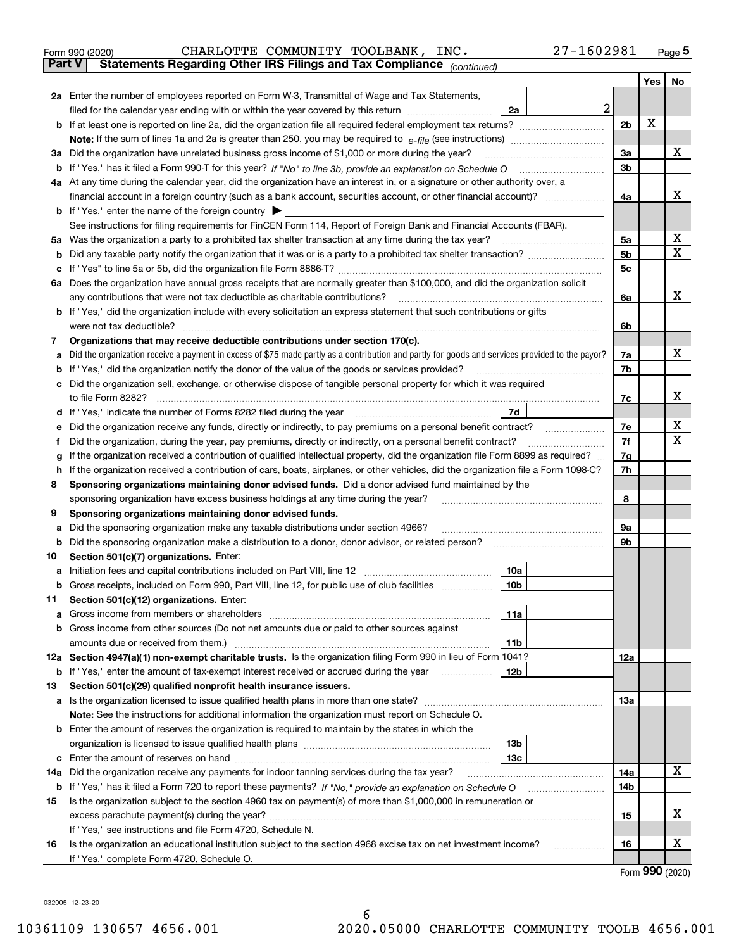|               | 27-1602981<br>CHARLOTTE COMMUNITY TOOLBANK, INC.<br>Form 990 (2020)                                                                                                                                   |                |       | Page $5$ |
|---------------|-------------------------------------------------------------------------------------------------------------------------------------------------------------------------------------------------------|----------------|-------|----------|
| <b>Part V</b> | Statements Regarding Other IRS Filings and Tax Compliance (continued)                                                                                                                                 |                |       |          |
|               |                                                                                                                                                                                                       |                | Yes I | No       |
|               | 2a Enter the number of employees reported on Form W-3, Transmittal of Wage and Tax Statements,                                                                                                        |                |       |          |
|               | $\overline{a}$<br>filed for the calendar year ending with or within the year covered by this return [11] [11] filed for the calendar year ending with or within the year covered by this return<br>2a |                |       |          |
|               |                                                                                                                                                                                                       | 2 <sub>b</sub> | X     |          |
|               |                                                                                                                                                                                                       |                |       |          |
|               | 3a Did the organization have unrelated business gross income of \$1,000 or more during the year?                                                                                                      | 3a             |       | х        |
|               |                                                                                                                                                                                                       | 3 <sub>b</sub> |       |          |
|               | 4a At any time during the calendar year, did the organization have an interest in, or a signature or other authority over, a                                                                          |                |       |          |
|               | financial account in a foreign country (such as a bank account, securities account, or other financial account)?                                                                                      | 4a             |       | х        |
|               | <b>b</b> If "Yes," enter the name of the foreign country $\triangleright$                                                                                                                             |                |       |          |
|               | See instructions for filing requirements for FinCEN Form 114, Report of Foreign Bank and Financial Accounts (FBAR).                                                                                   |                |       |          |
| 5а            | Was the organization a party to a prohibited tax shelter transaction at any time during the tax year?                                                                                                 | 5a             |       | х        |
| b             |                                                                                                                                                                                                       | 5 <sub>b</sub> |       | x        |
| с             |                                                                                                                                                                                                       | 5c             |       |          |
|               | 6a Does the organization have annual gross receipts that are normally greater than \$100,000, and did the organization solicit                                                                        |                |       |          |
|               | any contributions that were not tax deductible as charitable contributions?                                                                                                                           | 6a             |       | х        |
|               | b If "Yes," did the organization include with every solicitation an express statement that such contributions or gifts                                                                                |                |       |          |
|               | were not tax deductible?                                                                                                                                                                              | 6b             |       |          |
| 7             | Organizations that may receive deductible contributions under section 170(c).                                                                                                                         |                |       |          |
| а             | Did the organization receive a payment in excess of \$75 made partly as a contribution and partly for goods and services provided to the payor?                                                       | 7a             |       | х        |
| b             | If "Yes," did the organization notify the donor of the value of the goods or services provided?                                                                                                       | 7b             |       |          |
| с             | Did the organization sell, exchange, or otherwise dispose of tangible personal property for which it was required                                                                                     |                |       |          |
|               | to file Form 8282?                                                                                                                                                                                    | 7c             |       | х        |
|               | 7d<br>d If "Yes," indicate the number of Forms 8282 filed during the year                                                                                                                             |                |       |          |
| е             | Did the organization receive any funds, directly or indirectly, to pay premiums on a personal benefit contract?                                                                                       | 7e             |       | x        |
| f             | Did the organization, during the year, pay premiums, directly or indirectly, on a personal benefit contract?                                                                                          | 7f             |       | Х        |
| g             | If the organization received a contribution of qualified intellectual property, did the organization file Form 8899 as required?                                                                      | 7g             |       |          |
| h.            | If the organization received a contribution of cars, boats, airplanes, or other vehicles, did the organization file a Form 1098-C?                                                                    | 7h             |       |          |
| 8             | Sponsoring organizations maintaining donor advised funds. Did a donor advised fund maintained by the                                                                                                  |                |       |          |
|               | sponsoring organization have excess business holdings at any time during the year?                                                                                                                    | 8              |       |          |
| 9             | Sponsoring organizations maintaining donor advised funds.                                                                                                                                             |                |       |          |
| а             | Did the sponsoring organization make any taxable distributions under section 4966?                                                                                                                    | 9а             |       |          |
| b             | Did the sponsoring organization make a distribution to a donor, donor advisor, or related person?                                                                                                     | 9b             |       |          |
| 10            | Section 501(c)(7) organizations. Enter:                                                                                                                                                               |                |       |          |
| а             | 10a                                                                                                                                                                                                   |                |       |          |
| b             | Gross receipts, included on Form 990, Part VIII, line 12, for public use of club facilities<br>10b                                                                                                    |                |       |          |
| 11            | Section 501(c)(12) organizations. Enter:                                                                                                                                                              |                |       |          |
| a             | 11a                                                                                                                                                                                                   |                |       |          |
|               | Gross income from other sources (Do not net amounts due or paid to other sources against                                                                                                              |                |       |          |
| b             |                                                                                                                                                                                                       |                |       |          |
|               | 11b<br>12a Section 4947(a)(1) non-exempt charitable trusts. Is the organization filing Form 990 in lieu of Form 1041?                                                                                 |                |       |          |
|               |                                                                                                                                                                                                       | 12a            |       |          |
|               | 12b<br><b>b</b> If "Yes," enter the amount of tax-exempt interest received or accrued during the year <i>manument</i> of                                                                              |                |       |          |
| 13            | Section 501(c)(29) qualified nonprofit health insurance issuers.                                                                                                                                      |                |       |          |
| а             | Is the organization licensed to issue qualified health plans in more than one state?                                                                                                                  | 13a            |       |          |
|               | Note: See the instructions for additional information the organization must report on Schedule O.                                                                                                     |                |       |          |
| b             | Enter the amount of reserves the organization is required to maintain by the states in which the                                                                                                      |                |       |          |
|               | 13b                                                                                                                                                                                                   |                |       |          |
| с             | 13с                                                                                                                                                                                                   |                |       |          |
| 14a           | Did the organization receive any payments for indoor tanning services during the tax year?                                                                                                            | 14a            |       | х        |
|               |                                                                                                                                                                                                       | 14b            |       |          |
| 15            | Is the organization subject to the section 4960 tax on payment(s) of more than \$1,000,000 in remuneration or                                                                                         |                |       |          |

**1616** If "Yes," see instructions and file Form 4720, Schedule N. Is the organization an educational institution subject to the section 4968 excise tax on net investment income? If "Yes," complete Form 4720, Schedule O.

excess parachute payment(s) during the year? ……………………………………………………………………………………………

Form (2020) **990**

X

X

**15**

032005 12-23-20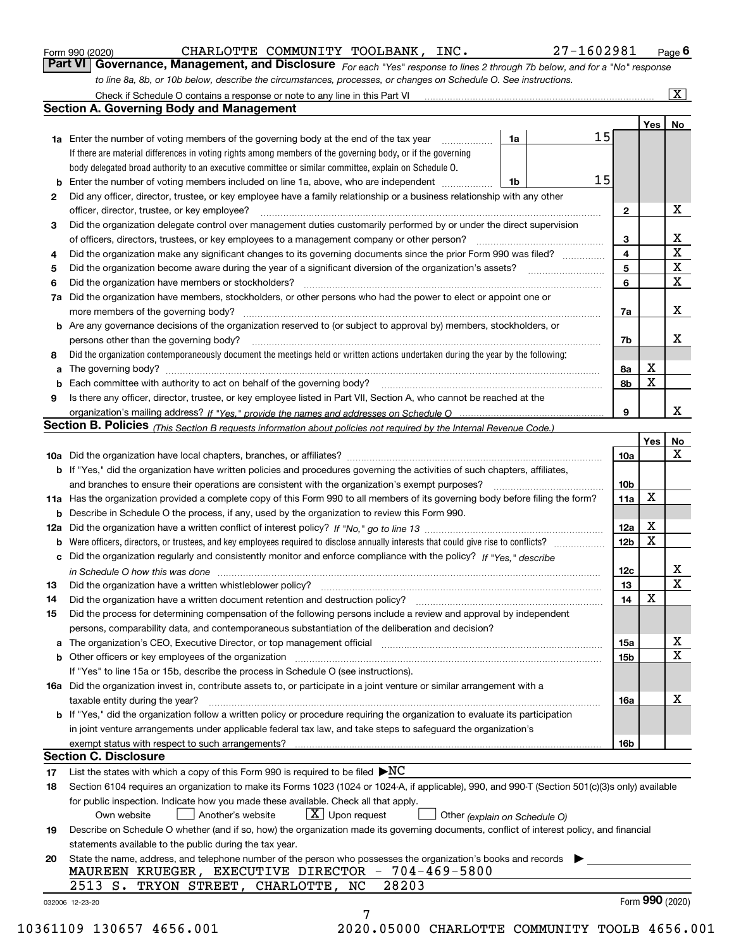|  | Form 990 (2020) |  |
|--|-----------------|--|
|  |                 |  |

CHARLOTTE COMMUNITY TOOLBANK, INC. 27-1602981

*For each "Yes" response to lines 2 through 7b below, and for a "No" response to line 8a, 8b, or 10b below, describe the circumstances, processes, or changes on Schedule O. See instructions.* Form 990 (2020) **CHARLOTTE COMMUNITY TOOLBANK, INC.** 27 – 160 2981 <sub>Page</sub> 6<br>**Part VI Governance, Management, and Disclosure** *For each "Yes" response to lines 2 through 7b below, and for a "No" response* 

|     | Check if Schedule O contains a response or note to any line in this Part VI                                                                                                                                             |    |  |                 |        | $\overline{\mathbf{X}}$ |  |  |
|-----|-------------------------------------------------------------------------------------------------------------------------------------------------------------------------------------------------------------------------|----|--|-----------------|--------|-------------------------|--|--|
|     | <b>Section A. Governing Body and Management</b>                                                                                                                                                                         |    |  |                 |        |                         |  |  |
|     |                                                                                                                                                                                                                         |    |  |                 | Yes    | No                      |  |  |
|     | <b>1a</b> Enter the number of voting members of the governing body at the end of the tax year<br>.                                                                                                                      | 1a |  | 15              |        |                         |  |  |
|     | If there are material differences in voting rights among members of the governing body, or if the governing                                                                                                             |    |  |                 |        |                         |  |  |
|     | body delegated broad authority to an executive committee or similar committee, explain on Schedule O.                                                                                                                   |    |  |                 |        |                         |  |  |
|     | Enter the number of voting members included on line 1a, above, who are independent                                                                                                                                      | 1b |  | 15              |        |                         |  |  |
| 2   | Did any officer, director, trustee, or key employee have a family relationship or a business relationship with any other                                                                                                |    |  |                 |        |                         |  |  |
|     | officer, director, trustee, or key employee?                                                                                                                                                                            |    |  | $\mathbf{2}$    |        | х                       |  |  |
| 3   | Did the organization delegate control over management duties customarily performed by or under the direct supervision                                                                                                   |    |  |                 |        |                         |  |  |
|     | of officers, directors, trustees, or key employees to a management company or other person?                                                                                                                             |    |  | З               |        | х                       |  |  |
| 4   | Did the organization make any significant changes to its governing documents since the prior Form 990 was filed?                                                                                                        |    |  | 4               |        | X                       |  |  |
| 5   | Did the organization become aware during the year of a significant diversion of the organization's assets?                                                                                                              |    |  | 5               |        | X                       |  |  |
| 6   | Did the organization have members or stockholders?                                                                                                                                                                      |    |  | 6               |        | X                       |  |  |
| 7a  | Did the organization have members, stockholders, or other persons who had the power to elect or appoint one or                                                                                                          |    |  |                 |        |                         |  |  |
|     | more members of the governing body?                                                                                                                                                                                     |    |  | 7a              |        | х                       |  |  |
| b   | Are any governance decisions of the organization reserved to (or subject to approval by) members, stockholders, or                                                                                                      |    |  |                 |        |                         |  |  |
|     | persons other than the governing body?                                                                                                                                                                                  |    |  | 7b              |        | x                       |  |  |
| 8   | Did the organization contemporaneously document the meetings held or written actions undertaken during the year by the following:                                                                                       |    |  |                 |        |                         |  |  |
| a   |                                                                                                                                                                                                                         |    |  | 8a              | х      |                         |  |  |
|     | Each committee with authority to act on behalf of the governing body?                                                                                                                                                   |    |  | 8b              | X      |                         |  |  |
| 9   | Is there any officer, director, trustee, or key employee listed in Part VII, Section A, who cannot be reached at the                                                                                                    |    |  |                 |        |                         |  |  |
|     |                                                                                                                                                                                                                         |    |  | 9               |        | x                       |  |  |
|     | <b>Section B. Policies</b> (This Section B requests information about policies not required by the Internal Revenue Code.)                                                                                              |    |  |                 |        |                         |  |  |
|     |                                                                                                                                                                                                                         |    |  |                 | Yes    | No                      |  |  |
|     |                                                                                                                                                                                                                         |    |  | <b>10a</b>      |        | х                       |  |  |
|     | If "Yes," did the organization have written policies and procedures governing the activities of such chapters, affiliates,                                                                                              |    |  |                 |        |                         |  |  |
|     | and branches to ensure their operations are consistent with the organization's exempt purposes?                                                                                                                         |    |  | 10 <sub>b</sub> |        |                         |  |  |
| 11a | Has the organization provided a complete copy of this Form 990 to all members of its governing body before filing the form?                                                                                             |    |  | 11a             | X      |                         |  |  |
| b   | Describe in Schedule O the process, if any, used by the organization to review this Form 990.                                                                                                                           |    |  |                 |        |                         |  |  |
| 12a |                                                                                                                                                                                                                         |    |  | 12a             | х<br>X |                         |  |  |
| b   | Were officers, directors, or trustees, and key employees required to disclose annually interests that could give rise to conflicts?                                                                                     |    |  | 12 <sub>b</sub> |        |                         |  |  |
| c   | Did the organization regularly and consistently monitor and enforce compliance with the policy? If "Yes," describe                                                                                                      |    |  |                 |        | х                       |  |  |
|     | in Schedule O how this was done encourance and an array and a strategies of the strategies of the strategies o                                                                                                          |    |  | 12c<br>13       |        | X                       |  |  |
| 13  | Did the organization have a written whistleblower policy?                                                                                                                                                               |    |  | 14              | X      |                         |  |  |
| 14  | Did the organization have a written document retention and destruction policy?                                                                                                                                          |    |  |                 |        |                         |  |  |
| 15  | Did the process for determining compensation of the following persons include a review and approval by independent<br>persons, comparability data, and contemporaneous substantiation of the deliberation and decision? |    |  |                 |        |                         |  |  |
| а   | The organization's CEO, Executive Director, or top management official manufactured content of the organization's CEO, Executive Director, or top management official                                                   |    |  | 15a             |        | х                       |  |  |
|     | Other officers or key employees of the organization                                                                                                                                                                     |    |  | 15 <sub>b</sub> |        | х                       |  |  |
|     | If "Yes" to line 15a or 15b, describe the process in Schedule O (see instructions).                                                                                                                                     |    |  |                 |        |                         |  |  |
|     | 16a Did the organization invest in, contribute assets to, or participate in a joint venture or similar arrangement with a                                                                                               |    |  |                 |        |                         |  |  |
|     | taxable entity during the year?                                                                                                                                                                                         |    |  | 16a             |        | х                       |  |  |
|     | b If "Yes," did the organization follow a written policy or procedure requiring the organization to evaluate its participation                                                                                          |    |  |                 |        |                         |  |  |
|     | in joint venture arrangements under applicable federal tax law, and take steps to safeguard the organization's                                                                                                          |    |  |                 |        |                         |  |  |
|     | exempt status with respect to such arrangements?                                                                                                                                                                        |    |  | 16b             |        |                         |  |  |
|     | Section C. Disclosure                                                                                                                                                                                                   |    |  |                 |        |                         |  |  |
| 17  | List the states with which a copy of this Form 990 is required to be filed $\blacktriangleright NC$                                                                                                                     |    |  |                 |        |                         |  |  |
| 18  | Section 6104 requires an organization to make its Forms 1023 (1024 or 1024-A, if applicable), 990, and 990-T (Section 501(c)(3)s only) available                                                                        |    |  |                 |        |                         |  |  |
|     | for public inspection. Indicate how you made these available. Check all that apply.                                                                                                                                     |    |  |                 |        |                         |  |  |
|     | $X$ Upon request<br>Another's website<br>Own website<br>Other (explain on Schedule O)                                                                                                                                   |    |  |                 |        |                         |  |  |
| 19  | Describe on Schedule O whether (and if so, how) the organization made its governing documents, conflict of interest policy, and financial                                                                               |    |  |                 |        |                         |  |  |
|     | statements available to the public during the tax year.                                                                                                                                                                 |    |  |                 |        |                         |  |  |
| 20  | State the name, address, and telephone number of the person who possesses the organization's books and records                                                                                                          |    |  |                 |        |                         |  |  |
|     | MAUREEN KRUEGER, EXECUTIVE DIRECTOR - 704-469-5800                                                                                                                                                                      |    |  |                 |        |                         |  |  |
|     | 28203<br>2513 S. TRYON STREET, CHARLOTTE,<br>NC                                                                                                                                                                         |    |  |                 |        |                         |  |  |
|     | 032006 12-23-20                                                                                                                                                                                                         |    |  |                 |        | Form 990 (2020)         |  |  |
|     | 7                                                                                                                                                                                                                       |    |  |                 |        |                         |  |  |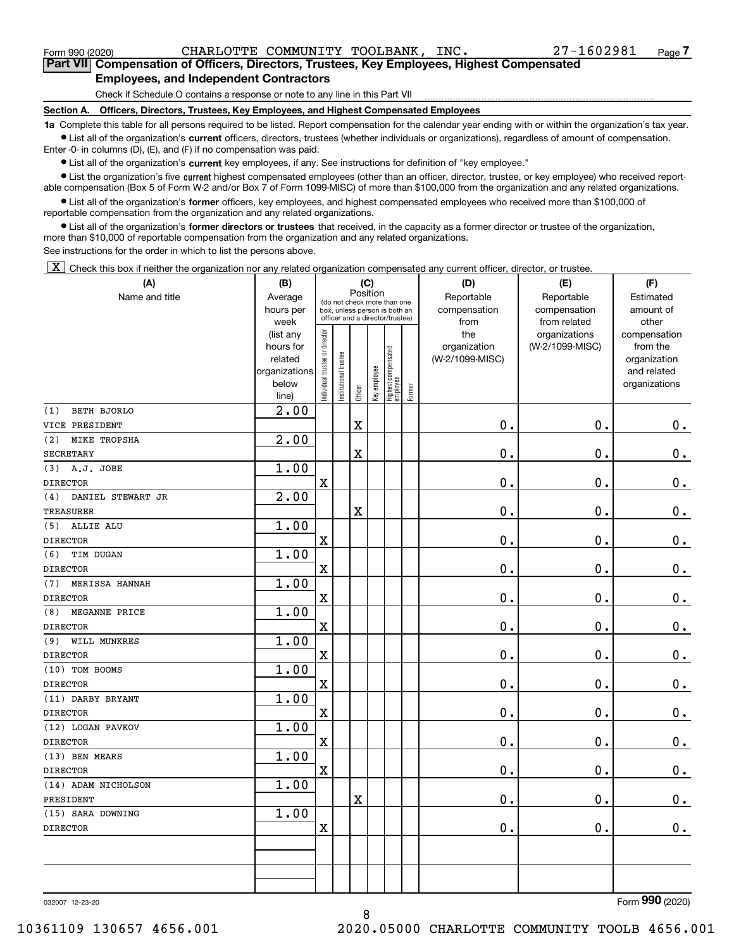**7Part VII Compensation of Officers, Directors, Trustees, Key Employees, Highest Compensated Employees, and Independent Contractors**

Check if Schedule O contains a response or note to any line in this Part VII

**Section A. Officers, Directors, Trustees, Key Employees, and Highest Compensated Employees**

**1a**  Complete this table for all persons required to be listed. Report compensation for the calendar year ending with or within the organization's tax year. **•** List all of the organization's current officers, directors, trustees (whether individuals or organizations), regardless of amount of compensation.

Enter -0- in columns (D), (E), and (F) if no compensation was paid.

● List all of the organization's **current** key employees, if any. See instructions for definition of "key employee."<br>● List the organization's five current bighest compensated employees (other than an officer, director, t

• List the organization's five current highest compensated employees (other than an officer, director, trustee, or key employee) who received report-■ List the organization's five current highest compensated employees (other than an officer, director, trustee, or key employee) who received report-<br>able compensation (Box 5 of Form W-2 and/or Box 7 of Form 1099-MISC) of

**•** List all of the organization's former officers, key employees, and highest compensated employees who received more than \$100,000 of reportable compensation from the organization and any related organizations.

**former directors or trustees**  ¥ List all of the organization's that received, in the capacity as a former director or trustee of the organization, more than \$10,000 of reportable compensation from the organization and any related organizations.

See instructions for the order in which to list the persons above.

 $\boxed{\textbf{X}}$  Check this box if neither the organization nor any related organization compensated any current officer, director, or trustee.

| (A)                          | (B)                  |                                         | (C)                  |                         |              |                                                                  | (D)                             | (E)             | (F)                      |
|------------------------------|----------------------|-----------------------------------------|----------------------|-------------------------|--------------|------------------------------------------------------------------|---------------------------------|-----------------|--------------------------|
| Name and title               | Average              | Position<br>(do not check more than one |                      |                         |              |                                                                  | Reportable                      | Reportable      | Estimated                |
|                              | hours per            |                                         |                      |                         |              | box, unless person is both an<br>officer and a director/trustee) | compensation                    | compensation    | amount of                |
|                              | week                 |                                         |                      |                         |              |                                                                  | from                            | from related    | other                    |
|                              | (list any            | ndividual trustee or director           |                      |                         |              |                                                                  | the                             | organizations   | compensation             |
|                              | hours for<br>related |                                         |                      |                         |              |                                                                  | organization<br>(W-2/1099-MISC) | (W-2/1099-MISC) | from the<br>organization |
|                              | organizations        |                                         |                      |                         |              |                                                                  |                                 |                 | and related              |
|                              | below                |                                         | nstitutional trustee |                         |              |                                                                  |                                 |                 | organizations            |
|                              | line)                |                                         |                      | Officer                 | Key employee | Highest compensated<br>employee<br>Former                        |                                 |                 |                          |
| <b>BETH BJORLO</b><br>(1)    | 2.00                 |                                         |                      |                         |              |                                                                  |                                 |                 |                          |
| VICE PRESIDENT               |                      |                                         |                      | $\overline{\mathbf{X}}$ |              |                                                                  | $\mathbf 0$ .                   | $\mathbf 0$ .   | $\mathbf 0$ .            |
| <b>MIKE TROPSHA</b><br>(2)   | 2.00                 |                                         |                      |                         |              |                                                                  |                                 |                 |                          |
| <b>SECRETARY</b>             |                      |                                         |                      | X                       |              |                                                                  | $0$ .                           | $\mathbf 0$ .   | $\mathbf 0$ .            |
| (3)<br>A.J. JOBE             | 1.00                 |                                         |                      |                         |              |                                                                  |                                 |                 |                          |
| <b>DIRECTOR</b>              |                      | $\mathbf X$                             |                      |                         |              |                                                                  | 0.                              | $\mathbf 0$ .   | 0.                       |
| DANIEL STEWART JR<br>(4)     | 2.00                 |                                         |                      |                         |              |                                                                  |                                 |                 |                          |
| <b>TREASURER</b>             |                      |                                         |                      | $\overline{\mathbf{X}}$ |              |                                                                  | $\mathbf 0$ .                   | $\mathbf 0$ .   | $0_{.}$                  |
| (5)<br>ALLIE ALU             | 1.00                 |                                         |                      |                         |              |                                                                  |                                 |                 |                          |
| <b>DIRECTOR</b>              |                      | $\mathbf X$                             |                      |                         |              |                                                                  | 0.                              | $\mathbf 0$ .   | $\pmb{0}$ .              |
| (6)<br><b>TIM DUGAN</b>      | 1.00                 |                                         |                      |                         |              |                                                                  |                                 |                 |                          |
| <b>DIRECTOR</b>              |                      | $\mathbf X$                             |                      |                         |              |                                                                  | $0$ .                           | $\mathbf 0$ .   | 0.                       |
| (7)<br><b>MERISSA HANNAH</b> | 1.00                 |                                         |                      |                         |              |                                                                  |                                 |                 |                          |
| <b>DIRECTOR</b>              |                      | $\mathbf X$                             |                      |                         |              |                                                                  | $\mathbf{0}$ .                  | $\mathbf{0}$ .  | $\mathbf 0$ .            |
| (8)<br><b>MEGANNE PRICE</b>  | 1.00                 |                                         |                      |                         |              |                                                                  |                                 |                 |                          |
| <b>DIRECTOR</b>              |                      | $\mathbf X$                             |                      |                         |              |                                                                  | 0.                              | 0.              | $0_{.}$                  |
| WILL MUNKRES<br>(9)          | 1.00                 |                                         |                      |                         |              |                                                                  |                                 |                 |                          |
| <b>DIRECTOR</b>              |                      | $\mathbf X$                             |                      |                         |              |                                                                  | 0.                              | $\mathbf 0$ .   | $\mathbf 0$ .            |
| (10) TOM BOOMS               | 1.00                 |                                         |                      |                         |              |                                                                  |                                 |                 |                          |
| <b>DIRECTOR</b>              |                      | $\mathbf X$                             |                      |                         |              |                                                                  | $0$ .                           | 0.              | 0.                       |
| (11) DARBY BRYANT            | 1.00                 |                                         |                      |                         |              |                                                                  |                                 |                 |                          |
| <b>DIRECTOR</b>              |                      | $\mathbf x$                             |                      |                         |              |                                                                  | $\mathbf{0}$ .                  | $\mathbf 0$ .   | $0$ .                    |
| (12) LOGAN PAVKOV            | 1.00                 |                                         |                      |                         |              |                                                                  |                                 |                 |                          |
| <b>DIRECTOR</b>              |                      | $\mathbf X$                             |                      |                         |              |                                                                  | 0.                              | 0.              | $0_{.}$                  |
| (13) BEN MEARS               | 1.00                 |                                         |                      |                         |              |                                                                  |                                 |                 |                          |
| <b>DIRECTOR</b>              |                      | $\mathbf x$                             |                      |                         |              |                                                                  | 0.                              | $\mathbf 0$ .   | $\mathbf 0$ .            |
| (14) ADAM NICHOLSON          | 1.00                 |                                         |                      |                         |              |                                                                  |                                 |                 |                          |
| PRESIDENT                    |                      |                                         |                      | X                       |              |                                                                  | $0$ .                           | 0.              | $\mathbf 0$ .            |
| (15) SARA DOWNING            | 1.00                 |                                         |                      |                         |              |                                                                  |                                 |                 |                          |
| <b>DIRECTOR</b>              |                      | $\mathbf x$                             |                      |                         |              |                                                                  | $\mathbf 0$ .                   | 0.              | $\mathbf 0$ .            |
|                              |                      |                                         |                      |                         |              |                                                                  |                                 |                 |                          |
|                              |                      |                                         |                      |                         |              |                                                                  |                                 |                 |                          |
|                              |                      |                                         |                      |                         |              |                                                                  |                                 |                 |                          |
|                              |                      |                                         |                      |                         |              |                                                                  |                                 |                 |                          |

8

032007 12-23-20

Form (2020) **990**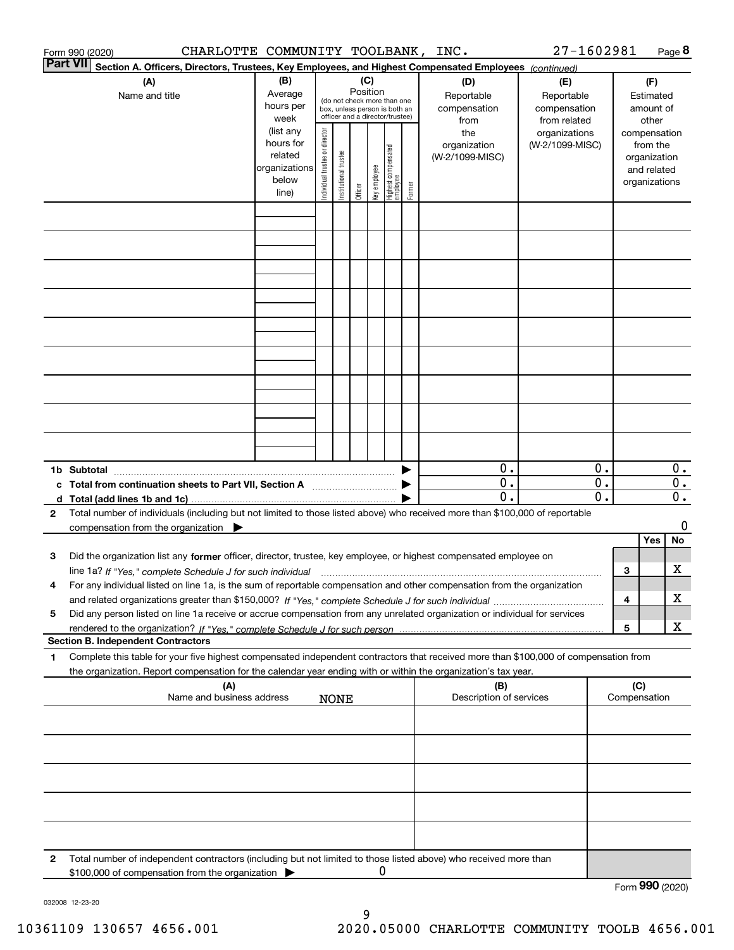|                 | CHARLOTTE COMMUNITY TOOLBANK,<br>Form 990 (2020)                                                                                                                                                                                                                     |                                                                      |                                |                       |                                                                                                                    |              |                                   |        | INC.                                      | 27-1602981                                        |   |                                                                          | Page 8           |
|-----------------|----------------------------------------------------------------------------------------------------------------------------------------------------------------------------------------------------------------------------------------------------------------------|----------------------------------------------------------------------|--------------------------------|-----------------------|--------------------------------------------------------------------------------------------------------------------|--------------|-----------------------------------|--------|-------------------------------------------|---------------------------------------------------|---|--------------------------------------------------------------------------|------------------|
| <b>Part VII</b> | Section A. Officers, Directors, Trustees, Key Employees, and Highest Compensated Employees (continued)                                                                                                                                                               |                                                                      |                                |                       |                                                                                                                    |              |                                   |        |                                           |                                                   |   |                                                                          |                  |
|                 | (A)<br>Name and title                                                                                                                                                                                                                                                | (B)<br>Average<br>hours per<br>week                                  |                                |                       | (C)<br>Position<br>(do not check more than one<br>box, unless person is both an<br>officer and a director/trustee) |              |                                   |        | (D)<br>Reportable<br>compensation<br>from | (E)<br>Reportable<br>compensation<br>from related |   | (F)<br>Estimated<br>amount of<br>other                                   |                  |
|                 |                                                                                                                                                                                                                                                                      | (list any<br>hours for<br>related<br>organizations<br>below<br>line) | Individual trustee or director | Institutional trustee | Officer                                                                                                            | key employee | Highest compensated<br>  employee | Former | the<br>organization<br>(W-2/1099-MISC)    | organizations<br>(W-2/1099-MISC)                  |   | compensation<br>from the<br>organization<br>and related<br>organizations |                  |
|                 |                                                                                                                                                                                                                                                                      |                                                                      |                                |                       |                                                                                                                    |              |                                   |        |                                           |                                                   |   |                                                                          |                  |
|                 |                                                                                                                                                                                                                                                                      |                                                                      |                                |                       |                                                                                                                    |              |                                   |        |                                           |                                                   |   |                                                                          |                  |
|                 |                                                                                                                                                                                                                                                                      |                                                                      |                                |                       |                                                                                                                    |              |                                   |        |                                           |                                                   |   |                                                                          |                  |
|                 |                                                                                                                                                                                                                                                                      |                                                                      |                                |                       |                                                                                                                    |              |                                   |        |                                           |                                                   |   |                                                                          |                  |
|                 |                                                                                                                                                                                                                                                                      |                                                                      |                                |                       |                                                                                                                    |              |                                   |        |                                           |                                                   |   |                                                                          |                  |
|                 |                                                                                                                                                                                                                                                                      |                                                                      |                                |                       |                                                                                                                    |              |                                   |        |                                           |                                                   |   |                                                                          |                  |
|                 |                                                                                                                                                                                                                                                                      |                                                                      |                                |                       |                                                                                                                    |              |                                   |        | 0.                                        | 0.                                                |   |                                                                          | $\mathbf{0}$ .   |
|                 | c Total from continuation sheets to Part VII, Section A manufactured by                                                                                                                                                                                              |                                                                      |                                |                       |                                                                                                                    |              |                                   |        | $\mathbf 0$ .                             | $\overline{0}$ .                                  |   |                                                                          | $\overline{0}$ . |
|                 |                                                                                                                                                                                                                                                                      |                                                                      |                                |                       |                                                                                                                    |              |                                   |        | 0.                                        | $\overline{0}$ .                                  |   |                                                                          | $0$ .            |
| $\mathbf{2}$    | Total number of individuals (including but not limited to those listed above) who received more than \$100,000 of reportable<br>compensation from the organization $\blacktriangleright$                                                                             |                                                                      |                                |                       |                                                                                                                    |              |                                   |        |                                           |                                                   |   | Yes                                                                      | 0<br>No          |
| 3               | Did the organization list any former officer, director, trustee, key employee, or highest compensated employee on<br>line 1a? If "Yes," complete Schedule J for such individual manufactured contained and the 1a? If "Yes," complete Schedule J for such individual |                                                                      |                                |                       |                                                                                                                    |              |                                   |        |                                           |                                                   | 3 |                                                                          | x                |
|                 | For any individual listed on line 1a, is the sum of reportable compensation and other compensation from the organization                                                                                                                                             |                                                                      |                                |                       |                                                                                                                    |              |                                   |        |                                           |                                                   | 4 |                                                                          | X                |
| 5               | Did any person listed on line 1a receive or accrue compensation from any unrelated organization or individual for services<br><b>Section B. Independent Contractors</b>                                                                                              |                                                                      |                                |                       |                                                                                                                    |              |                                   |        |                                           |                                                   | 5 |                                                                          | х                |
| 1               | Complete this table for your five highest compensated independent contractors that received more than \$100,000 of compensation from<br>the organization. Report compensation for the calendar year ending with or within the organization's tax year.               |                                                                      |                                |                       |                                                                                                                    |              |                                   |        |                                           |                                                   |   |                                                                          |                  |
|                 | (A)<br>Name and business address                                                                                                                                                                                                                                     |                                                                      |                                | <b>NONE</b>           |                                                                                                                    |              |                                   |        | (B)<br>Description of services            |                                                   |   | (C)<br>Compensation                                                      |                  |
|                 |                                                                                                                                                                                                                                                                      |                                                                      |                                |                       |                                                                                                                    |              |                                   |        |                                           |                                                   |   |                                                                          |                  |
|                 |                                                                                                                                                                                                                                                                      |                                                                      |                                |                       |                                                                                                                    |              |                                   |        |                                           |                                                   |   |                                                                          |                  |
|                 |                                                                                                                                                                                                                                                                      |                                                                      |                                |                       |                                                                                                                    |              |                                   |        |                                           |                                                   |   |                                                                          |                  |
|                 |                                                                                                                                                                                                                                                                      |                                                                      |                                |                       |                                                                                                                    |              |                                   |        |                                           |                                                   |   |                                                                          |                  |
| 2               | Total number of independent contractors (including but not limited to those listed above) who received more than<br>\$100,000 of compensation from the organization                                                                                                  |                                                                      |                                |                       |                                                                                                                    | 0            |                                   |        |                                           |                                                   |   | Form 990 (2020)                                                          |                  |
|                 |                                                                                                                                                                                                                                                                      |                                                                      |                                |                       |                                                                                                                    |              |                                   |        |                                           |                                                   |   |                                                                          |                  |

032008 12-23-20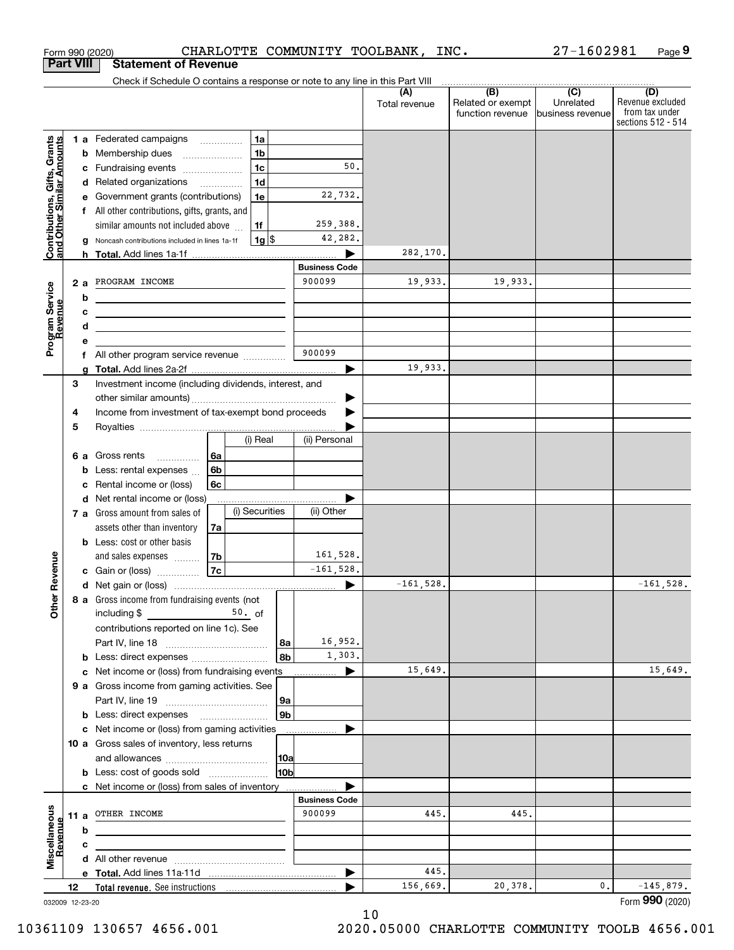|                                                           | <b>Part VIII</b> |        | <b>Statement of Revenue</b>                                                                                                                                                                                                                    |    |          |                |                       |               |                                       |                               |                                                          |
|-----------------------------------------------------------|------------------|--------|------------------------------------------------------------------------------------------------------------------------------------------------------------------------------------------------------------------------------------------------|----|----------|----------------|-----------------------|---------------|---------------------------------------|-------------------------------|----------------------------------------------------------|
|                                                           |                  |        | Check if Schedule O contains a response or note to any line in this Part VIII                                                                                                                                                                  |    |          |                |                       | (A)           | (B)                                   | $\overline{C}$                | (D)                                                      |
|                                                           |                  |        |                                                                                                                                                                                                                                                |    |          |                |                       | Total revenue | Related or exempt<br>function revenue | Unrelated<br>business revenue | Revenue excluded<br>from tax under<br>sections 512 - 514 |
|                                                           |                  |        | 1 a Federated campaigns<br>1a                                                                                                                                                                                                                  |    |          |                |                       |               |                                       |                               |                                                          |
|                                                           |                  | b      | Membership dues<br>$\ldots \ldots \ldots \ldots \ldots$                                                                                                                                                                                        |    |          | 1 <sub>b</sub> |                       |               |                                       |                               |                                                          |
|                                                           |                  | с      | Fundraising events                                                                                                                                                                                                                             |    |          | 1 <sub>c</sub> | 50.                   |               |                                       |                               |                                                          |
|                                                           |                  | d      | Related organizations                                                                                                                                                                                                                          |    |          | 1 <sub>d</sub> |                       |               |                                       |                               |                                                          |
|                                                           |                  | е      | Government grants (contributions)                                                                                                                                                                                                              |    |          | 1e             | 22,732.               |               |                                       |                               |                                                          |
|                                                           |                  |        | f All other contributions, gifts, grants, and                                                                                                                                                                                                  |    |          |                |                       |               |                                       |                               |                                                          |
|                                                           |                  |        | similar amounts not included above                                                                                                                                                                                                             |    |          | 1f             | 259,388.              |               |                                       |                               |                                                          |
| Contributions, Gifts, Grants<br>and Other Similar Amounts |                  | a      | Noncash contributions included in lines 1a-1f                                                                                                                                                                                                  |    |          | $1g$ \$        | 42,282.               |               |                                       |                               |                                                          |
|                                                           |                  |        |                                                                                                                                                                                                                                                |    |          |                | <b>Business Code</b>  | 282,170.      |                                       |                               |                                                          |
|                                                           |                  |        | PROGRAM INCOME                                                                                                                                                                                                                                 |    |          |                | 900099                | 19,933.       | 19,933.                               |                               |                                                          |
|                                                           |                  | 2a     |                                                                                                                                                                                                                                                |    |          |                |                       |               |                                       |                               |                                                          |
|                                                           |                  | b<br>c | <u> 1989 - Johann Barbara, martxa alemaniar amerikan a</u>                                                                                                                                                                                     |    |          |                |                       |               |                                       |                               |                                                          |
|                                                           |                  | d      | <u> 1989 - Johann Stein, marwolaethau a bhann an t-Amhainn an t-Amhainn an t-Amhainn an t-Amhainn an t-Amhainn an</u><br><u> 1989 - Johann Stein, marwolaethau a bhann an t-Amhainn an t-Amhainn an t-Amhainn an t-Amhainn an t-Amhainn an</u> |    |          |                |                       |               |                                       |                               |                                                          |
|                                                           |                  | е      |                                                                                                                                                                                                                                                |    |          |                |                       |               |                                       |                               |                                                          |
| Program Service<br>Revenue                                |                  | f      | All other program service revenue                                                                                                                                                                                                              |    |          |                | 900099                |               |                                       |                               |                                                          |
|                                                           |                  | a      |                                                                                                                                                                                                                                                |    |          |                | $\blacktriangleright$ | 19,933.       |                                       |                               |                                                          |
|                                                           | 3                |        | Investment income (including dividends, interest, and                                                                                                                                                                                          |    |          |                |                       |               |                                       |                               |                                                          |
|                                                           |                  |        |                                                                                                                                                                                                                                                |    |          |                |                       |               |                                       |                               |                                                          |
|                                                           | 4                |        | Income from investment of tax-exempt bond proceeds                                                                                                                                                                                             |    |          |                |                       |               |                                       |                               |                                                          |
|                                                           | 5                |        |                                                                                                                                                                                                                                                |    |          |                |                       |               |                                       |                               |                                                          |
|                                                           |                  |        |                                                                                                                                                                                                                                                |    |          | (i) Real       | (ii) Personal         |               |                                       |                               |                                                          |
|                                                           |                  | 6а     | Gross rents<br>.                                                                                                                                                                                                                               | 6a |          |                |                       |               |                                       |                               |                                                          |
|                                                           |                  | b      | Less: rental expenses                                                                                                                                                                                                                          | 6b |          |                |                       |               |                                       |                               |                                                          |
|                                                           |                  | с      | Rental income or (loss)                                                                                                                                                                                                                        | 6c |          |                |                       |               |                                       |                               |                                                          |
|                                                           |                  | d      | Net rental income or (loss)                                                                                                                                                                                                                    |    |          | (i) Securities | (ii) Other            |               |                                       |                               |                                                          |
|                                                           |                  |        | 7 a Gross amount from sales of                                                                                                                                                                                                                 |    |          |                |                       |               |                                       |                               |                                                          |
|                                                           |                  |        | assets other than inventory<br><b>b</b> Less: cost or other basis                                                                                                                                                                              | 7a |          |                |                       |               |                                       |                               |                                                          |
|                                                           |                  |        | and sales expenses                                                                                                                                                                                                                             | 7b |          |                | 161,528.              |               |                                       |                               |                                                          |
| Revenue                                                   |                  |        | c Gain or (loss)                                                                                                                                                                                                                               | 7c |          |                | $-161,528.$           |               |                                       |                               |                                                          |
|                                                           |                  |        |                                                                                                                                                                                                                                                |    |          |                | ▶                     | $-161,528.$   |                                       |                               | $-161,528.$                                              |
|                                                           |                  |        | 8 a Gross income from fundraising events (not                                                                                                                                                                                                  |    |          |                |                       |               |                                       |                               |                                                          |
| Other                                                     |                  |        | including \$                                                                                                                                                                                                                                   |    | $50.$ of |                |                       |               |                                       |                               |                                                          |
|                                                           |                  |        | contributions reported on line 1c). See                                                                                                                                                                                                        |    |          |                |                       |               |                                       |                               |                                                          |
|                                                           |                  |        |                                                                                                                                                                                                                                                |    |          | 8a             | 16,952.               |               |                                       |                               |                                                          |
|                                                           |                  |        |                                                                                                                                                                                                                                                |    |          | 8b             | 1,303.                |               |                                       |                               |                                                          |
|                                                           |                  |        | c Net income or (loss) from fundraising events                                                                                                                                                                                                 |    |          |                | $\blacktriangleright$ | 15,649.       |                                       |                               | 15,649.                                                  |
|                                                           |                  |        | 9 a Gross income from gaming activities. See                                                                                                                                                                                                   |    |          |                |                       |               |                                       |                               |                                                          |
|                                                           |                  |        |                                                                                                                                                                                                                                                |    |          | 9a             |                       |               |                                       |                               |                                                          |
|                                                           |                  |        | <b>b</b> Less: direct expenses <b>manually</b>                                                                                                                                                                                                 |    |          | 9 <sub>b</sub> |                       |               |                                       |                               |                                                          |
|                                                           |                  |        | c Net income or (loss) from gaming activities                                                                                                                                                                                                  |    |          |                |                       |               |                                       |                               |                                                          |
|                                                           |                  |        | 10 a Gross sales of inventory, less returns                                                                                                                                                                                                    |    |          |                |                       |               |                                       |                               |                                                          |
|                                                           |                  |        | <b>b</b> Less: cost of goods sold                                                                                                                                                                                                              |    |          | 10a<br>10b     |                       |               |                                       |                               |                                                          |
|                                                           |                  |        | c Net income or (loss) from sales of inventory                                                                                                                                                                                                 |    |          |                |                       |               |                                       |                               |                                                          |
|                                                           |                  |        |                                                                                                                                                                                                                                                |    |          |                | <b>Business Code</b>  |               |                                       |                               |                                                          |
|                                                           | 11 $a$           |        | OTHER INCOME                                                                                                                                                                                                                                   |    |          |                | 900099                | 445.          | 445.                                  |                               |                                                          |
|                                                           |                  | b      |                                                                                                                                                                                                                                                |    |          |                |                       |               |                                       |                               |                                                          |
| Revenue                                                   |                  | с      |                                                                                                                                                                                                                                                |    |          |                |                       |               |                                       |                               |                                                          |
| Miscellaneous                                             |                  |        |                                                                                                                                                                                                                                                |    |          |                |                       |               |                                       |                               |                                                          |
|                                                           |                  |        |                                                                                                                                                                                                                                                |    |          |                | ▶                     | 445.          |                                       |                               |                                                          |
|                                                           | 12               |        |                                                                                                                                                                                                                                                |    |          |                |                       | 156,669.      | 20,378.                               | 0.                            | $-145,879.$<br>Form 990 (2020)                           |
| 032009 12-23-20                                           |                  |        |                                                                                                                                                                                                                                                |    |          |                |                       |               | 1 N                                   |                               |                                                          |

Form 990 (2020) Page CHARLOTTE COMMUNITY TOOLBANK, INC.

**9**

27-1602981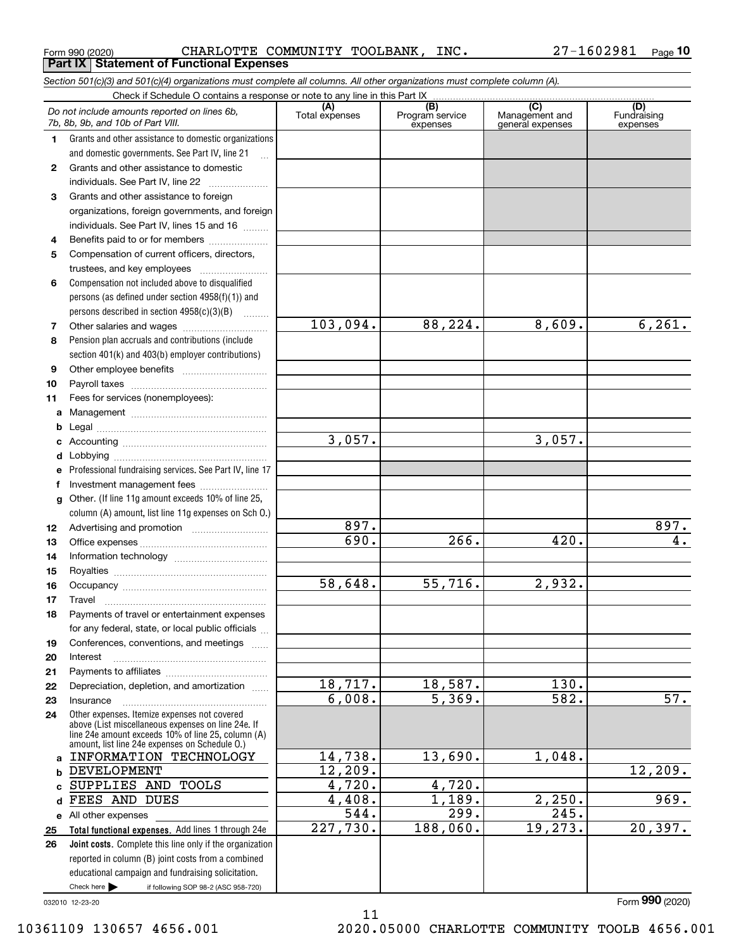Form 990 (2020) CHARLOTTE COMMUNITY TOOLBANK, INC. 27-1602981 <sub>Page</sub> **Part IX Statement of Functional Expenses**

*Section 501(c)(3) and 501(c)(4) organizations must complete all columns. All other organizations must complete column (A).*

|              | Check if Schedule O contains a response or note to any line in this Part IX                          |                        |                                    |                                                      |                                |
|--------------|------------------------------------------------------------------------------------------------------|------------------------|------------------------------------|------------------------------------------------------|--------------------------------|
|              | Do not include amounts reported on lines 6b,<br>7b, 8b, 9b, and 10b of Part VIII.                    | (A)<br>Total expenses  | (B)<br>Program service<br>expenses | $\overline{C}$<br>Management and<br>general expenses | (D)<br>Fundraising<br>expenses |
| 1.           | Grants and other assistance to domestic organizations                                                |                        |                                    |                                                      |                                |
|              | and domestic governments. See Part IV, line 21                                                       |                        |                                    |                                                      |                                |
| $\mathbf{2}$ | Grants and other assistance to domestic                                                              |                        |                                    |                                                      |                                |
|              | individuals. See Part IV, line 22                                                                    |                        |                                    |                                                      |                                |
| 3            | Grants and other assistance to foreign                                                               |                        |                                    |                                                      |                                |
|              | organizations, foreign governments, and foreign                                                      |                        |                                    |                                                      |                                |
|              | individuals. See Part IV, lines 15 and 16                                                            |                        |                                    |                                                      |                                |
| 4            | Benefits paid to or for members                                                                      |                        |                                    |                                                      |                                |
| 5            | Compensation of current officers, directors,                                                         |                        |                                    |                                                      |                                |
|              | trustees, and key employees                                                                          |                        |                                    |                                                      |                                |
| 6            | Compensation not included above to disqualified                                                      |                        |                                    |                                                      |                                |
|              | persons (as defined under section $4958(f)(1)$ ) and                                                 |                        |                                    |                                                      |                                |
|              | persons described in section 4958(c)(3)(B)                                                           |                        |                                    |                                                      |                                |
| 7            |                                                                                                      | 103,094.               | 88,224.                            | 8,609.                                               | 6, 261.                        |
| 8            | Pension plan accruals and contributions (include                                                     |                        |                                    |                                                      |                                |
|              | section 401(k) and 403(b) employer contributions)                                                    |                        |                                    |                                                      |                                |
| 9            |                                                                                                      |                        |                                    |                                                      |                                |
| 10           |                                                                                                      |                        |                                    |                                                      |                                |
| 11           | Fees for services (nonemployees):                                                                    |                        |                                    |                                                      |                                |
| a            |                                                                                                      |                        |                                    |                                                      |                                |
| b            |                                                                                                      |                        |                                    |                                                      |                                |
| c            |                                                                                                      | 3,057.                 |                                    | 3,057.                                               |                                |
| d            |                                                                                                      |                        |                                    |                                                      |                                |
| e            | Professional fundraising services. See Part IV, line 17                                              |                        |                                    |                                                      |                                |
| f            | Investment management fees                                                                           |                        |                                    |                                                      |                                |
| g            | Other. (If line 11g amount exceeds 10% of line 25,                                                   |                        |                                    |                                                      |                                |
|              | column (A) amount, list line 11g expenses on Sch 0.)                                                 |                        |                                    |                                                      |                                |
| 12           |                                                                                                      | 897.<br>690.           | 266.                               | 420.                                                 | 897.<br>4.                     |
| 13           |                                                                                                      |                        |                                    |                                                      |                                |
| 14           |                                                                                                      |                        |                                    |                                                      |                                |
| 15           |                                                                                                      | 58,648.                | 55,716.                            | 2,932.                                               |                                |
| 16           |                                                                                                      |                        |                                    |                                                      |                                |
| 17           | Travel                                                                                               |                        |                                    |                                                      |                                |
| 18           | Payments of travel or entertainment expenses                                                         |                        |                                    |                                                      |                                |
|              | for any federal, state, or local public officials                                                    |                        |                                    |                                                      |                                |
| 19           | Conferences, conventions, and meetings                                                               |                        |                                    |                                                      |                                |
| 20           | Interest                                                                                             |                        |                                    |                                                      |                                |
| 21<br>22     | Depreciation, depletion, and amortization                                                            | $\overline{18}$ , 717. | 18,587.                            | 130.                                                 |                                |
| 23           | Insurance                                                                                            | 6,008.                 | 5,369.                             | 582.                                                 | 57.                            |
| 24           | Other expenses. Itemize expenses not covered                                                         |                        |                                    |                                                      |                                |
|              | above (List miscellaneous expenses on line 24e. If                                                   |                        |                                    |                                                      |                                |
|              | line 24e amount exceeds 10% of line 25, column (A)<br>amount, list line 24e expenses on Schedule O.) |                        |                                    |                                                      |                                |
| a            | INFORMATION TECHNOLOGY                                                                               | 14,738.                | 13,690.                            | 1,048.                                               |                                |
| b            | <b>DEVELOPMENT</b>                                                                                   | 12, 209.               |                                    |                                                      | 12, 209.                       |
| C            | SUPPLIES AND TOOLS                                                                                   | 4,720.                 | $\overline{4,720}$ .               |                                                      |                                |
| d            | FEES AND DUES                                                                                        | 4,408.                 | 1,189.                             | 2,250.                                               | 969.                           |
|              | e All other expenses                                                                                 | $\overline{544}$ .     | 299.                               | $\overline{245}$ .                                   |                                |
| 25           | Total functional expenses. Add lines 1 through 24e                                                   | $\overline{227,730}$ . | 188,060.                           | 19,273.                                              | 20, 397.                       |
| 26           | Joint costs. Complete this line only if the organization                                             |                        |                                    |                                                      |                                |
|              | reported in column (B) joint costs from a combined                                                   |                        |                                    |                                                      |                                |
|              | educational campaign and fundraising solicitation.                                                   |                        |                                    |                                                      |                                |
|              | Check here $\blacktriangleright$<br>if following SOP 98-2 (ASC 958-720)                              |                        |                                    |                                                      |                                |
|              | 032010 12-23-20                                                                                      |                        |                                    |                                                      | Form 990 (2020)                |
|              |                                                                                                      | 11                     |                                    |                                                      |                                |

11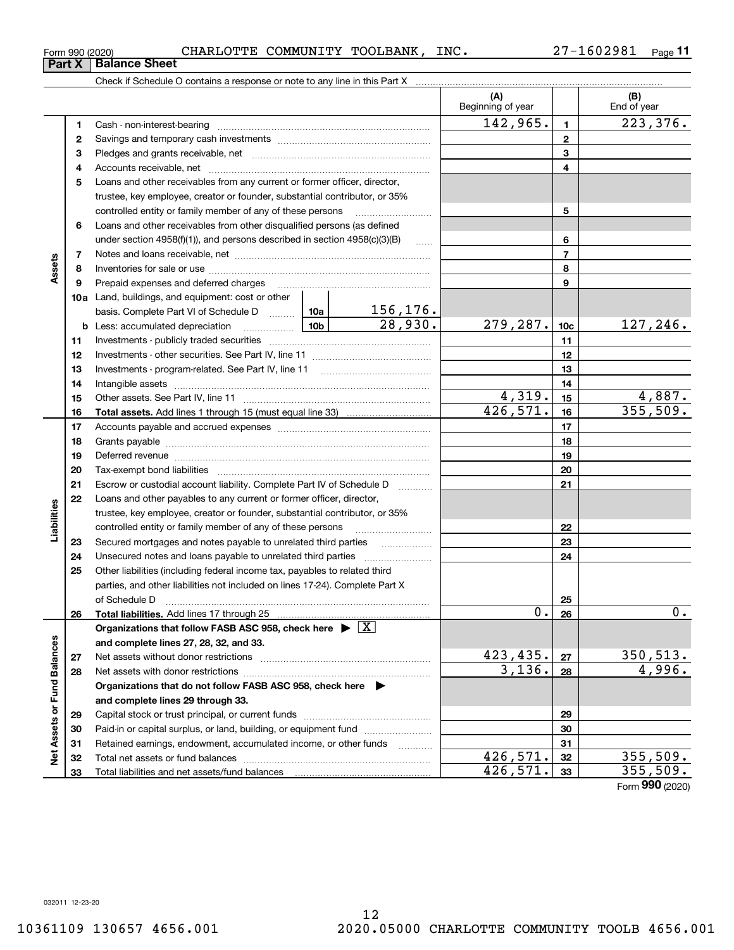**Part X Balance Sheet**

## Form 990 (2020) CHARLOTTE COMMUNITY TOOLBANK, INC. 27-1602981 <sub>Page</sub>

**11**

|                      |    |                                                                                                                                                                                                                                |          |                       | (A)<br>Beginning of year  |                | (B)<br>End of year          |
|----------------------|----|--------------------------------------------------------------------------------------------------------------------------------------------------------------------------------------------------------------------------------|----------|-----------------------|---------------------------|----------------|-----------------------------|
|                      | 1  | Cash - non-interest-bearing                                                                                                                                                                                                    |          |                       | 142,965.                  | $\mathbf{1}$   | $\overline{223}$ , 376.     |
|                      | 2  |                                                                                                                                                                                                                                |          |                       | $\mathbf{2}$              |                |                             |
|                      | з  |                                                                                                                                                                                                                                |          | 3                     |                           |                |                             |
|                      | 4  |                                                                                                                                                                                                                                |          | 4                     |                           |                |                             |
|                      | 5  | Loans and other receivables from any current or former officer, director,                                                                                                                                                      |          |                       |                           |                |                             |
|                      |    | trustee, key employee, creator or founder, substantial contributor, or 35%                                                                                                                                                     |          |                       |                           |                |                             |
|                      |    | controlled entity or family member of any of these persons                                                                                                                                                                     |          | 5                     |                           |                |                             |
|                      | 6  | Loans and other receivables from other disqualified persons (as defined                                                                                                                                                        |          |                       |                           |                |                             |
|                      |    | under section $4958(f)(1)$ , and persons described in section $4958(c)(3)(B)$                                                                                                                                                  |          | 6                     |                           |                |                             |
|                      | 7  |                                                                                                                                                                                                                                |          |                       |                           | $\overline{7}$ |                             |
| Assets               | 8  |                                                                                                                                                                                                                                |          |                       |                           | 8              |                             |
|                      | 9  | Prepaid expenses and deferred charges                                                                                                                                                                                          |          |                       |                           | 9              |                             |
|                      |    | 10a Land, buildings, and equipment: cost or other                                                                                                                                                                              |          |                       |                           |                |                             |
|                      |    | basis. Complete Part VI of Schedule D  10a   156, 176.                                                                                                                                                                         |          | $\overline{28,930}$ . |                           |                |                             |
|                      |    | <u>  10b</u>  <br><b>b</b> Less: accumulated depreciation                                                                                                                                                                      | 279,287. | 10c                   | 127, 246.                 |                |                             |
|                      | 11 |                                                                                                                                                                                                                                |          | 11                    |                           |                |                             |
|                      | 12 |                                                                                                                                                                                                                                |          |                       | 12                        |                |                             |
|                      | 13 |                                                                                                                                                                                                                                |          | 13                    |                           |                |                             |
|                      | 14 |                                                                                                                                                                                                                                |          | 14                    |                           |                |                             |
|                      | 15 |                                                                                                                                                                                                                                | 4,319.   | 15                    | 4,887.                    |                |                             |
|                      | 16 |                                                                                                                                                                                                                                |          |                       | $\overline{426}, 571.$    | 16             | 355,509.                    |
|                      | 17 |                                                                                                                                                                                                                                |          |                       |                           | 17             |                             |
|                      | 18 |                                                                                                                                                                                                                                |          | 18                    |                           |                |                             |
|                      | 19 | Deferred revenue material contracts and the contracts of the contracts and the contracts of the contracts of the contracts of the contracts of the contracts of the contracts of the contracts of the contracts of the contrac |          | 19                    |                           |                |                             |
|                      | 20 |                                                                                                                                                                                                                                |          |                       | 20                        |                |                             |
|                      | 21 | Escrow or custodial account liability. Complete Part IV of Schedule D                                                                                                                                                          |          | .                     |                           | 21             |                             |
|                      | 22 | Loans and other payables to any current or former officer, director,                                                                                                                                                           |          |                       |                           |                |                             |
| Liabilities          |    | trustee, key employee, creator or founder, substantial contributor, or 35%                                                                                                                                                     |          |                       |                           |                |                             |
|                      |    | controlled entity or family member of any of these persons                                                                                                                                                                     |          |                       |                           | 22             |                             |
|                      | 23 | Secured mortgages and notes payable to unrelated third parties                                                                                                                                                                 |          |                       |                           | 23             |                             |
|                      | 24 |                                                                                                                                                                                                                                |          |                       |                           | 24             |                             |
|                      | 25 | Other liabilities (including federal income tax, payables to related third                                                                                                                                                     |          |                       |                           |                |                             |
|                      |    | parties, and other liabilities not included on lines 17-24). Complete Part X                                                                                                                                                   |          |                       |                           |                |                             |
|                      |    | of Schedule D                                                                                                                                                                                                                  |          |                       |                           | 25             |                             |
|                      | 26 | <b>Total liabilities.</b> Add lines 17 through 25                                                                                                                                                                              |          |                       | 0                         | 26             | 0.                          |
|                      |    | Organizations that follow FASB ASC 958, check here $\blacktriangleright \boxed{X}$                                                                                                                                             |          |                       |                           |                |                             |
|                      |    | and complete lines 27, 28, 32, and 33.                                                                                                                                                                                         |          |                       |                           |                |                             |
|                      | 27 | Net assets without donor restrictions                                                                                                                                                                                          |          |                       | <u>423,435.</u><br>3,136. | 27             | $\frac{350,513.}{4,996.}$   |
| <b>Fund Balances</b> | 28 | Net assets with donor restrictions                                                                                                                                                                                             |          |                       |                           | 28             |                             |
|                      |    | Organizations that do not follow FASB ASC 958, check here $\blacktriangleright$                                                                                                                                                |          |                       |                           |                |                             |
|                      |    | and complete lines 29 through 33.                                                                                                                                                                                              |          |                       |                           |                |                             |
|                      | 29 | Capital stock or trust principal, or current funds                                                                                                                                                                             |          |                       | 29                        |                |                             |
|                      | 30 | Paid-in or capital surplus, or land, building, or equipment fund                                                                                                                                                               |          |                       |                           | 30             |                             |
| Net Assets or        | 31 | Retained earnings, endowment, accumulated income, or other funds                                                                                                                                                               |          | .                     | 426,571.                  | 31             | 355,509.                    |
|                      | 32 | Total net assets or fund balances                                                                                                                                                                                              |          |                       | 426,571.                  | 32             | 355,509.                    |
|                      | 33 |                                                                                                                                                                                                                                |          |                       |                           | 33             | $F_{\text{arm}}$ 990 (2020) |

032011 12-23-20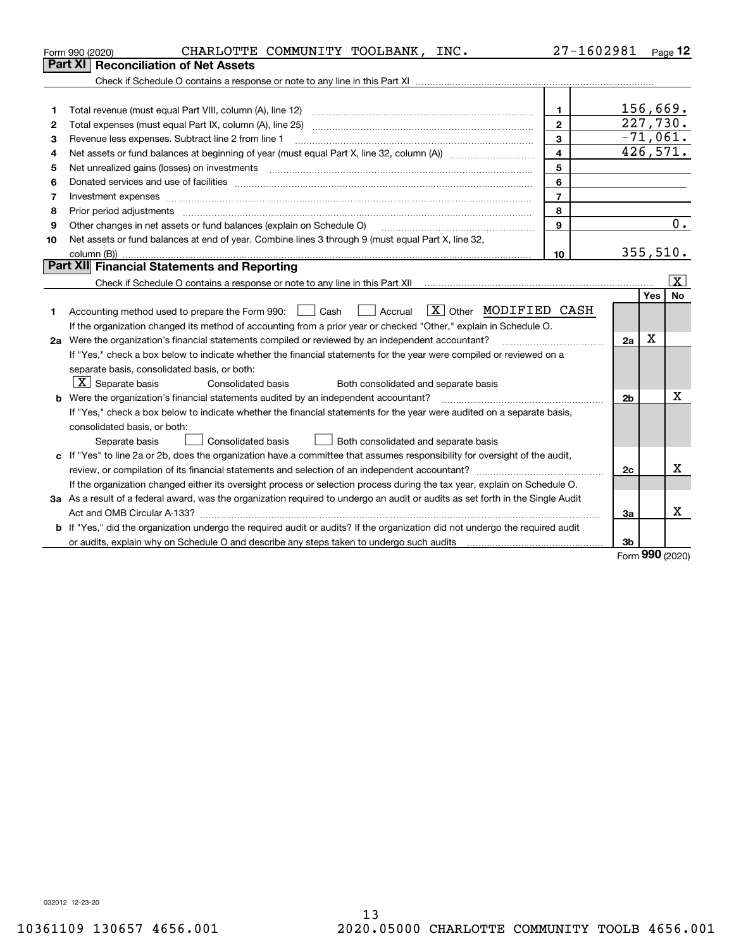|    | CHARLOTTE COMMUNITY TOOLBANK, INC.<br>Form 990 (2020)                                                                           | 27-1602981     |                |            | $_{\text{Page}}$ 12     |
|----|---------------------------------------------------------------------------------------------------------------------------------|----------------|----------------|------------|-------------------------|
|    | Reconciliation of Net Assets<br>Part XI                                                                                         |                |                |            |                         |
|    |                                                                                                                                 |                |                |            |                         |
|    |                                                                                                                                 |                |                |            |                         |
| 1  |                                                                                                                                 | 1              |                | 156,669.   |                         |
| 2  |                                                                                                                                 | $\overline{2}$ |                | 227,730.   |                         |
| 3  | Revenue less expenses. Subtract line 2 from line 1                                                                              | $\mathbf{3}$   |                | $-71,061.$ |                         |
| 4  |                                                                                                                                 | $\overline{4}$ |                | 426,571.   |                         |
| 5  |                                                                                                                                 | 5              |                |            |                         |
| 6  |                                                                                                                                 | 6              |                |            |                         |
| 7  |                                                                                                                                 | $\overline{7}$ |                |            |                         |
| 8  | Prior period adjustments                                                                                                        | 8              |                |            |                         |
| 9  | Other changes in net assets or fund balances (explain on Schedule O)                                                            | 9              |                |            | 0.                      |
| 10 | Net assets or fund balances at end of year. Combine lines 3 through 9 (must equal Part X, line 32,                              |                |                |            |                         |
|    |                                                                                                                                 | 10             |                | 355,510.   |                         |
|    | Part XII Financial Statements and Reporting                                                                                     |                |                |            |                         |
|    |                                                                                                                                 |                |                |            | $\overline{\texttt{x}}$ |
|    |                                                                                                                                 |                |                | Yes        | <b>No</b>               |
| 1  | $\boxed{\text{X}}$ Other MODIFIED CASH<br>    Accrual<br>Accounting method used to prepare the Form 990: <u>June</u> Cash       |                |                |            |                         |
|    | If the organization changed its method of accounting from a prior year or checked "Other," explain in Schedule O.               |                |                |            |                         |
|    | 2a Were the organization's financial statements compiled or reviewed by an independent accountant?                              |                | 2a             | X          |                         |
|    | If "Yes," check a box below to indicate whether the financial statements for the year were compiled or reviewed on a            |                |                |            |                         |
|    | separate basis, consolidated basis, or both:                                                                                    |                |                |            |                         |
|    | $X$ Separate basis<br>Both consolidated and separate basis<br>Consolidated basis                                                |                |                |            |                         |
|    | <b>b</b> Were the organization's financial statements audited by an independent accountant?                                     |                | 2 <sub>b</sub> |            | х                       |
|    | If "Yes," check a box below to indicate whether the financial statements for the year were audited on a separate basis,         |                |                |            |                         |
|    | consolidated basis, or both:                                                                                                    |                |                |            |                         |
|    | Consolidated basis<br>Both consolidated and separate basis<br>Separate basis                                                    |                |                |            |                         |
|    | c If "Yes" to line 2a or 2b, does the organization have a committee that assumes responsibility for oversight of the audit,     |                |                |            |                         |
|    |                                                                                                                                 |                | 2c             |            | x                       |
|    | If the organization changed either its oversight process or selection process during the tax year, explain on Schedule O.       |                |                |            |                         |
|    | 3a As a result of a federal award, was the organization required to undergo an audit or audits as set forth in the Single Audit |                |                |            |                         |
|    |                                                                                                                                 |                | За             |            | x                       |
|    | b If "Yes," did the organization undergo the required audit or audits? If the organization did not undergo the required audit   |                |                |            |                         |
|    | or audits, explain why on Schedule O and describe any steps taken to undergo such audits mature intermal conte                  |                | 3b             | $000 -$    |                         |

Form (2020) **990**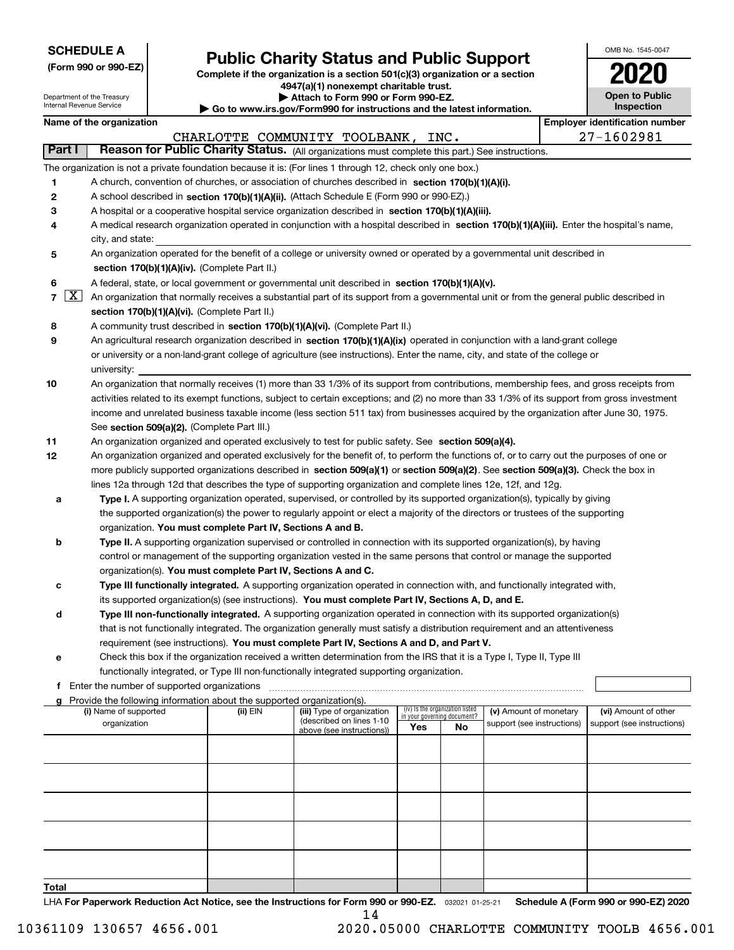| <b>SCHEDULE A</b> |
|-------------------|
|-------------------|

| (Form 990 or 990-EZ) |  |  |  |  |
|----------------------|--|--|--|--|
|----------------------|--|--|--|--|

## **Public Charity Status and Public Support**

**Complete if the organization is a section 501(c)(3) organization or a section 4947(a)(1) nonexempt charitable trust. | Attach to Form 990 or Form 990-EZ.** 

| OMB No. 1545-0047                   |
|-------------------------------------|
| 2020                                |
| <b>Open to Public</b><br>Inspection |

 $\mathbf{I}$ 

Department of the Treasury

|                | Internal Revenue Service                    |                                                                                                                                                                                            | $\triangleright$ Go to www.irs.gov/Form990 for instructions and the latest information. | <b>Inspection</b>                                                                                                                                                                                             |     |                                   |                            |  |                                       |  |
|----------------|---------------------------------------------|--------------------------------------------------------------------------------------------------------------------------------------------------------------------------------------------|-----------------------------------------------------------------------------------------|---------------------------------------------------------------------------------------------------------------------------------------------------------------------------------------------------------------|-----|-----------------------------------|----------------------------|--|---------------------------------------|--|
|                | Name of the organization                    |                                                                                                                                                                                            |                                                                                         |                                                                                                                                                                                                               |     |                                   |                            |  | <b>Employer identification number</b> |  |
|                |                                             |                                                                                                                                                                                            |                                                                                         | CHARLOTTE COMMUNITY TOOLBANK,                                                                                                                                                                                 |     | INC.                              |                            |  | 27-1602981                            |  |
| Part I         |                                             |                                                                                                                                                                                            |                                                                                         | Reason for Public Charity Status. (All organizations must complete this part.) See instructions.                                                                                                              |     |                                   |                            |  |                                       |  |
|                |                                             |                                                                                                                                                                                            |                                                                                         | The organization is not a private foundation because it is: (For lines 1 through 12, check only one box.)                                                                                                     |     |                                   |                            |  |                                       |  |
| 1              |                                             |                                                                                                                                                                                            |                                                                                         | A church, convention of churches, or association of churches described in section 170(b)(1)(A)(i).                                                                                                            |     |                                   |                            |  |                                       |  |
| $\mathbf{2}$   |                                             |                                                                                                                                                                                            |                                                                                         | A school described in section 170(b)(1)(A)(ii). (Attach Schedule E (Form 990 or 990-EZ).)                                                                                                                     |     |                                   |                            |  |                                       |  |
| з              |                                             |                                                                                                                                                                                            |                                                                                         | A hospital or a cooperative hospital service organization described in section 170(b)(1)(A)(iii).                                                                                                             |     |                                   |                            |  |                                       |  |
| 4              |                                             |                                                                                                                                                                                            |                                                                                         | A medical research organization operated in conjunction with a hospital described in section 170(b)(1)(A)(iii). Enter the hospital's name,                                                                    |     |                                   |                            |  |                                       |  |
|                | city, and state:                            |                                                                                                                                                                                            |                                                                                         |                                                                                                                                                                                                               |     |                                   |                            |  |                                       |  |
| 5              |                                             |                                                                                                                                                                                            |                                                                                         | An organization operated for the benefit of a college or university owned or operated by a governmental unit described in                                                                                     |     |                                   |                            |  |                                       |  |
|                |                                             |                                                                                                                                                                                            | section 170(b)(1)(A)(iv). (Complete Part II.)                                           |                                                                                                                                                                                                               |     |                                   |                            |  |                                       |  |
| 6              |                                             | A federal, state, or local government or governmental unit described in section 170(b)(1)(A)(v).                                                                                           |                                                                                         |                                                                                                                                                                                                               |     |                                   |                            |  |                                       |  |
| $\overline{7}$ | $\lfloor x \rfloor$                         | An organization that normally receives a substantial part of its support from a governmental unit or from the general public described in<br>section 170(b)(1)(A)(vi). (Complete Part II.) |                                                                                         |                                                                                                                                                                                                               |     |                                   |                            |  |                                       |  |
|                |                                             |                                                                                                                                                                                            |                                                                                         |                                                                                                                                                                                                               |     |                                   |                            |  |                                       |  |
| 8<br>9         |                                             |                                                                                                                                                                                            |                                                                                         | A community trust described in section 170(b)(1)(A)(vi). (Complete Part II.)<br>An agricultural research organization described in section 170(b)(1)(A)(ix) operated in conjunction with a land-grant college |     |                                   |                            |  |                                       |  |
|                |                                             |                                                                                                                                                                                            |                                                                                         | or university or a non-land-grant college of agriculture (see instructions). Enter the name, city, and state of the college or                                                                                |     |                                   |                            |  |                                       |  |
|                | university:                                 |                                                                                                                                                                                            |                                                                                         |                                                                                                                                                                                                               |     |                                   |                            |  |                                       |  |
| 10             |                                             |                                                                                                                                                                                            |                                                                                         | An organization that normally receives (1) more than 33 1/3% of its support from contributions, membership fees, and gross receipts from                                                                      |     |                                   |                            |  |                                       |  |
|                |                                             |                                                                                                                                                                                            |                                                                                         | activities related to its exempt functions, subject to certain exceptions; and (2) no more than 33 1/3% of its support from gross investment                                                                  |     |                                   |                            |  |                                       |  |
|                |                                             |                                                                                                                                                                                            |                                                                                         | income and unrelated business taxable income (less section 511 tax) from businesses acquired by the organization after June 30, 1975.                                                                         |     |                                   |                            |  |                                       |  |
|                |                                             |                                                                                                                                                                                            | See section 509(a)(2). (Complete Part III.)                                             |                                                                                                                                                                                                               |     |                                   |                            |  |                                       |  |
| 11             |                                             |                                                                                                                                                                                            |                                                                                         | An organization organized and operated exclusively to test for public safety. See section 509(a)(4).                                                                                                          |     |                                   |                            |  |                                       |  |
| 12             |                                             |                                                                                                                                                                                            |                                                                                         | An organization organized and operated exclusively for the benefit of, to perform the functions of, or to carry out the purposes of one or                                                                    |     |                                   |                            |  |                                       |  |
|                |                                             |                                                                                                                                                                                            |                                                                                         | more publicly supported organizations described in section 509(a)(1) or section 509(a)(2). See section 509(a)(3). Check the box in                                                                            |     |                                   |                            |  |                                       |  |
|                |                                             |                                                                                                                                                                                            |                                                                                         | lines 12a through 12d that describes the type of supporting organization and complete lines 12e, 12f, and 12g.                                                                                                |     |                                   |                            |  |                                       |  |
| а              |                                             |                                                                                                                                                                                            |                                                                                         | Type I. A supporting organization operated, supervised, or controlled by its supported organization(s), typically by giving                                                                                   |     |                                   |                            |  |                                       |  |
|                |                                             |                                                                                                                                                                                            |                                                                                         | the supported organization(s) the power to regularly appoint or elect a majority of the directors or trustees of the supporting                                                                               |     |                                   |                            |  |                                       |  |
|                |                                             |                                                                                                                                                                                            | organization. You must complete Part IV, Sections A and B.                              |                                                                                                                                                                                                               |     |                                   |                            |  |                                       |  |
| b              |                                             |                                                                                                                                                                                            |                                                                                         | Type II. A supporting organization supervised or controlled in connection with its supported organization(s), by having                                                                                       |     |                                   |                            |  |                                       |  |
|                |                                             |                                                                                                                                                                                            |                                                                                         | control or management of the supporting organization vested in the same persons that control or manage the supported                                                                                          |     |                                   |                            |  |                                       |  |
|                |                                             |                                                                                                                                                                                            | organization(s). You must complete Part IV, Sections A and C.                           |                                                                                                                                                                                                               |     |                                   |                            |  |                                       |  |
| c              |                                             |                                                                                                                                                                                            |                                                                                         | Type III functionally integrated. A supporting organization operated in connection with, and functionally integrated with,                                                                                    |     |                                   |                            |  |                                       |  |
|                |                                             |                                                                                                                                                                                            |                                                                                         | its supported organization(s) (see instructions). You must complete Part IV, Sections A, D, and E.                                                                                                            |     |                                   |                            |  |                                       |  |
| d              |                                             |                                                                                                                                                                                            |                                                                                         | Type III non-functionally integrated. A supporting organization operated in connection with its supported organization(s)                                                                                     |     |                                   |                            |  |                                       |  |
|                |                                             |                                                                                                                                                                                            |                                                                                         | that is not functionally integrated. The organization generally must satisfy a distribution requirement and an attentiveness                                                                                  |     |                                   |                            |  |                                       |  |
|                |                                             |                                                                                                                                                                                            |                                                                                         | requirement (see instructions). You must complete Part IV, Sections A and D, and Part V.                                                                                                                      |     |                                   |                            |  |                                       |  |
| е              |                                             |                                                                                                                                                                                            |                                                                                         | Check this box if the organization received a written determination from the IRS that it is a Type I, Type II, Type III                                                                                       |     |                                   |                            |  |                                       |  |
|                |                                             |                                                                                                                                                                                            |                                                                                         | functionally integrated, or Type III non-functionally integrated supporting organization.                                                                                                                     |     |                                   |                            |  |                                       |  |
| f              | Enter the number of supported organizations |                                                                                                                                                                                            |                                                                                         |                                                                                                                                                                                                               |     |                                   |                            |  |                                       |  |
| a              | (i) Name of supported                       |                                                                                                                                                                                            | Provide the following information about the supported organization(s).<br>(ii) EIN      | (iii) Type of organization                                                                                                                                                                                    |     | (iv) Is the organization listed   | (v) Amount of monetary     |  | (vi) Amount of other                  |  |
|                | organization                                |                                                                                                                                                                                            |                                                                                         | (described on lines 1-10                                                                                                                                                                                      | Yes | in your governing document?<br>No | support (see instructions) |  | support (see instructions)            |  |
|                |                                             |                                                                                                                                                                                            |                                                                                         | above (see instructions))                                                                                                                                                                                     |     |                                   |                            |  |                                       |  |
|                |                                             |                                                                                                                                                                                            |                                                                                         |                                                                                                                                                                                                               |     |                                   |                            |  |                                       |  |
|                |                                             |                                                                                                                                                                                            |                                                                                         |                                                                                                                                                                                                               |     |                                   |                            |  |                                       |  |
|                |                                             |                                                                                                                                                                                            |                                                                                         |                                                                                                                                                                                                               |     |                                   |                            |  |                                       |  |
|                |                                             |                                                                                                                                                                                            |                                                                                         |                                                                                                                                                                                                               |     |                                   |                            |  |                                       |  |
|                |                                             |                                                                                                                                                                                            |                                                                                         |                                                                                                                                                                                                               |     |                                   |                            |  |                                       |  |
|                |                                             |                                                                                                                                                                                            |                                                                                         |                                                                                                                                                                                                               |     |                                   |                            |  |                                       |  |
|                |                                             |                                                                                                                                                                                            |                                                                                         |                                                                                                                                                                                                               |     |                                   |                            |  |                                       |  |
|                |                                             |                                                                                                                                                                                            |                                                                                         |                                                                                                                                                                                                               |     |                                   |                            |  |                                       |  |

**Total**

LHA For Paperwork Reduction Act Notice, see the Instructions for Form 990 or 990-EZ. <sub>032021</sub> o1-25-21 Schedule A (Form 990 or 990-EZ) 2020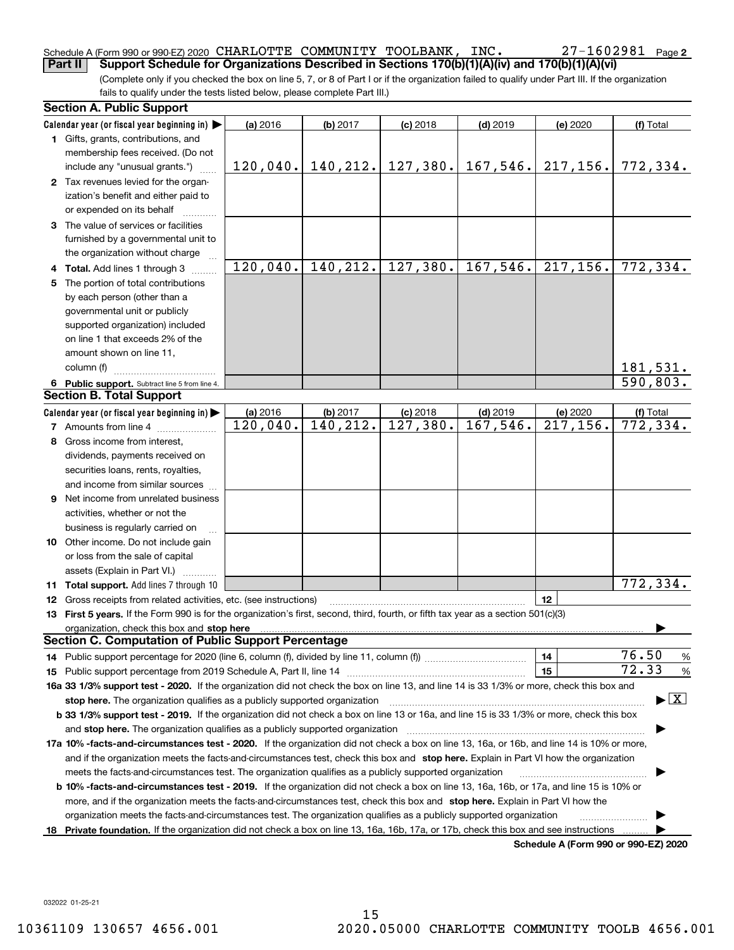### Schedule A (Form 990 or 990-EZ) 2020 CHARLOTTE COMMUNITY TOOLBANK, INC.<br>| Part II | Support Schedule for Organizations Described in Sections 170(b)(1)(A)(i CHARLOTTE COMMUNITY TOOLBANK, INC. 27-1602981

(Complete only if you checked the box on line 5, 7, or 8 of Part I or if the organization failed to qualify under Part III. If the organization fails to qualify under the tests listed below, please complete Part III.) **Part II Support Schedule for Organizations Described in Sections 170(b)(1)(A)(iv) and 170(b)(1)(A)(vi)**

|    | <b>Section A. Public Support</b>                                                                                                               |          |                                    |            |                         |                                      |                                          |
|----|------------------------------------------------------------------------------------------------------------------------------------------------|----------|------------------------------------|------------|-------------------------|--------------------------------------|------------------------------------------|
|    | Calendar year (or fiscal year beginning in) $\blacktriangleright$                                                                              | (a) 2016 | (b) 2017                           | $(c)$ 2018 | $(d)$ 2019              | (e) 2020                             | (f) Total                                |
|    | 1 Gifts, grants, contributions, and                                                                                                            |          |                                    |            |                         |                                      |                                          |
|    | membership fees received. (Do not                                                                                                              |          |                                    |            |                         |                                      |                                          |
|    | include any "unusual grants.")                                                                                                                 |          | $120,040.$   140, 212.   127, 380. |            | 167, 546.               | 217, 156.                            | 772,334.                                 |
|    | 2 Tax revenues levied for the organ-                                                                                                           |          |                                    |            |                         |                                      |                                          |
|    | ization's benefit and either paid to                                                                                                           |          |                                    |            |                         |                                      |                                          |
|    | or expended on its behalf                                                                                                                      |          |                                    |            |                         |                                      |                                          |
|    | 3 The value of services or facilities                                                                                                          |          |                                    |            |                         |                                      |                                          |
|    | furnished by a governmental unit to                                                                                                            |          |                                    |            |                         |                                      |                                          |
|    | the organization without charge                                                                                                                |          |                                    |            |                         |                                      |                                          |
|    | 4 Total. Add lines 1 through 3                                                                                                                 | 120,040. | 140, 212.                          | 127,380.   | 167,546.                | 217, 156.                            | 772,334.                                 |
| 5. | The portion of total contributions                                                                                                             |          |                                    |            |                         |                                      |                                          |
|    | by each person (other than a                                                                                                                   |          |                                    |            |                         |                                      |                                          |
|    | governmental unit or publicly                                                                                                                  |          |                                    |            |                         |                                      |                                          |
|    | supported organization) included                                                                                                               |          |                                    |            |                         |                                      |                                          |
|    | on line 1 that exceeds 2% of the                                                                                                               |          |                                    |            |                         |                                      |                                          |
|    | amount shown on line 11,                                                                                                                       |          |                                    |            |                         |                                      |                                          |
|    | column (f)                                                                                                                                     |          |                                    |            |                         |                                      | 181,531.                                 |
|    | 6 Public support. Subtract line 5 from line 4.                                                                                                 |          |                                    |            |                         |                                      | 590,803.                                 |
|    | <b>Section B. Total Support</b>                                                                                                                |          |                                    |            |                         |                                      |                                          |
|    | Calendar year (or fiscal year beginning in)                                                                                                    | (a) 2016 | (b) 2017                           | $(c)$ 2018 | $(d)$ 2019              | (e) 2020                             | (f) Total                                |
|    | <b>7</b> Amounts from line 4                                                                                                                   | 120,040. | 140,212.                           | 127,380.   | $\overline{167}$ , 546. | 217, 156.                            | $\overline{772,}$ 334.                   |
|    | 8 Gross income from interest,                                                                                                                  |          |                                    |            |                         |                                      |                                          |
|    | dividends, payments received on                                                                                                                |          |                                    |            |                         |                                      |                                          |
|    | securities loans, rents, royalties,                                                                                                            |          |                                    |            |                         |                                      |                                          |
|    | and income from similar sources                                                                                                                |          |                                    |            |                         |                                      |                                          |
|    | 9 Net income from unrelated business                                                                                                           |          |                                    |            |                         |                                      |                                          |
|    | activities, whether or not the                                                                                                                 |          |                                    |            |                         |                                      |                                          |
|    | business is regularly carried on                                                                                                               |          |                                    |            |                         |                                      |                                          |
|    | <b>10</b> Other income. Do not include gain                                                                                                    |          |                                    |            |                         |                                      |                                          |
|    | or loss from the sale of capital                                                                                                               |          |                                    |            |                         |                                      |                                          |
|    | assets (Explain in Part VI.) <b>Constant</b>                                                                                                   |          |                                    |            |                         |                                      |                                          |
|    | <b>11 Total support.</b> Add lines 7 through 10                                                                                                |          |                                    |            |                         |                                      | 772,334.                                 |
|    | <b>12</b> Gross receipts from related activities, etc. (see instructions)                                                                      |          |                                    |            |                         | 12                                   |                                          |
|    | 13 First 5 years. If the Form 990 is for the organization's first, second, third, fourth, or fifth tax year as a section 501(c)(3)             |          |                                    |            |                         |                                      |                                          |
|    | organization, check this box and stop here                                                                                                     |          |                                    |            |                         |                                      |                                          |
|    | <b>Section C. Computation of Public Support Percentage</b>                                                                                     |          |                                    |            |                         |                                      |                                          |
|    | 14 Public support percentage for 2020 (line 6, column (f), divided by line 11, column (f) <i></i>                                              |          |                                    |            |                         | 14                                   | 76.50<br>%                               |
|    |                                                                                                                                                |          |                                    |            |                         | 15                                   | 72.33<br>%                               |
|    | 16a 33 1/3% support test - 2020. If the organization did not check the box on line 13, and line 14 is 33 1/3% or more, check this box and      |          |                                    |            |                         |                                      |                                          |
|    | stop here. The organization qualifies as a publicly supported organization                                                                     |          |                                    |            |                         |                                      | $\blacktriangleright$ $\boxed{\text{X}}$ |
|    | b 33 1/3% support test - 2019. If the organization did not check a box on line 13 or 16a, and line 15 is 33 1/3% or more, check this box       |          |                                    |            |                         |                                      |                                          |
|    | and stop here. The organization qualifies as a publicly supported organization                                                                 |          |                                    |            |                         |                                      |                                          |
|    | 17a 10% -facts-and-circumstances test - 2020. If the organization did not check a box on line 13, 16a, or 16b, and line 14 is 10% or more,     |          |                                    |            |                         |                                      |                                          |
|    | and if the organization meets the facts-and-circumstances test, check this box and stop here. Explain in Part VI how the organization          |          |                                    |            |                         |                                      |                                          |
|    | meets the facts-and-circumstances test. The organization qualifies as a publicly supported organization                                        |          |                                    |            |                         |                                      |                                          |
|    | <b>b 10% -facts-and-circumstances test - 2019.</b> If the organization did not check a box on line 13, 16a, 16b, or 17a, and line 15 is 10% or |          |                                    |            |                         |                                      |                                          |
|    | more, and if the organization meets the facts-and-circumstances test, check this box and stop here. Explain in Part VI how the                 |          |                                    |            |                         |                                      |                                          |
|    | organization meets the facts-and-circumstances test. The organization qualifies as a publicly supported organization                           |          |                                    |            |                         |                                      |                                          |
| 18 | Private foundation. If the organization did not check a box on line 13, 16a, 16b, 17a, or 17b, check this box and see instructions             |          |                                    |            |                         |                                      |                                          |
|    |                                                                                                                                                |          |                                    |            |                         | Schedule A (Form 990 or 990-F7) 2020 |                                          |

**Schedule A (Form 990 or 990-EZ) 2020**

032022 01-25-21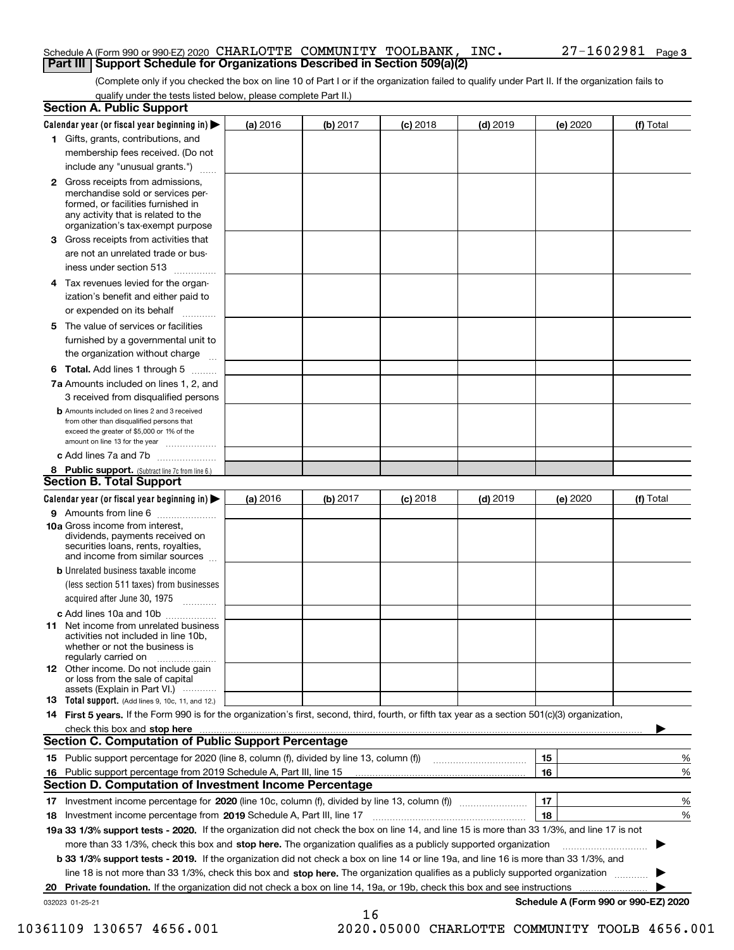### Schedule A (Form 990 or 990-EZ) 2020 CHARLOTTE COMMUNITY TOOLBANK, INC. 27–1602981 Page<br>LPart III LSupport Schedule for Organizations Described in Section 509(a)(2) **Part III** | Support Schedule for Organizations Described in Section 509(a)(2)

(Complete only if you checked the box on line 10 of Part I or if the organization failed to qualify under Part II. If the organization fails to qualify under the tests listed below, please complete Part II.)

| <b>Section A. Public Support</b>                                                                                                                                                                                                  |          |          |            |            |          |                                      |
|-----------------------------------------------------------------------------------------------------------------------------------------------------------------------------------------------------------------------------------|----------|----------|------------|------------|----------|--------------------------------------|
| Calendar year (or fiscal year beginning in) $\blacktriangleright$                                                                                                                                                                 | (a) 2016 | (b) 2017 | $(c)$ 2018 | $(d)$ 2019 | (e) 2020 | (f) Total                            |
| 1 Gifts, grants, contributions, and                                                                                                                                                                                               |          |          |            |            |          |                                      |
| membership fees received. (Do not                                                                                                                                                                                                 |          |          |            |            |          |                                      |
| include any "unusual grants.")                                                                                                                                                                                                    |          |          |            |            |          |                                      |
| 2 Gross receipts from admissions,<br>merchandise sold or services per-<br>formed, or facilities furnished in<br>any activity that is related to the<br>organization's tax-exempt purpose                                          |          |          |            |            |          |                                      |
| 3 Gross receipts from activities that<br>are not an unrelated trade or bus-                                                                                                                                                       |          |          |            |            |          |                                      |
| iness under section 513                                                                                                                                                                                                           |          |          |            |            |          |                                      |
| 4 Tax revenues levied for the organ-<br>ization's benefit and either paid to                                                                                                                                                      |          |          |            |            |          |                                      |
| or expended on its behalf<br>.                                                                                                                                                                                                    |          |          |            |            |          |                                      |
| 5 The value of services or facilities<br>furnished by a governmental unit to<br>the organization without charge                                                                                                                   |          |          |            |            |          |                                      |
| <b>6 Total.</b> Add lines 1 through 5                                                                                                                                                                                             |          |          |            |            |          |                                      |
| 7a Amounts included on lines 1, 2, and                                                                                                                                                                                            |          |          |            |            |          |                                      |
| 3 received from disqualified persons<br><b>b</b> Amounts included on lines 2 and 3 received<br>from other than disqualified persons that<br>exceed the greater of \$5,000 or 1% of the<br>amount on line 13 for the year          |          |          |            |            |          |                                      |
| c Add lines 7a and 7b                                                                                                                                                                                                             |          |          |            |            |          |                                      |
| 8 Public support. (Subtract line 7c from line 6.)                                                                                                                                                                                 |          |          |            |            |          |                                      |
| <b>Section B. Total Support</b>                                                                                                                                                                                                   |          |          |            |            |          |                                      |
| Calendar year (or fiscal year beginning in)                                                                                                                                                                                       | (a) 2016 | (b) 2017 | $(c)$ 2018 | $(d)$ 2019 | (e) 2020 | (f) Total                            |
| 9 Amounts from line 6                                                                                                                                                                                                             |          |          |            |            |          |                                      |
| <b>10a</b> Gross income from interest,<br>dividends, payments received on<br>securities loans, rents, royalties,<br>and income from similar sources                                                                               |          |          |            |            |          |                                      |
| <b>b</b> Unrelated business taxable income<br>(less section 511 taxes) from businesses<br>acquired after June 30, 1975                                                                                                            |          |          |            |            |          |                                      |
| c Add lines 10a and 10b                                                                                                                                                                                                           |          |          |            |            |          |                                      |
| <b>11</b> Net income from unrelated business<br>activities not included in line 10b,<br>whether or not the business is<br>regularly carried on                                                                                    |          |          |            |            |          |                                      |
| <b>12</b> Other income. Do not include gain<br>or loss from the sale of capital<br>assets (Explain in Part VI.)                                                                                                                   |          |          |            |            |          |                                      |
| <b>13</b> Total support. (Add lines 9, 10c, 11, and 12.)                                                                                                                                                                          |          |          |            |            |          |                                      |
| 14 First 5 years. If the Form 990 is for the organization's first, second, third, fourth, or fifth tax year as a section 501(c)(3) organization,                                                                                  |          |          |            |            |          |                                      |
| check this box and stop here <b>contained and contained and contained</b> and contained and stop here <b>contained and stop here contained and stop here contained and stop here contained and stop here contained and stop h</b> |          |          |            |            |          |                                      |
| <b>Section C. Computation of Public Support Percentage</b>                                                                                                                                                                        |          |          |            |            |          |                                      |
|                                                                                                                                                                                                                                   |          |          |            |            | 15       | %                                    |
| 16 Public support percentage from 2019 Schedule A, Part III, line 15                                                                                                                                                              |          |          |            |            | 16       | %                                    |
| <b>Section D. Computation of Investment Income Percentage</b>                                                                                                                                                                     |          |          |            |            |          |                                      |
| 17 Investment income percentage for 2020 (line 10c, column (f), divided by line 13, column (f))                                                                                                                                   |          |          |            |            | 17       | %                                    |
| 18 Investment income percentage from 2019 Schedule A, Part III, line 17                                                                                                                                                           |          |          |            |            | 18       | %                                    |
| 19a 33 1/3% support tests - 2020. If the organization did not check the box on line 14, and line 15 is more than 33 1/3%, and line 17 is not                                                                                      |          |          |            |            |          |                                      |
| more than 33 1/3%, check this box and stop here. The organization qualifies as a publicly supported organization                                                                                                                  |          |          |            |            |          |                                      |
| b 33 1/3% support tests - 2019. If the organization did not check a box on line 14 or line 19a, and line 16 is more than 33 1/3%, and                                                                                             |          |          |            |            |          |                                      |
| line 18 is not more than 33 1/3%, check this box and stop here. The organization qualifies as a publicly supported organization <i>marrouum</i>                                                                                   |          |          |            |            |          |                                      |
|                                                                                                                                                                                                                                   |          |          |            |            |          |                                      |
| 032023 01-25-21                                                                                                                                                                                                                   |          | 16       |            |            |          | Schedule A (Form 990 or 990-EZ) 2020 |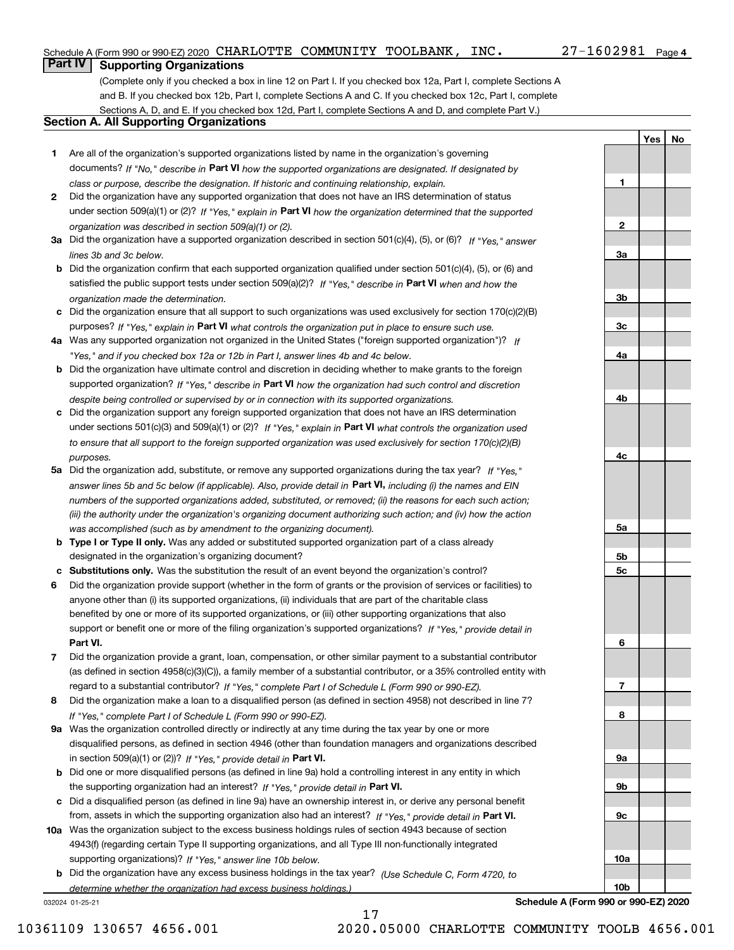**1**

**2**

**3a**

**3b**

**3c**

**4a**

**4b**

**4c**

**5a**

**5b5c**

**6**

**7**

**8**

**9a**

**9b**

**9c**

**10a**

**10b**

**Yes No**

## **Part IV Supporting Organizations**

(Complete only if you checked a box in line 12 on Part I. If you checked box 12a, Part I, complete Sections A and B. If you checked box 12b, Part I, complete Sections A and C. If you checked box 12c, Part I, complete Sections A, D, and E. If you checked box 12d, Part I, complete Sections A and D, and complete Part V.)

## **Section A. All Supporting Organizations**

- **1** Are all of the organization's supported organizations listed by name in the organization's governing documents? If "No," describe in **Part VI** how the supported organizations are designated. If designated by *class or purpose, describe the designation. If historic and continuing relationship, explain.*
- **2** Did the organization have any supported organization that does not have an IRS determination of status under section 509(a)(1) or (2)? If "Yes," explain in Part VI how the organization determined that the supported *organization was described in section 509(a)(1) or (2).*
- **3a** Did the organization have a supported organization described in section 501(c)(4), (5), or (6)? If "Yes," answer *lines 3b and 3c below.*
- **b** Did the organization confirm that each supported organization qualified under section 501(c)(4), (5), or (6) and satisfied the public support tests under section 509(a)(2)? If "Yes," describe in **Part VI** when and how the *organization made the determination.*
- **c**Did the organization ensure that all support to such organizations was used exclusively for section 170(c)(2)(B) purposes? If "Yes," explain in **Part VI** what controls the organization put in place to ensure such use.
- **4a***If* Was any supported organization not organized in the United States ("foreign supported organization")? *"Yes," and if you checked box 12a or 12b in Part I, answer lines 4b and 4c below.*
- **b** Did the organization have ultimate control and discretion in deciding whether to make grants to the foreign supported organization? If "Yes," describe in **Part VI** how the organization had such control and discretion *despite being controlled or supervised by or in connection with its supported organizations.*
- **c** Did the organization support any foreign supported organization that does not have an IRS determination under sections 501(c)(3) and 509(a)(1) or (2)? If "Yes," explain in **Part VI** what controls the organization used *to ensure that all support to the foreign supported organization was used exclusively for section 170(c)(2)(B) purposes.*
- **5a** Did the organization add, substitute, or remove any supported organizations during the tax year? If "Yes," answer lines 5b and 5c below (if applicable). Also, provide detail in **Part VI,** including (i) the names and EIN *numbers of the supported organizations added, substituted, or removed; (ii) the reasons for each such action; (iii) the authority under the organization's organizing document authorizing such action; and (iv) how the action was accomplished (such as by amendment to the organizing document).*
- **b** Type I or Type II only. Was any added or substituted supported organization part of a class already designated in the organization's organizing document?
- **cSubstitutions only.**  Was the substitution the result of an event beyond the organization's control?
- **6** Did the organization provide support (whether in the form of grants or the provision of services or facilities) to **Part VI.** *If "Yes," provide detail in* support or benefit one or more of the filing organization's supported organizations? anyone other than (i) its supported organizations, (ii) individuals that are part of the charitable class benefited by one or more of its supported organizations, or (iii) other supporting organizations that also
- **7**Did the organization provide a grant, loan, compensation, or other similar payment to a substantial contributor *If "Yes," complete Part I of Schedule L (Form 990 or 990-EZ).* regard to a substantial contributor? (as defined in section 4958(c)(3)(C)), a family member of a substantial contributor, or a 35% controlled entity with
- **8** Did the organization make a loan to a disqualified person (as defined in section 4958) not described in line 7? *If "Yes," complete Part I of Schedule L (Form 990 or 990-EZ).*
- **9a** Was the organization controlled directly or indirectly at any time during the tax year by one or more in section 509(a)(1) or (2))? If "Yes," *provide detail in* <code>Part VI.</code> disqualified persons, as defined in section 4946 (other than foundation managers and organizations described
- **b** Did one or more disqualified persons (as defined in line 9a) hold a controlling interest in any entity in which the supporting organization had an interest? If "Yes," provide detail in P**art VI**.
- **c**Did a disqualified person (as defined in line 9a) have an ownership interest in, or derive any personal benefit from, assets in which the supporting organization also had an interest? If "Yes," provide detail in P**art VI.**
- **10a** Was the organization subject to the excess business holdings rules of section 4943 because of section supporting organizations)? If "Yes," answer line 10b below. 4943(f) (regarding certain Type II supporting organizations, and all Type III non-functionally integrated
- **b** Did the organization have any excess business holdings in the tax year? (Use Schedule C, Form 4720, to *determine whether the organization had excess business holdings.)*

17

032024 01-25-21

**Schedule A (Form 990 or 990-EZ) 2020**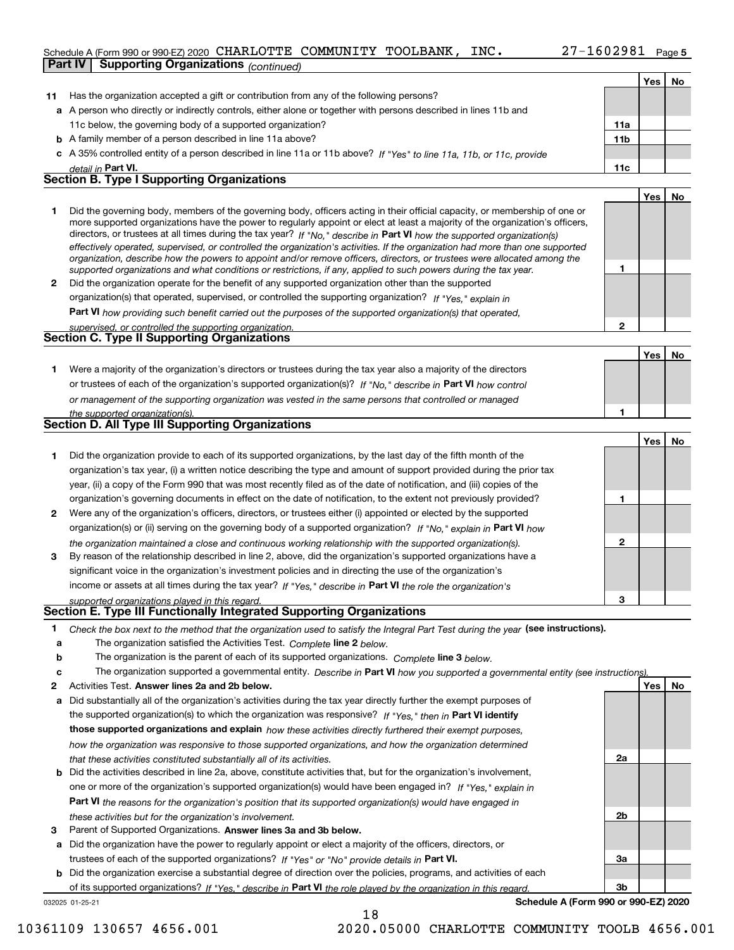|    | Schedule A (Form 990 or 990-EZ) 2020 CHARLOTTE COMMUNITY TOOLBANK,<br>INC.                                                                                                                                                                                 | $27 - 1602981$ Page 5 |                  |    |
|----|------------------------------------------------------------------------------------------------------------------------------------------------------------------------------------------------------------------------------------------------------------|-----------------------|------------------|----|
|    | Part IV<br><b>Supporting Organizations</b> (continued)                                                                                                                                                                                                     |                       |                  |    |
|    |                                                                                                                                                                                                                                                            |                       | Yes <sub>1</sub> | No |
| 11 | Has the organization accepted a gift or contribution from any of the following persons?                                                                                                                                                                    |                       |                  |    |
|    | a A person who directly or indirectly controls, either alone or together with persons described in lines 11b and                                                                                                                                           |                       |                  |    |
|    | 11c below, the governing body of a supported organization?                                                                                                                                                                                                 | 11a                   |                  |    |
|    | <b>b</b> A family member of a person described in line 11a above?                                                                                                                                                                                          | 11 <sub>b</sub>       |                  |    |
|    | c A 35% controlled entity of a person described in line 11a or 11b above? If "Yes" to line 11a, 11b, or 11c, provide                                                                                                                                       |                       |                  |    |
|    | detail in Part VI.                                                                                                                                                                                                                                         | 11c                   |                  |    |
|    | Section B. Type I Supporting Organizations                                                                                                                                                                                                                 |                       |                  |    |
|    |                                                                                                                                                                                                                                                            |                       | Yes              | No |
| 1  | Did the governing body, members of the governing body, officers acting in their official capacity, or membership of one or                                                                                                                                 |                       |                  |    |
|    | more supported organizations have the power to regularly appoint or elect at least a majority of the organization's officers,                                                                                                                              |                       |                  |    |
|    | directors, or trustees at all times during the tax year? If "No," describe in Part VI how the supported organization(s)                                                                                                                                    |                       |                  |    |
|    | effectively operated, supervised, or controlled the organization's activities. If the organization had more than one supported<br>organization, describe how the powers to appoint and/or remove officers, directors, or trustees were allocated among the |                       |                  |    |
|    | supported organizations and what conditions or restrictions, if any, applied to such powers during the tax year.                                                                                                                                           | 1                     |                  |    |
| 2  | Did the organization operate for the benefit of any supported organization other than the supported                                                                                                                                                        |                       |                  |    |
|    | organization(s) that operated, supervised, or controlled the supporting organization? If "Yes," explain in                                                                                                                                                 |                       |                  |    |
|    | <b>Part VI</b> how providing such benefit carried out the purposes of the supported organization(s) that operated,                                                                                                                                         |                       |                  |    |
|    | supervised, or controlled the supporting organization.                                                                                                                                                                                                     | 2                     |                  |    |
|    | Section C. Type II Supporting Organizations                                                                                                                                                                                                                |                       |                  |    |
|    |                                                                                                                                                                                                                                                            |                       | Yes              | No |
| 1. | Were a majority of the organization's directors or trustees during the tax year also a majority of the directors                                                                                                                                           |                       |                  |    |
|    | or trustees of each of the organization's supported organization(s)? If "No," describe in Part VI how control                                                                                                                                              |                       |                  |    |
|    | or management of the supporting organization was vested in the same persons that controlled or managed                                                                                                                                                     |                       |                  |    |
|    | the supported organization(s).                                                                                                                                                                                                                             | 1                     |                  |    |
|    | <b>Section D. All Type III Supporting Organizations</b>                                                                                                                                                                                                    |                       |                  |    |
|    |                                                                                                                                                                                                                                                            |                       | Yes              | No |
| 1  | Did the organization provide to each of its supported organizations, by the last day of the fifth month of the                                                                                                                                             |                       |                  |    |
|    | organization's tax year, (i) a written notice describing the type and amount of support provided during the prior tax                                                                                                                                      |                       |                  |    |
|    | year, (ii) a copy of the Form 990 that was most recently filed as of the date of notification, and (iii) copies of the                                                                                                                                     |                       |                  |    |
|    | organization's governing documents in effect on the date of notification, to the extent not previously provided?                                                                                                                                           | 1                     |                  |    |
| 2  | Were any of the organization's officers, directors, or trustees either (i) appointed or elected by the supported                                                                                                                                           |                       |                  |    |
|    | organization(s) or (ii) serving on the governing body of a supported organization? If "No," explain in Part VI how                                                                                                                                         |                       |                  |    |
|    | the organization maintained a close and continuous working relationship with the supported organization(s).                                                                                                                                                | 2                     |                  |    |
| 3  | By reason of the relationship described in line 2, above, did the organization's supported organizations have a                                                                                                                                            |                       |                  |    |
|    | significant voice in the organization's investment policies and in directing the use of the organization's                                                                                                                                                 |                       |                  |    |
|    | income or assets at all times during the tax year? If "Yes," describe in Part VI the role the organization's                                                                                                                                               |                       |                  |    |
|    | supported organizations played in this regard.                                                                                                                                                                                                             | 3                     |                  |    |
|    | Section E. Type III Functionally Integrated Supporting Organizations                                                                                                                                                                                       |                       |                  |    |
| 1. | Check the box next to the method that the organization used to satisfy the Integral Part Test during the year (see instructions).                                                                                                                          |                       |                  |    |
| a  | The organization satisfied the Activities Test. Complete line 2 below.                                                                                                                                                                                     |                       |                  |    |
| b  | The organization is the parent of each of its supported organizations. Complete line 3 below.                                                                                                                                                              |                       |                  |    |
| c  | The organization supported a governmental entity. Describe in Part VI how you supported a governmental entity (see instructions)                                                                                                                           |                       |                  |    |
| 2  | Activities Test. Answer lines 2a and 2b below.                                                                                                                                                                                                             |                       | Yes              | No |
| а  | Did substantially all of the organization's activities during the tax year directly further the exempt purposes of                                                                                                                                         |                       |                  |    |
|    | the supported organization(s) to which the organization was responsive? If "Yes," then in Part VI identify                                                                                                                                                 |                       |                  |    |
|    | those supported organizations and explain how these activities directly furthered their exempt purposes,                                                                                                                                                   |                       |                  |    |
|    | how the organization was responsive to those supported organizations, and how the organization determined                                                                                                                                                  |                       |                  |    |

- *that these activities constituted substantially all of its activities.*
- **b** Did the activities described in line 2a, above, constitute activities that, but for the organization's involvement, **Part VI**  *the reasons for the organization's position that its supported organization(s) would have engaged in* one or more of the organization's supported organization(s) would have been engaged in? If "Yes," e*xplain in these activities but for the organization's involvement.*
- **3** Parent of Supported Organizations. Answer lines 3a and 3b below.

**a** Did the organization have the power to regularly appoint or elect a majority of the officers, directors, or trustees of each of the supported organizations? If "Yes" or "No" provide details in P**art VI.** 

032025 01-25-21 **b** Did the organization exercise a substantial degree of direction over the policies, programs, and activities of each **Part VI**  *If "Yes," describe in the role played by the organization in this regard.* of its supported organizations?

**Schedule A (Form 990 or 990-EZ) 2020**

**2a**

**2b**

**3a**

**3b**

18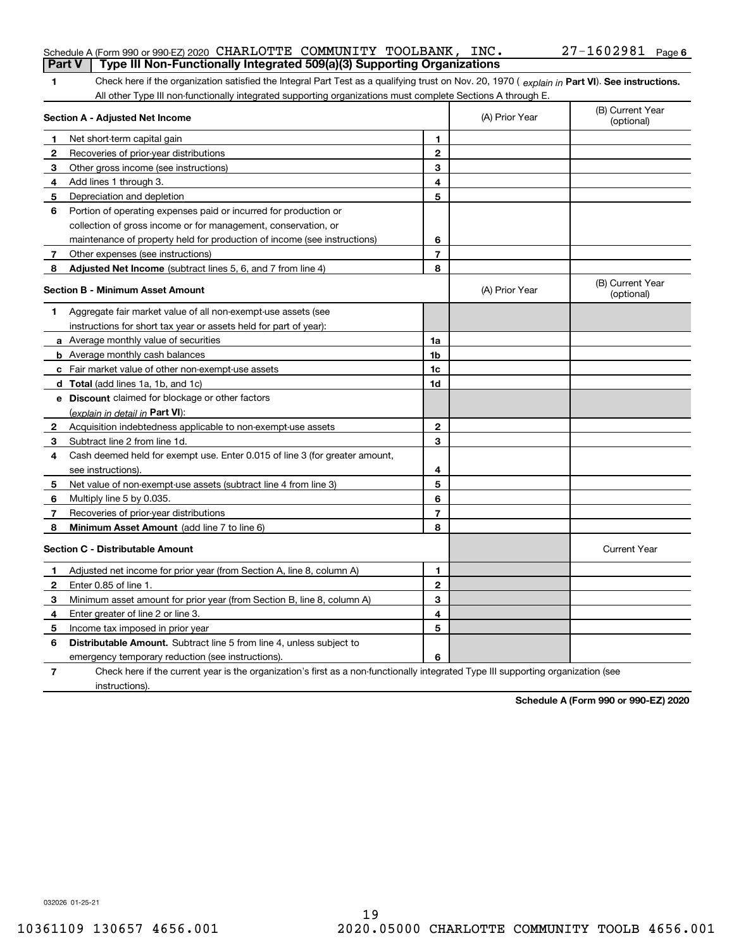|                | Schedule A (Form 990 or 990-EZ) 2020 CHARLOTTE COMMUNITY TOOLBANK, INC.                                                                        |                |                | $27 - 1602981$ Page 6          |
|----------------|------------------------------------------------------------------------------------------------------------------------------------------------|----------------|----------------|--------------------------------|
|                | Type III Non-Functionally Integrated 509(a)(3) Supporting Organizations<br><b>Part V</b>                                                       |                |                |                                |
| 1.             | Check here if the organization satisfied the Integral Part Test as a qualifying trust on Nov. 20, 1970 (explain in Part VI). See instructions. |                |                |                                |
|                | All other Type III non-functionally integrated supporting organizations must complete Sections A through E.                                    |                |                |                                |
|                | Section A - Adjusted Net Income                                                                                                                |                | (A) Prior Year | (B) Current Year<br>(optional) |
| 1              | Net short-term capital gain                                                                                                                    | 1              |                |                                |
| 2              | Recoveries of prior-year distributions                                                                                                         | $\mathbf{2}$   |                |                                |
| 3              | Other gross income (see instructions)                                                                                                          | 3              |                |                                |
| 4              | Add lines 1 through 3.                                                                                                                         | 4              |                |                                |
| 5              | Depreciation and depletion                                                                                                                     | 5              |                |                                |
| 6              | Portion of operating expenses paid or incurred for production or                                                                               |                |                |                                |
|                | collection of gross income or for management, conservation, or                                                                                 |                |                |                                |
|                | maintenance of property held for production of income (see instructions)                                                                       | 6              |                |                                |
| 7              | Other expenses (see instructions)                                                                                                              | $\overline{7}$ |                |                                |
| 8              | Adjusted Net Income (subtract lines 5, 6, and 7 from line 4)                                                                                   | 8              |                |                                |
|                | <b>Section B - Minimum Asset Amount</b>                                                                                                        |                | (A) Prior Year | (B) Current Year<br>(optional) |
| 1              | Aggregate fair market value of all non-exempt-use assets (see                                                                                  |                |                |                                |
|                | instructions for short tax year or assets held for part of year):                                                                              |                |                |                                |
|                | a Average monthly value of securities                                                                                                          | 1a             |                |                                |
|                | <b>b</b> Average monthly cash balances                                                                                                         | 1b             |                |                                |
|                | c Fair market value of other non-exempt-use assets                                                                                             | 1c             |                |                                |
|                | d Total (add lines 1a, 1b, and 1c)                                                                                                             | 1d             |                |                                |
|                | e Discount claimed for blockage or other factors                                                                                               |                |                |                                |
|                | (explain in detail in Part VI):                                                                                                                |                |                |                                |
| 2              | Acquisition indebtedness applicable to non-exempt-use assets                                                                                   | $\mathbf{2}$   |                |                                |
| 3              | Subtract line 2 from line 1d.                                                                                                                  | 3              |                |                                |
| 4              | Cash deemed held for exempt use. Enter 0.015 of line 3 (for greater amount,                                                                    |                |                |                                |
|                | see instructions).                                                                                                                             | 4              |                |                                |
| 5              | Net value of non-exempt-use assets (subtract line 4 from line 3)                                                                               | 5              |                |                                |
| 6              | Multiply line 5 by 0.035.                                                                                                                      | 6              |                |                                |
| 7              | Recoveries of prior-year distributions                                                                                                         | $\overline{7}$ |                |                                |
| 8              | Minimum Asset Amount (add line 7 to line 6)                                                                                                    | 8              |                |                                |
|                | Section C - Distributable Amount                                                                                                               |                |                | <b>Current Year</b>            |
|                | Adjusted net income for prior year (from Section A, line 8, column A)                                                                          | 1              |                |                                |
| $\mathbf{2}$   | Enter 0.85 of line 1.                                                                                                                          | 2              |                |                                |
| 3              | Minimum asset amount for prior year (from Section B, line 8, column A)                                                                         | 3              |                |                                |
| 4              | Enter greater of line 2 or line 3.                                                                                                             | 4              |                |                                |
| 5              | Income tax imposed in prior year                                                                                                               | 5              |                |                                |
| 6              | Distributable Amount. Subtract line 5 from line 4, unless subject to                                                                           |                |                |                                |
|                | emergency temporary reduction (see instructions).                                                                                              | 6              |                |                                |
| $\overline{7}$ | Check here if the current year is the organization's first as a non-functionally integrated Type III supporting organization (see              |                |                |                                |

**Schedule A (Form 990 or 990-EZ) 2020**

032026 01-25-21

instructions).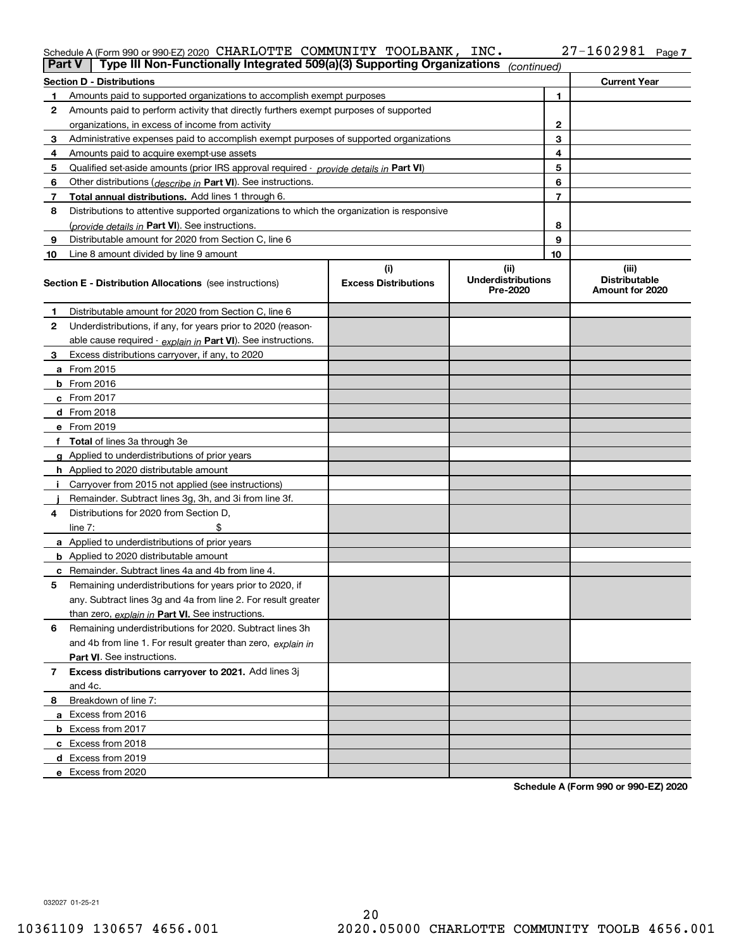## Schedule A (Form 990 or 990-EZ) 2020 CHARLOTTE COMMUNITY TOOLBANK, INC. 27-1602981 Page<br>Dart V L Type III Non-Eunctionally Integrated 500(a)(3) Supporting Organizations (e.g. tries of a

| Part V         | Type III Non-Functionally Integrated 509(a)(3) Supporting Organizations                    |                             | (continued)                           |    |                                         |
|----------------|--------------------------------------------------------------------------------------------|-----------------------------|---------------------------------------|----|-----------------------------------------|
|                | <b>Section D - Distributions</b>                                                           |                             |                                       |    | <b>Current Year</b>                     |
| 1.             | Amounts paid to supported organizations to accomplish exempt purposes                      |                             |                                       | 1  |                                         |
| 2              | Amounts paid to perform activity that directly furthers exempt purposes of supported       |                             |                                       |    |                                         |
|                | organizations, in excess of income from activity                                           |                             |                                       | 2  |                                         |
| 3              | Administrative expenses paid to accomplish exempt purposes of supported organizations      |                             |                                       | 3  |                                         |
| 4              | Amounts paid to acquire exempt-use assets                                                  |                             |                                       | 4  |                                         |
| 5              | Qualified set-aside amounts (prior IRS approval required - provide details in Part VI)     |                             |                                       | 5  |                                         |
| 6              | Other distributions ( <i>describe in</i> Part VI). See instructions.                       |                             |                                       | 6  |                                         |
| 7              | Total annual distributions. Add lines 1 through 6.                                         |                             |                                       | 7  |                                         |
| 8              | Distributions to attentive supported organizations to which the organization is responsive |                             |                                       |    |                                         |
|                | (provide details in Part VI). See instructions.                                            |                             |                                       | 8  |                                         |
| 9              | Distributable amount for 2020 from Section C, line 6                                       |                             |                                       | 9  |                                         |
| 10             | Line 8 amount divided by line 9 amount                                                     |                             |                                       | 10 |                                         |
|                |                                                                                            | (i)                         | (ii)                                  |    | (iii)                                   |
|                | <b>Section E - Distribution Allocations</b> (see instructions)                             | <b>Excess Distributions</b> | <b>Underdistributions</b><br>Pre-2020 |    | <b>Distributable</b><br>Amount for 2020 |
| 1              | Distributable amount for 2020 from Section C, line 6                                       |                             |                                       |    |                                         |
| 2              | Underdistributions, if any, for years prior to 2020 (reason-                               |                             |                                       |    |                                         |
|                | able cause required - explain in Part VI). See instructions.                               |                             |                                       |    |                                         |
| 3              | Excess distributions carryover, if any, to 2020                                            |                             |                                       |    |                                         |
|                | a From 2015                                                                                |                             |                                       |    |                                         |
|                | <b>b</b> From 2016                                                                         |                             |                                       |    |                                         |
|                | $c$ From 2017                                                                              |                             |                                       |    |                                         |
|                | <b>d</b> From 2018                                                                         |                             |                                       |    |                                         |
|                | e From 2019                                                                                |                             |                                       |    |                                         |
|                | f Total of lines 3a through 3e                                                             |                             |                                       |    |                                         |
|                | g Applied to underdistributions of prior years                                             |                             |                                       |    |                                         |
|                | <b>h</b> Applied to 2020 distributable amount                                              |                             |                                       |    |                                         |
|                | Carryover from 2015 not applied (see instructions)                                         |                             |                                       |    |                                         |
|                | Remainder. Subtract lines 3g, 3h, and 3i from line 3f.                                     |                             |                                       |    |                                         |
| 4              | Distributions for 2020 from Section D.                                                     |                             |                                       |    |                                         |
|                | line $7:$                                                                                  |                             |                                       |    |                                         |
|                | a Applied to underdistributions of prior years                                             |                             |                                       |    |                                         |
|                | <b>b</b> Applied to 2020 distributable amount                                              |                             |                                       |    |                                         |
|                | c Remainder. Subtract lines 4a and 4b from line 4.                                         |                             |                                       |    |                                         |
| 5              | Remaining underdistributions for years prior to 2020, if                                   |                             |                                       |    |                                         |
|                | any. Subtract lines 3g and 4a from line 2. For result greater                              |                             |                                       |    |                                         |
|                | than zero, explain in Part VI. See instructions.                                           |                             |                                       |    |                                         |
| 6              | Remaining underdistributions for 2020. Subtract lines 3h                                   |                             |                                       |    |                                         |
|                | and 4b from line 1. For result greater than zero, explain in                               |                             |                                       |    |                                         |
|                | Part VI. See instructions.                                                                 |                             |                                       |    |                                         |
| $\overline{7}$ | Excess distributions carryover to 2021. Add lines 3j                                       |                             |                                       |    |                                         |
|                | and 4c.                                                                                    |                             |                                       |    |                                         |
| 8              | Breakdown of line 7:                                                                       |                             |                                       |    |                                         |
|                | a Excess from 2016                                                                         |                             |                                       |    |                                         |
|                | <b>b</b> Excess from 2017                                                                  |                             |                                       |    |                                         |
|                | c Excess from 2018                                                                         |                             |                                       |    |                                         |
|                | d Excess from 2019                                                                         |                             |                                       |    |                                         |
|                | e Excess from 2020                                                                         |                             |                                       |    |                                         |
|                |                                                                                            |                             |                                       |    |                                         |

**Schedule A (Form 990 or 990-EZ) 2020**

032027 01-25-21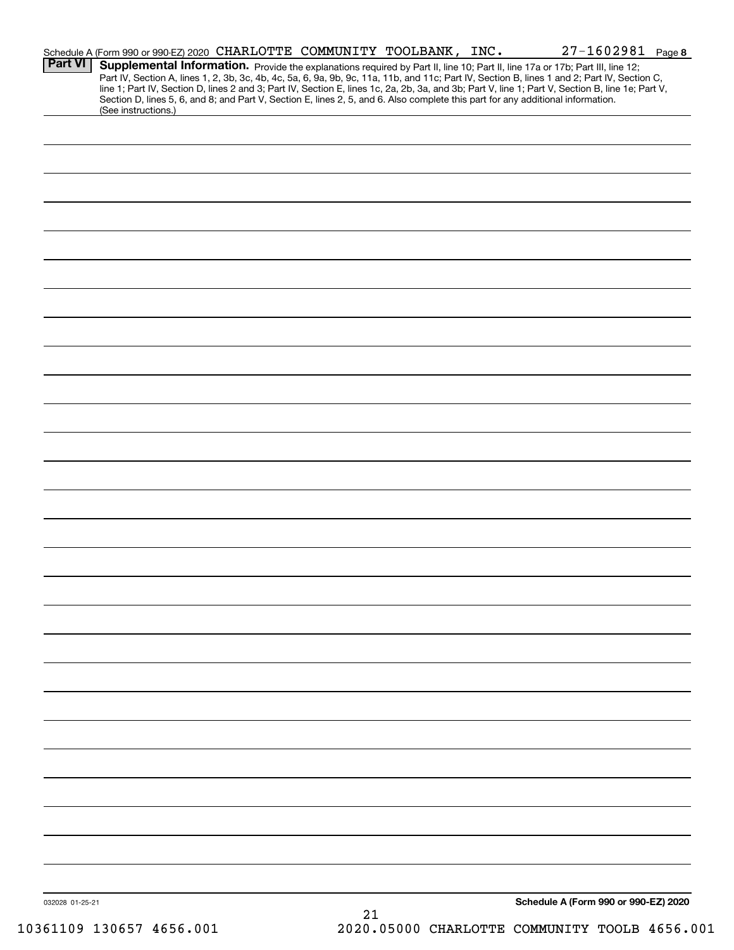|                 | Schedule A (Form 990 or 990-EZ) 2020 CHARLOTTE COMMUNITY TOOLBANK, INC.                                                                                |    |  | $27 - 1602981$ Page 8                                                                                                                                                                                                                                                                            |  |
|-----------------|--------------------------------------------------------------------------------------------------------------------------------------------------------|----|--|--------------------------------------------------------------------------------------------------------------------------------------------------------------------------------------------------------------------------------------------------------------------------------------------------|--|
| <b>Part VI</b>  | Supplemental Information. Provide the explanations required by Part II, line 10; Part II, line 17a or 17b; Part III, line 12;                          |    |  |                                                                                                                                                                                                                                                                                                  |  |
|                 |                                                                                                                                                        |    |  | Part IV, Section A, lines 1, 2, 3b, 3c, 4b, 4c, 5a, 6, 9a, 9b, 9c, 11a, 11b, and 11c; Part IV, Section B, lines 1 and 2; Part IV, Section C,<br>line 1; Part IV, Section D, lines 2 and 3; Part IV, Section E, lines 1c, 2a, 2b, 3a, and 3b; Part V, line 1; Part V, Section B, line 1e; Part V, |  |
|                 | Section D, lines 5, 6, and 8; and Part V, Section E, lines 2, 5, and 6. Also complete this part for any additional information.<br>(See instructions.) |    |  |                                                                                                                                                                                                                                                                                                  |  |
|                 |                                                                                                                                                        |    |  |                                                                                                                                                                                                                                                                                                  |  |
|                 |                                                                                                                                                        |    |  |                                                                                                                                                                                                                                                                                                  |  |
|                 |                                                                                                                                                        |    |  |                                                                                                                                                                                                                                                                                                  |  |
|                 |                                                                                                                                                        |    |  |                                                                                                                                                                                                                                                                                                  |  |
|                 |                                                                                                                                                        |    |  |                                                                                                                                                                                                                                                                                                  |  |
|                 |                                                                                                                                                        |    |  |                                                                                                                                                                                                                                                                                                  |  |
|                 |                                                                                                                                                        |    |  |                                                                                                                                                                                                                                                                                                  |  |
|                 |                                                                                                                                                        |    |  |                                                                                                                                                                                                                                                                                                  |  |
|                 |                                                                                                                                                        |    |  |                                                                                                                                                                                                                                                                                                  |  |
|                 |                                                                                                                                                        |    |  |                                                                                                                                                                                                                                                                                                  |  |
|                 |                                                                                                                                                        |    |  |                                                                                                                                                                                                                                                                                                  |  |
|                 |                                                                                                                                                        |    |  |                                                                                                                                                                                                                                                                                                  |  |
|                 |                                                                                                                                                        |    |  |                                                                                                                                                                                                                                                                                                  |  |
|                 |                                                                                                                                                        |    |  |                                                                                                                                                                                                                                                                                                  |  |
|                 |                                                                                                                                                        |    |  |                                                                                                                                                                                                                                                                                                  |  |
|                 |                                                                                                                                                        |    |  |                                                                                                                                                                                                                                                                                                  |  |
|                 |                                                                                                                                                        |    |  |                                                                                                                                                                                                                                                                                                  |  |
|                 |                                                                                                                                                        |    |  |                                                                                                                                                                                                                                                                                                  |  |
|                 |                                                                                                                                                        |    |  |                                                                                                                                                                                                                                                                                                  |  |
|                 |                                                                                                                                                        |    |  |                                                                                                                                                                                                                                                                                                  |  |
|                 |                                                                                                                                                        |    |  |                                                                                                                                                                                                                                                                                                  |  |
|                 |                                                                                                                                                        |    |  |                                                                                                                                                                                                                                                                                                  |  |
|                 |                                                                                                                                                        |    |  |                                                                                                                                                                                                                                                                                                  |  |
|                 |                                                                                                                                                        |    |  |                                                                                                                                                                                                                                                                                                  |  |
|                 |                                                                                                                                                        |    |  |                                                                                                                                                                                                                                                                                                  |  |
|                 |                                                                                                                                                        |    |  |                                                                                                                                                                                                                                                                                                  |  |
|                 |                                                                                                                                                        |    |  |                                                                                                                                                                                                                                                                                                  |  |
|                 |                                                                                                                                                        |    |  |                                                                                                                                                                                                                                                                                                  |  |
|                 |                                                                                                                                                        |    |  |                                                                                                                                                                                                                                                                                                  |  |
|                 |                                                                                                                                                        |    |  |                                                                                                                                                                                                                                                                                                  |  |
|                 |                                                                                                                                                        |    |  |                                                                                                                                                                                                                                                                                                  |  |
|                 |                                                                                                                                                        |    |  |                                                                                                                                                                                                                                                                                                  |  |
|                 |                                                                                                                                                        |    |  |                                                                                                                                                                                                                                                                                                  |  |
|                 |                                                                                                                                                        |    |  |                                                                                                                                                                                                                                                                                                  |  |
|                 |                                                                                                                                                        |    |  |                                                                                                                                                                                                                                                                                                  |  |
|                 |                                                                                                                                                        |    |  |                                                                                                                                                                                                                                                                                                  |  |
|                 |                                                                                                                                                        |    |  |                                                                                                                                                                                                                                                                                                  |  |
|                 |                                                                                                                                                        |    |  |                                                                                                                                                                                                                                                                                                  |  |
|                 |                                                                                                                                                        |    |  |                                                                                                                                                                                                                                                                                                  |  |
|                 |                                                                                                                                                        |    |  |                                                                                                                                                                                                                                                                                                  |  |
|                 |                                                                                                                                                        |    |  |                                                                                                                                                                                                                                                                                                  |  |
| 032028 01-25-21 |                                                                                                                                                        |    |  | Schedule A (Form 990 or 990-EZ) 2020                                                                                                                                                                                                                                                             |  |
|                 |                                                                                                                                                        | 21 |  |                                                                                                                                                                                                                                                                                                  |  |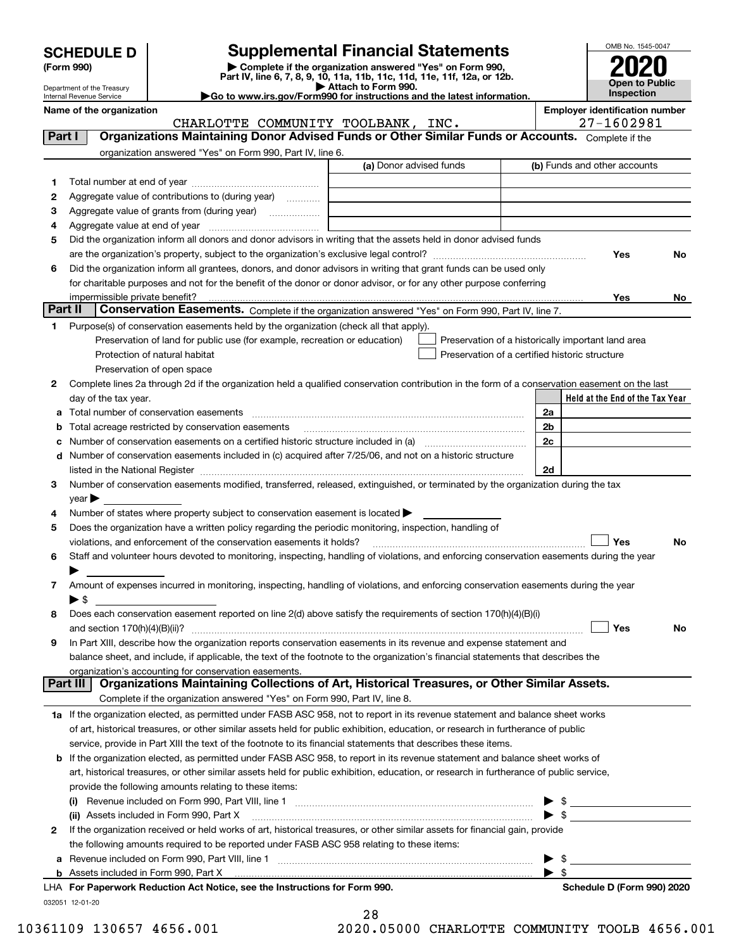| <b>SCHEDULE D</b> |  |
|-------------------|--|
|-------------------|--|

Department of the Treasury Internal Revenue Service

| (Form 990) |  |
|------------|--|
|------------|--|

## **Supplemental Financial Statements**

(Form 990)<br>
Pepartment of the Treasury<br>
Department of the Treasury<br>
Department of the Treasury<br>
Department of the Treasury<br> **Co to www.irs.gov/Form990 for instructions and the latest information.**<br> **Co to www.irs.gov/Form9** 



| <b>Employer identification number</b> |
|---------------------------------------|
|                                       |

CHARLOTTE COMMUNITY TOOLBANK, INC. 27-1602981

| Part I  | <b>Organizations Maintaining Donor Advised Funds or Other Similar Funds or Accounts.</b> Complete if the                                                                                                                      |                         |                                                    |
|---------|-------------------------------------------------------------------------------------------------------------------------------------------------------------------------------------------------------------------------------|-------------------------|----------------------------------------------------|
|         | organization answered "Yes" on Form 990, Part IV, line 6.                                                                                                                                                                     |                         |                                                    |
|         |                                                                                                                                                                                                                               | (a) Donor advised funds | (b) Funds and other accounts                       |
| 1.      |                                                                                                                                                                                                                               |                         |                                                    |
| 2       | Aggregate value of contributions to (during year)                                                                                                                                                                             |                         |                                                    |
| 3       | Aggregate value of grants from (during year)                                                                                                                                                                                  |                         |                                                    |
| 4       |                                                                                                                                                                                                                               |                         |                                                    |
| 5       | Did the organization inform all donors and donor advisors in writing that the assets held in donor advised funds                                                                                                              |                         |                                                    |
|         |                                                                                                                                                                                                                               |                         | Yes<br>No                                          |
| 6       | Did the organization inform all grantees, donors, and donor advisors in writing that grant funds can be used only                                                                                                             |                         |                                                    |
|         | for charitable purposes and not for the benefit of the donor or donor advisor, or for any other purpose conferring                                                                                                            |                         |                                                    |
|         |                                                                                                                                                                                                                               |                         | Yes<br>No l                                        |
| Part II | Conservation Easements. Complete if the organization answered "Yes" on Form 990, Part IV, line 7.                                                                                                                             |                         |                                                    |
| 1.      | Purpose(s) of conservation easements held by the organization (check all that apply).                                                                                                                                         |                         |                                                    |
|         | Preservation of land for public use (for example, recreation or education)                                                                                                                                                    |                         | Preservation of a historically important land area |
|         | Protection of natural habitat                                                                                                                                                                                                 |                         | Preservation of a certified historic structure     |
|         | Preservation of open space                                                                                                                                                                                                    |                         |                                                    |
| 2       | Complete lines 2a through 2d if the organization held a qualified conservation contribution in the form of a conservation easement on the last                                                                                |                         |                                                    |
|         | day of the tax year.                                                                                                                                                                                                          |                         | Held at the End of the Tax Year                    |
|         |                                                                                                                                                                                                                               |                         | 2a                                                 |
|         | <b>b</b> Total acreage restricted by conservation easements                                                                                                                                                                   |                         | 2 <sub>b</sub>                                     |
|         |                                                                                                                                                                                                                               |                         | 2c                                                 |
|         | d Number of conservation easements included in (c) acquired after 7/25/06, and not on a historic structure                                                                                                                    |                         |                                                    |
|         | listed in the National Register [11, 1200] [12] The National Register [11, 1200] [12] The National Register [11, 1200] [12] The National Register [11, 1200] [12] The National Register [11, 1200] [12] The National Register |                         | 2d                                                 |
| 3       | Number of conservation easements modified, transferred, released, extinguished, or terminated by the organization during the tax                                                                                              |                         |                                                    |
|         | year                                                                                                                                                                                                                          |                         |                                                    |
| 4       | Number of states where property subject to conservation easement is located $\blacktriangleright$                                                                                                                             |                         |                                                    |
| 5       | Does the organization have a written policy regarding the periodic monitoring, inspection, handling of                                                                                                                        |                         |                                                    |
|         | violations, and enforcement of the conservation easements it holds?                                                                                                                                                           |                         | Yes<br>No                                          |
| 6       | Staff and volunteer hours devoted to monitoring, inspecting, handling of violations, and enforcing conservation easements during the year                                                                                     |                         |                                                    |
|         |                                                                                                                                                                                                                               |                         |                                                    |
| 7       | Amount of expenses incurred in monitoring, inspecting, handling of violations, and enforcing conservation easements during the year                                                                                           |                         |                                                    |
|         | $\blacktriangleright$ \$                                                                                                                                                                                                      |                         |                                                    |
| 8       | Does each conservation easement reported on line 2(d) above satisfy the requirements of section 170(h)(4)(B)(i)                                                                                                               |                         |                                                    |
|         |                                                                                                                                                                                                                               |                         | Yes<br><b>No</b>                                   |
| 9       | In Part XIII, describe how the organization reports conservation easements in its revenue and expense statement and                                                                                                           |                         |                                                    |
|         | balance sheet, and include, if applicable, the text of the footnote to the organization's financial statements that describes the                                                                                             |                         |                                                    |
|         | organization's accounting for conservation easements.                                                                                                                                                                         |                         |                                                    |
|         | Organizations Maintaining Collections of Art, Historical Treasures, or Other Similar Assets.<br>Part III                                                                                                                      |                         |                                                    |
|         | Complete if the organization answered "Yes" on Form 990, Part IV, line 8.                                                                                                                                                     |                         |                                                    |
|         | 1a If the organization elected, as permitted under FASB ASC 958, not to report in its revenue statement and balance sheet works                                                                                               |                         |                                                    |
|         | of art, historical treasures, or other similar assets held for public exhibition, education, or research in furtherance of public                                                                                             |                         |                                                    |
|         | service, provide in Part XIII the text of the footnote to its financial statements that describes these items.                                                                                                                |                         |                                                    |
|         | <b>b</b> If the organization elected, as permitted under FASB ASC 958, to report in its revenue statement and balance sheet works of                                                                                          |                         |                                                    |
|         | art, historical treasures, or other similar assets held for public exhibition, education, or research in furtherance of public service,                                                                                       |                         |                                                    |
|         | provide the following amounts relating to these items:                                                                                                                                                                        |                         |                                                    |
|         |                                                                                                                                                                                                                               |                         | $\frac{1}{2}$                                      |
|         | (ii) Assets included in Form 990, Part X                                                                                                                                                                                      |                         | $\blacktriangleright$ \$                           |
| 2       | If the organization received or held works of art, historical treasures, or other similar assets for financial gain, provide                                                                                                  |                         |                                                    |
|         | the following amounts required to be reported under FASB ASC 958 relating to these items:                                                                                                                                     |                         |                                                    |
|         |                                                                                                                                                                                                                               |                         | \$                                                 |
|         |                                                                                                                                                                                                                               |                         | - \$                                               |
|         | LHA For Paperwork Reduction Act Notice, see the Instructions for Form 990.                                                                                                                                                    |                         | Schedule D (Form 990) 2020                         |
|         | 032051 12-01-20                                                                                                                                                                                                               |                         |                                                    |

|   | 28 |  |                          |                          |   |  |
|---|----|--|--------------------------|--------------------------|---|--|
| - |    |  | $\overline{\phantom{a}}$ | $\overline{\phantom{a}}$ | - |  |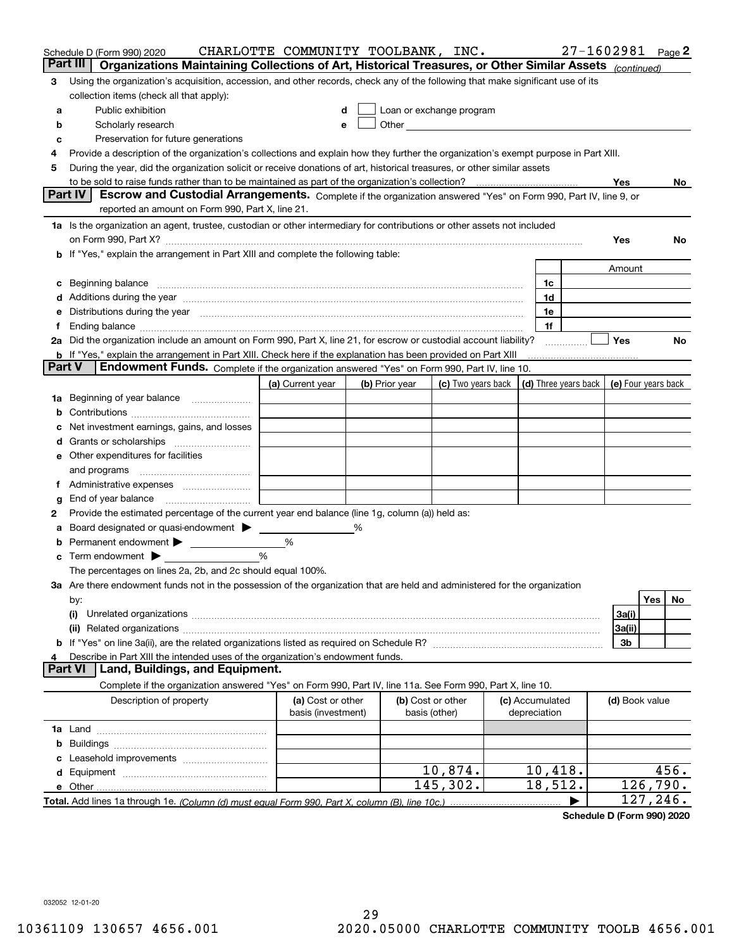|        | Schedule D (Form 990) 2020<br>Organizations Maintaining Collections of Art, Historical Treasures, or Other Similar Assets (continued)<br>Part III                                                                                    | CHARLOTTE COMMUNITY TOOLBANK, INC.      |   |                                                                                                               |                    |                                 |                      |                | $27 - 1602981$ Page 2 |
|--------|--------------------------------------------------------------------------------------------------------------------------------------------------------------------------------------------------------------------------------------|-----------------------------------------|---|---------------------------------------------------------------------------------------------------------------|--------------------|---------------------------------|----------------------|----------------|-----------------------|
| 3      | Using the organization's acquisition, accession, and other records, check any of the following that make significant use of its                                                                                                      |                                         |   |                                                                                                               |                    |                                 |                      |                |                       |
|        | collection items (check all that apply):                                                                                                                                                                                             |                                         |   |                                                                                                               |                    |                                 |                      |                |                       |
| а      | Public exhibition                                                                                                                                                                                                                    |                                         |   | Loan or exchange program                                                                                      |                    |                                 |                      |                |                       |
| b      | Scholarly research                                                                                                                                                                                                                   | e                                       |   | Other and the contract of the contract of the contract of the contract of the contract of the contract of the |                    |                                 |                      |                |                       |
| c      | Preservation for future generations                                                                                                                                                                                                  |                                         |   |                                                                                                               |                    |                                 |                      |                |                       |
| 4      | Provide a description of the organization's collections and explain how they further the organization's exempt purpose in Part XIII.                                                                                                 |                                         |   |                                                                                                               |                    |                                 |                      |                |                       |
| 5      | During the year, did the organization solicit or receive donations of art, historical treasures, or other similar assets                                                                                                             |                                         |   |                                                                                                               |                    |                                 |                      |                |                       |
|        |                                                                                                                                                                                                                                      |                                         |   |                                                                                                               |                    |                                 |                      | Yes            | No.                   |
|        | Part IV<br>Escrow and Custodial Arrangements. Complete if the organization answered "Yes" on Form 990, Part IV, line 9, or                                                                                                           |                                         |   |                                                                                                               |                    |                                 |                      |                |                       |
|        | reported an amount on Form 990, Part X, line 21.                                                                                                                                                                                     |                                         |   |                                                                                                               |                    |                                 |                      |                |                       |
|        | 1a Is the organization an agent, trustee, custodian or other intermediary for contributions or other assets not included                                                                                                             |                                         |   |                                                                                                               |                    |                                 |                      |                |                       |
|        |                                                                                                                                                                                                                                      |                                         |   |                                                                                                               |                    |                                 |                      | Yes            | No                    |
|        | b If "Yes," explain the arrangement in Part XIII and complete the following table:                                                                                                                                                   |                                         |   |                                                                                                               |                    |                                 |                      |                |                       |
|        |                                                                                                                                                                                                                                      |                                         |   |                                                                                                               |                    |                                 |                      | Amount         |                       |
| c      | Beginning balance <b>contract the contract of the contract of the contract of the contract of the contract of the contract of the contract of the contract of the contract of the contract of the contract of the contract of th</b> |                                         |   |                                                                                                               |                    | 1c                              |                      |                |                       |
| d      | Additions during the year manufactured and an according to the year manufactured and according the year manufactured and according the year manufactured and according the year manufactured and according the year manufactur       |                                         |   |                                                                                                               |                    | 1d                              |                      |                |                       |
| е      | Distributions during the year manufactured and continuum control of the state of the control of the state of the state of the state of the state of the state of the state of the state of the state of the state of the state       |                                         |   |                                                                                                               |                    | 1e                              |                      |                |                       |
| f      | Ending balance measurements are all the contract of the contract of the contract of the contract of the contract of the contract of the contract of the contract of the contract of the contract of the contract of the contra       |                                         |   |                                                                                                               |                    | 1f                              |                      |                |                       |
|        | 2a Did the organization include an amount on Form 990, Part X, line 21, for escrow or custodial account liability?                                                                                                                   |                                         |   |                                                                                                               |                    |                                 |                      | <b>Yes</b>     | No                    |
| Part V | <b>b</b> If "Yes," explain the arrangement in Part XIII. Check here if the explanation has been provided on Part XIII<br>Endowment Funds. Complete if the organization answered "Yes" on Form 990, Part IV, line 10.                 |                                         |   |                                                                                                               |                    |                                 |                      |                |                       |
|        |                                                                                                                                                                                                                                      |                                         |   |                                                                                                               |                    |                                 | (d) Three years back |                |                       |
|        | 1a Beginning of year balance                                                                                                                                                                                                         | (a) Current year                        |   | (b) Prior year                                                                                                | (c) Two years back |                                 |                      |                | (e) Four years back   |
| b      |                                                                                                                                                                                                                                      |                                         |   |                                                                                                               |                    |                                 |                      |                |                       |
| с      | Net investment earnings, gains, and losses                                                                                                                                                                                           |                                         |   |                                                                                                               |                    |                                 |                      |                |                       |
| d      |                                                                                                                                                                                                                                      |                                         |   |                                                                                                               |                    |                                 |                      |                |                       |
| е      | Other expenditures for facilities                                                                                                                                                                                                    |                                         |   |                                                                                                               |                    |                                 |                      |                |                       |
|        | and programs                                                                                                                                                                                                                         |                                         |   |                                                                                                               |                    |                                 |                      |                |                       |
| f      | Administrative expenses <i>manually communication</i>                                                                                                                                                                                |                                         |   |                                                                                                               |                    |                                 |                      |                |                       |
| g      | End of year balance                                                                                                                                                                                                                  |                                         |   |                                                                                                               |                    |                                 |                      |                |                       |
| 2      | Provide the estimated percentage of the current year end balance (line 1g, column (a)) held as:                                                                                                                                      |                                         |   |                                                                                                               |                    |                                 |                      |                |                       |
| a      | Board designated or quasi-endowment >                                                                                                                                                                                                |                                         | % |                                                                                                               |                    |                                 |                      |                |                       |
| b      | Permanent endowment >                                                                                                                                                                                                                | %                                       |   |                                                                                                               |                    |                                 |                      |                |                       |
| c      | Term endowment $\blacktriangleright$<br><u>and the community of the community</u>                                                                                                                                                    | %                                       |   |                                                                                                               |                    |                                 |                      |                |                       |
|        | The percentages on lines 2a, 2b, and 2c should equal 100%.                                                                                                                                                                           |                                         |   |                                                                                                               |                    |                                 |                      |                |                       |
|        | 3a Are there endowment funds not in the possession of the organization that are held and administered for the organization                                                                                                           |                                         |   |                                                                                                               |                    |                                 |                      |                |                       |
|        | by:                                                                                                                                                                                                                                  |                                         |   |                                                                                                               |                    |                                 |                      |                | Yes<br>No             |
|        | (i)                                                                                                                                                                                                                                  |                                         |   |                                                                                                               |                    |                                 |                      | 3a(i)          |                       |
|        | (ii)                                                                                                                                                                                                                                 |                                         |   |                                                                                                               |                    |                                 |                      | 3a(ii)         |                       |
|        |                                                                                                                                                                                                                                      |                                         |   |                                                                                                               |                    |                                 |                      | 3b             |                       |
| 4      | Describe in Part XIII the intended uses of the organization's endowment funds.                                                                                                                                                       |                                         |   |                                                                                                               |                    |                                 |                      |                |                       |
|        | Land, Buildings, and Equipment.<br><b>Part VI</b>                                                                                                                                                                                    |                                         |   |                                                                                                               |                    |                                 |                      |                |                       |
|        | Complete if the organization answered "Yes" on Form 990, Part IV, line 11a. See Form 990, Part X, line 10.                                                                                                                           |                                         |   |                                                                                                               |                    |                                 |                      |                |                       |
|        | Description of property                                                                                                                                                                                                              | (a) Cost or other<br>basis (investment) |   | (b) Cost or other<br>basis (other)                                                                            |                    | (c) Accumulated<br>depreciation |                      | (d) Book value |                       |
|        |                                                                                                                                                                                                                                      |                                         |   |                                                                                                               |                    |                                 |                      |                |                       |
| b      |                                                                                                                                                                                                                                      |                                         |   |                                                                                                               |                    |                                 |                      |                |                       |
| c      |                                                                                                                                                                                                                                      |                                         |   |                                                                                                               |                    |                                 |                      |                |                       |
| d      |                                                                                                                                                                                                                                      |                                         |   |                                                                                                               | 10,874.            | 10,418.                         |                      |                | 456.                  |
|        |                                                                                                                                                                                                                                      |                                         |   |                                                                                                               | 145,302.           | 18,512.                         |                      |                | 126,790.              |
|        |                                                                                                                                                                                                                                      |                                         |   |                                                                                                               |                    |                                 |                      |                | 127,246.              |

**Schedule D (Form 990) 2020**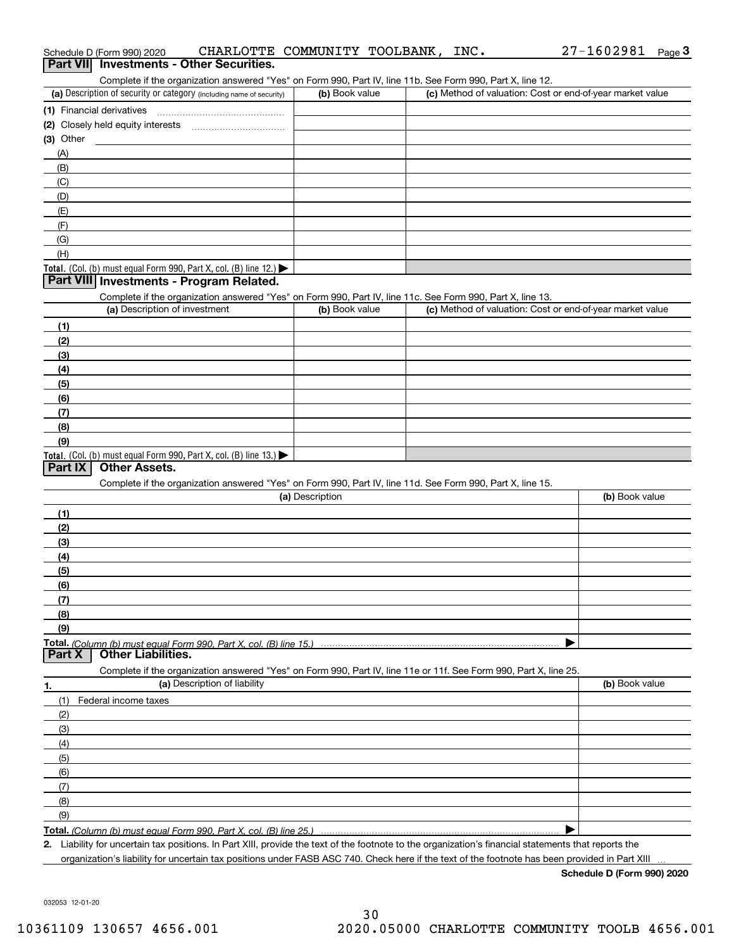| Complete if the organization answered "Yes" on Form 990, Part IV, line 11b. See Form 990, Part X, line 12.                                           |                 |                                                           |                |
|------------------------------------------------------------------------------------------------------------------------------------------------------|-----------------|-----------------------------------------------------------|----------------|
| (a) Description of security or category (including name of security)                                                                                 | (b) Book value  | (c) Method of valuation: Cost or end-of-year market value |                |
| (1) Financial derivatives                                                                                                                            |                 |                                                           |                |
|                                                                                                                                                      |                 |                                                           |                |
| (3) Other                                                                                                                                            |                 |                                                           |                |
| (A)                                                                                                                                                  |                 |                                                           |                |
| (B)                                                                                                                                                  |                 |                                                           |                |
| (C)                                                                                                                                                  |                 |                                                           |                |
| (D)                                                                                                                                                  |                 |                                                           |                |
| (E)                                                                                                                                                  |                 |                                                           |                |
| (F)                                                                                                                                                  |                 |                                                           |                |
| (G)                                                                                                                                                  |                 |                                                           |                |
| (H)                                                                                                                                                  |                 |                                                           |                |
|                                                                                                                                                      |                 |                                                           |                |
| Total. (Col. (b) must equal Form 990, Part X, col. (B) line 12.) $\blacktriangleright$<br>Part VIII Investments - Program Related.                   |                 |                                                           |                |
|                                                                                                                                                      |                 |                                                           |                |
| Complete if the organization answered "Yes" on Form 990, Part IV, line 11c. See Form 990, Part X, line 13.<br>(a) Description of investment          |                 |                                                           |                |
|                                                                                                                                                      | (b) Book value  | (c) Method of valuation: Cost or end-of-year market value |                |
| (1)                                                                                                                                                  |                 |                                                           |                |
| (2)                                                                                                                                                  |                 |                                                           |                |
| (3)                                                                                                                                                  |                 |                                                           |                |
| (4)                                                                                                                                                  |                 |                                                           |                |
| (5)                                                                                                                                                  |                 |                                                           |                |
| (6)                                                                                                                                                  |                 |                                                           |                |
| (7)                                                                                                                                                  |                 |                                                           |                |
| (8)                                                                                                                                                  |                 |                                                           |                |
| (9)                                                                                                                                                  |                 |                                                           |                |
| <b>Total.</b> (Col. (b) must equal Form 990, Part X, col. (B) line $13.$                                                                             |                 |                                                           |                |
| <b>Other Assets.</b><br>Part $ X $                                                                                                                   |                 |                                                           |                |
| Complete if the organization answered "Yes" on Form 990, Part IV, line 11d. See Form 990, Part X, line 15.                                           |                 |                                                           |                |
|                                                                                                                                                      | (a) Description |                                                           | (b) Book value |
| (1)                                                                                                                                                  |                 |                                                           |                |
| (2)                                                                                                                                                  |                 |                                                           |                |
| (3)                                                                                                                                                  |                 |                                                           |                |
| (4)                                                                                                                                                  |                 |                                                           |                |
| (5)                                                                                                                                                  |                 |                                                           |                |
| (6)                                                                                                                                                  |                 |                                                           |                |
| (7)                                                                                                                                                  |                 |                                                           |                |
| (8)                                                                                                                                                  |                 |                                                           |                |
| (9)                                                                                                                                                  |                 |                                                           |                |
|                                                                                                                                                      |                 |                                                           |                |
| Part X<br><b>Other Liabilities.</b>                                                                                                                  |                 |                                                           |                |
| Complete if the organization answered "Yes" on Form 990, Part IV, line 11e or 11f. See Form 990, Part X, line 25.                                    |                 |                                                           |                |
| (a) Description of liability                                                                                                                         |                 |                                                           | (b) Book value |
| 1.                                                                                                                                                   |                 |                                                           |                |
| Federal income taxes<br>(1)                                                                                                                          |                 |                                                           |                |
| (2)                                                                                                                                                  |                 |                                                           |                |
| (3)                                                                                                                                                  |                 |                                                           |                |
| (4)                                                                                                                                                  |                 |                                                           |                |
| (5)                                                                                                                                                  |                 |                                                           |                |
| (6)                                                                                                                                                  |                 |                                                           |                |
| (7)                                                                                                                                                  |                 |                                                           |                |
| (8)                                                                                                                                                  |                 |                                                           |                |
| (9)                                                                                                                                                  |                 |                                                           |                |
|                                                                                                                                                      |                 |                                                           |                |
| 2. Liability for uncertain tax positions. In Part XIII, provide the text of the footnote to the organization's financial statements that reports the |                 |                                                           |                |

organization's liability for uncertain tax positions under FASB ASC 740. Check here if the text of the footnote has been provided in Part XIII

**Schedule D (Form 990) 2020**

032053 12-01-20

Complete if the organization answered "Yes" on Form 990, Part IV, line 11b. See Form 990, Part X, line 12.

| (a) Description of security or category (including name of security)       | (b) Book value | (c) Method of valuation: Cost or end-of-year market value |
|----------------------------------------------------------------------------|----------------|-----------------------------------------------------------|
| 1) Financial derivatives                                                   |                |                                                           |
| (2) Closely held equity interests                                          |                |                                                           |
| (3) Other                                                                  |                |                                                           |
| (A)                                                                        |                |                                                           |
| (B)                                                                        |                |                                                           |
| (C)                                                                        |                |                                                           |
| (D)                                                                        |                |                                                           |
| (E)                                                                        |                |                                                           |
| (F)                                                                        |                |                                                           |
| (G)                                                                        |                |                                                           |
| (H)                                                                        |                |                                                           |
| <b>Total</b> $($ Col $($ h) must equal Form 990 Part X col $($ B) line 12) |                |                                                           |

| (8) |  |
|-----|--|
|     |  |
|     |  |
|     |  |

Liability for uncertain tax positions. In Part XIII, provide the text of the footnote to the organization's financial statements that reports the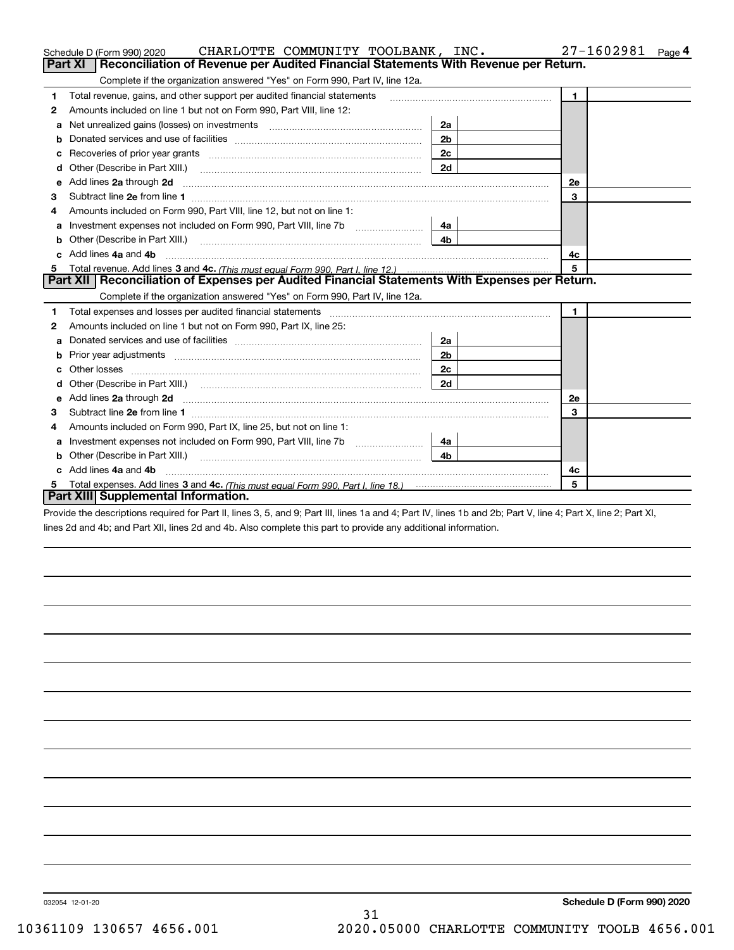|         | CHARLOTTE COMMUNITY TOOLBANK, INC.<br>Schedule D (Form 990) 2020                                                                                                                                                                    |                | 27-1602981<br>Page 4 |
|---------|-------------------------------------------------------------------------------------------------------------------------------------------------------------------------------------------------------------------------------------|----------------|----------------------|
| Part XI | Reconciliation of Revenue per Audited Financial Statements With Revenue per Return.                                                                                                                                                 |                |                      |
|         | Complete if the organization answered "Yes" on Form 990, Part IV, line 12a.                                                                                                                                                         |                |                      |
| 1       | Total revenue, gains, and other support per audited financial statements                                                                                                                                                            |                | 1                    |
| 2       | Amounts included on line 1 but not on Form 990, Part VIII, line 12:                                                                                                                                                                 |                |                      |
| а       |                                                                                                                                                                                                                                     | 2a             |                      |
| b       |                                                                                                                                                                                                                                     | 2 <sub>b</sub> |                      |
|         |                                                                                                                                                                                                                                     | 2c             |                      |
|         | Other (Describe in Part XIII.) <b>Construction Contract Construction</b> Chemistry Chemistry Chemistry Chemistry Chemistry                                                                                                          | 2d             |                      |
| е       | Add lines 2a through 2d                                                                                                                                                                                                             |                | 2e                   |
| 3       | Subtract line 2e from line 1 <b>Manual Community and Community</b> and Table 1 and Table 1 and Table 1 and Table 1 and Table 1 and Table 1 and Table 1 and Table 1 and Table 1 and Table 1 and Table 1 and Table 1 and Table 1 and  |                | 3                    |
| 4       | Amounts included on Form 990, Part VIII, line 12, but not on line 1:                                                                                                                                                                |                |                      |
| а       |                                                                                                                                                                                                                                     | 4a l           |                      |
| b       | Other (Describe in Part XIII.) <b>Construction Contract Construction</b> Chemical Construction Chemical Chemical Chemical Chemical Chemical Chemical Chemical Chemical Chemical Chemical Chemical Chemical Chemical Chemical Chemic | 4b.            |                      |
|         | Add lines 4a and 4b                                                                                                                                                                                                                 |                | 4c                   |
| 5.      |                                                                                                                                                                                                                                     |                | 5                    |
|         | Part XII   Reconciliation of Expenses per Audited Financial Statements With Expenses per Return.                                                                                                                                    |                |                      |
|         | Complete if the organization answered "Yes" on Form 990, Part IV, line 12a.                                                                                                                                                         |                |                      |
| 1       | Total expenses and losses per audited financial statements [11] [11] Total expenses and losses per audited financial statements [11] [11] Total expenses and losses per audited financial statements                                |                | $\mathbf{1}$         |
| 2       | Amounts included on line 1 but not on Form 990, Part IX, line 25:                                                                                                                                                                   |                |                      |
| a       |                                                                                                                                                                                                                                     | 2a             |                      |
|         |                                                                                                                                                                                                                                     | 2 <sub>b</sub> |                      |
|         |                                                                                                                                                                                                                                     | 2c             |                      |
|         | Other (Describe in Part XIII.) (COLORADIAL CONSERVATION CONTROL)                                                                                                                                                                    | 2d             |                      |
| e       | Add lines 2a through 2d <b>must be a constructed as the constant of the construction</b> and the state of the state of the state of the state of the state of the state of the state of the state of the state of the state of the  |                | <b>2e</b>            |
| 3       | Subtract line 2e from line 1                                                                                                                                                                                                        |                | 3                    |
| 4       | Amounts included on Form 990, Part IX, line 25, but not on line 1:                                                                                                                                                                  |                |                      |
| a       |                                                                                                                                                                                                                                     | 4a             |                      |
| b       |                                                                                                                                                                                                                                     | 4h.            |                      |
|         | Add lines 4a and 4b                                                                                                                                                                                                                 |                | 4c                   |
| 5       |                                                                                                                                                                                                                                     |                | 5                    |
|         | Part XIII Supplemental Information.                                                                                                                                                                                                 |                |                      |
|         | Provide the descriptions required for Part II, lines 3, 5, and 9; Part III, lines 1a and 4; Part IV, lines 1b and 2b; Part V, line 4; Part X, line 2; Part XI,                                                                      |                |                      |

lines 2d and 4b; and Part XII, lines 2d and 4b. Also complete this part to provide any additional information.

032054 12-01-20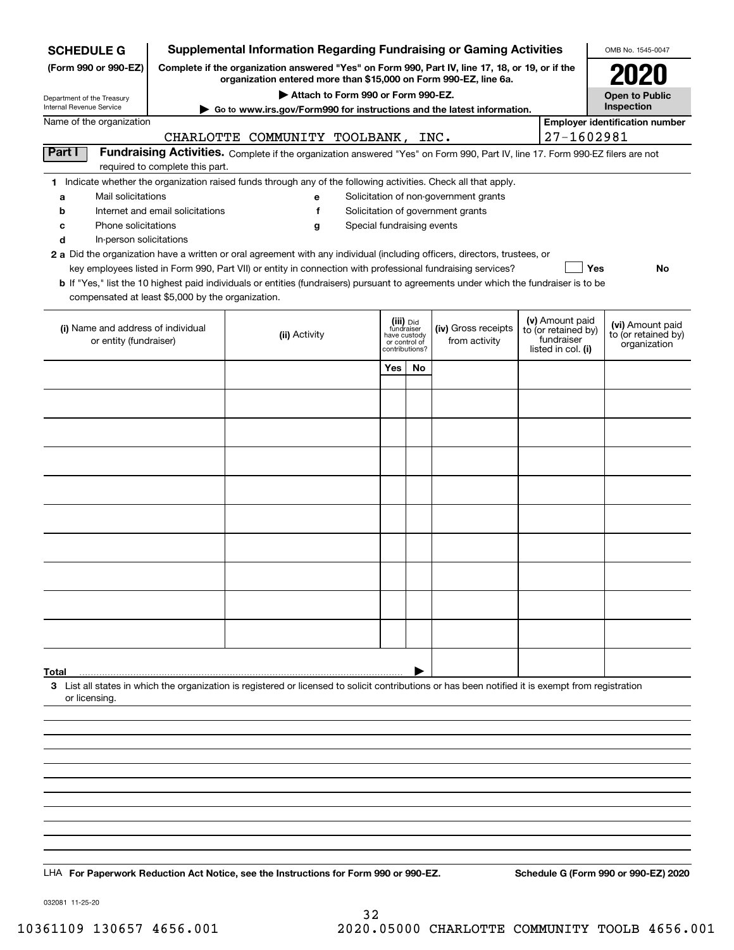| Complete if the organization answered "Yes" on Form 990, Part IV, line 17, 18, or 19, or if the<br>(Form 990 or 990-EZ)<br>organization entered more than \$15,000 on Form 990-EZ, line 6a.<br>Attach to Form 990 or Form 990-EZ.<br><b>Open to Public</b><br>Department of the Treasury<br>Inspection<br>Go to www.irs.gov/Form990 for instructions and the latest information.<br>Name of the organization<br><b>Employer identification number</b><br>27-1602981<br>CHARLOTTE COMMUNITY TOOLBANK,<br>INC.<br>Part I<br>Fundraising Activities. Complete if the organization answered "Yes" on Form 990, Part IV, line 17. Form 990-EZ filers are not<br>required to complete this part.<br>1 Indicate whether the organization raised funds through any of the following activities. Check all that apply.<br>Mail solicitations<br>Solicitation of non-government grants<br>a<br>е<br>Solicitation of government grants<br>Internet and email solicitations<br>f<br>b<br>Phone solicitations<br>Special fundraising events<br>с<br>g<br>d<br>In-person solicitations<br>2 a Did the organization have a written or oral agreement with any individual (including officers, directors, trustees, or<br>key employees listed in Form 990, Part VII) or entity in connection with professional fundraising services?<br>Yes<br>No<br><b>b</b> If "Yes," list the 10 highest paid individuals or entities (fundraisers) pursuant to agreements under which the fundraiser is to be<br>compensated at least \$5,000 by the organization.<br>(v) Amount paid<br>(iii) Did<br>fundraiser<br>(vi) Amount paid<br>(iv) Gross receipts<br>(i) Name and address of individual<br>to (or retained by)<br>(ii) Activity<br>to (or retained by)<br>have custody<br>fundraiser<br>or entity (fundraiser)<br>from activity<br>or control of<br>organization<br>listed in col. (i)<br>contributions?<br>Yes<br>No<br>3 List all states in which the organization is registered or licensed to solicit contributions or has been notified it is exempt from registration<br>or licensing. | <b>SCHEDULE G</b>        | <b>Supplemental Information Regarding Fundraising or Gaming Activities</b> |  |  | OMB No. 1545-0047 |
|-----------------------------------------------------------------------------------------------------------------------------------------------------------------------------------------------------------------------------------------------------------------------------------------------------------------------------------------------------------------------------------------------------------------------------------------------------------------------------------------------------------------------------------------------------------------------------------------------------------------------------------------------------------------------------------------------------------------------------------------------------------------------------------------------------------------------------------------------------------------------------------------------------------------------------------------------------------------------------------------------------------------------------------------------------------------------------------------------------------------------------------------------------------------------------------------------------------------------------------------------------------------------------------------------------------------------------------------------------------------------------------------------------------------------------------------------------------------------------------------------------------------------------------------------------------------------------------------------------------------------------------------------------------------------------------------------------------------------------------------------------------------------------------------------------------------------------------------------------------------------------------------------------------------------------------------------------------------------------------------------------------------------------------------------------------------------------|--------------------------|----------------------------------------------------------------------------|--|--|-------------------|
|                                                                                                                                                                                                                                                                                                                                                                                                                                                                                                                                                                                                                                                                                                                                                                                                                                                                                                                                                                                                                                                                                                                                                                                                                                                                                                                                                                                                                                                                                                                                                                                                                                                                                                                                                                                                                                                                                                                                                                                                                                                                             |                          |                                                                            |  |  |                   |
|                                                                                                                                                                                                                                                                                                                                                                                                                                                                                                                                                                                                                                                                                                                                                                                                                                                                                                                                                                                                                                                                                                                                                                                                                                                                                                                                                                                                                                                                                                                                                                                                                                                                                                                                                                                                                                                                                                                                                                                                                                                                             |                          |                                                                            |  |  |                   |
|                                                                                                                                                                                                                                                                                                                                                                                                                                                                                                                                                                                                                                                                                                                                                                                                                                                                                                                                                                                                                                                                                                                                                                                                                                                                                                                                                                                                                                                                                                                                                                                                                                                                                                                                                                                                                                                                                                                                                                                                                                                                             | Internal Revenue Service |                                                                            |  |  |                   |
|                                                                                                                                                                                                                                                                                                                                                                                                                                                                                                                                                                                                                                                                                                                                                                                                                                                                                                                                                                                                                                                                                                                                                                                                                                                                                                                                                                                                                                                                                                                                                                                                                                                                                                                                                                                                                                                                                                                                                                                                                                                                             |                          |                                                                            |  |  |                   |
|                                                                                                                                                                                                                                                                                                                                                                                                                                                                                                                                                                                                                                                                                                                                                                                                                                                                                                                                                                                                                                                                                                                                                                                                                                                                                                                                                                                                                                                                                                                                                                                                                                                                                                                                                                                                                                                                                                                                                                                                                                                                             |                          |                                                                            |  |  |                   |
|                                                                                                                                                                                                                                                                                                                                                                                                                                                                                                                                                                                                                                                                                                                                                                                                                                                                                                                                                                                                                                                                                                                                                                                                                                                                                                                                                                                                                                                                                                                                                                                                                                                                                                                                                                                                                                                                                                                                                                                                                                                                             |                          |                                                                            |  |  |                   |
|                                                                                                                                                                                                                                                                                                                                                                                                                                                                                                                                                                                                                                                                                                                                                                                                                                                                                                                                                                                                                                                                                                                                                                                                                                                                                                                                                                                                                                                                                                                                                                                                                                                                                                                                                                                                                                                                                                                                                                                                                                                                             |                          |                                                                            |  |  |                   |
|                                                                                                                                                                                                                                                                                                                                                                                                                                                                                                                                                                                                                                                                                                                                                                                                                                                                                                                                                                                                                                                                                                                                                                                                                                                                                                                                                                                                                                                                                                                                                                                                                                                                                                                                                                                                                                                                                                                                                                                                                                                                             |                          |                                                                            |  |  |                   |
|                                                                                                                                                                                                                                                                                                                                                                                                                                                                                                                                                                                                                                                                                                                                                                                                                                                                                                                                                                                                                                                                                                                                                                                                                                                                                                                                                                                                                                                                                                                                                                                                                                                                                                                                                                                                                                                                                                                                                                                                                                                                             |                          |                                                                            |  |  |                   |
|                                                                                                                                                                                                                                                                                                                                                                                                                                                                                                                                                                                                                                                                                                                                                                                                                                                                                                                                                                                                                                                                                                                                                                                                                                                                                                                                                                                                                                                                                                                                                                                                                                                                                                                                                                                                                                                                                                                                                                                                                                                                             |                          |                                                                            |  |  |                   |
|                                                                                                                                                                                                                                                                                                                                                                                                                                                                                                                                                                                                                                                                                                                                                                                                                                                                                                                                                                                                                                                                                                                                                                                                                                                                                                                                                                                                                                                                                                                                                                                                                                                                                                                                                                                                                                                                                                                                                                                                                                                                             |                          |                                                                            |  |  |                   |
|                                                                                                                                                                                                                                                                                                                                                                                                                                                                                                                                                                                                                                                                                                                                                                                                                                                                                                                                                                                                                                                                                                                                                                                                                                                                                                                                                                                                                                                                                                                                                                                                                                                                                                                                                                                                                                                                                                                                                                                                                                                                             |                          |                                                                            |  |  |                   |
|                                                                                                                                                                                                                                                                                                                                                                                                                                                                                                                                                                                                                                                                                                                                                                                                                                                                                                                                                                                                                                                                                                                                                                                                                                                                                                                                                                                                                                                                                                                                                                                                                                                                                                                                                                                                                                                                                                                                                                                                                                                                             |                          |                                                                            |  |  |                   |
|                                                                                                                                                                                                                                                                                                                                                                                                                                                                                                                                                                                                                                                                                                                                                                                                                                                                                                                                                                                                                                                                                                                                                                                                                                                                                                                                                                                                                                                                                                                                                                                                                                                                                                                                                                                                                                                                                                                                                                                                                                                                             |                          |                                                                            |  |  |                   |
|                                                                                                                                                                                                                                                                                                                                                                                                                                                                                                                                                                                                                                                                                                                                                                                                                                                                                                                                                                                                                                                                                                                                                                                                                                                                                                                                                                                                                                                                                                                                                                                                                                                                                                                                                                                                                                                                                                                                                                                                                                                                             |                          |                                                                            |  |  |                   |
|                                                                                                                                                                                                                                                                                                                                                                                                                                                                                                                                                                                                                                                                                                                                                                                                                                                                                                                                                                                                                                                                                                                                                                                                                                                                                                                                                                                                                                                                                                                                                                                                                                                                                                                                                                                                                                                                                                                                                                                                                                                                             |                          |                                                                            |  |  |                   |
|                                                                                                                                                                                                                                                                                                                                                                                                                                                                                                                                                                                                                                                                                                                                                                                                                                                                                                                                                                                                                                                                                                                                                                                                                                                                                                                                                                                                                                                                                                                                                                                                                                                                                                                                                                                                                                                                                                                                                                                                                                                                             |                          |                                                                            |  |  |                   |
|                                                                                                                                                                                                                                                                                                                                                                                                                                                                                                                                                                                                                                                                                                                                                                                                                                                                                                                                                                                                                                                                                                                                                                                                                                                                                                                                                                                                                                                                                                                                                                                                                                                                                                                                                                                                                                                                                                                                                                                                                                                                             |                          |                                                                            |  |  |                   |
|                                                                                                                                                                                                                                                                                                                                                                                                                                                                                                                                                                                                                                                                                                                                                                                                                                                                                                                                                                                                                                                                                                                                                                                                                                                                                                                                                                                                                                                                                                                                                                                                                                                                                                                                                                                                                                                                                                                                                                                                                                                                             |                          |                                                                            |  |  |                   |
|                                                                                                                                                                                                                                                                                                                                                                                                                                                                                                                                                                                                                                                                                                                                                                                                                                                                                                                                                                                                                                                                                                                                                                                                                                                                                                                                                                                                                                                                                                                                                                                                                                                                                                                                                                                                                                                                                                                                                                                                                                                                             |                          |                                                                            |  |  |                   |
|                                                                                                                                                                                                                                                                                                                                                                                                                                                                                                                                                                                                                                                                                                                                                                                                                                                                                                                                                                                                                                                                                                                                                                                                                                                                                                                                                                                                                                                                                                                                                                                                                                                                                                                                                                                                                                                                                                                                                                                                                                                                             |                          |                                                                            |  |  |                   |
|                                                                                                                                                                                                                                                                                                                                                                                                                                                                                                                                                                                                                                                                                                                                                                                                                                                                                                                                                                                                                                                                                                                                                                                                                                                                                                                                                                                                                                                                                                                                                                                                                                                                                                                                                                                                                                                                                                                                                                                                                                                                             |                          |                                                                            |  |  |                   |
|                                                                                                                                                                                                                                                                                                                                                                                                                                                                                                                                                                                                                                                                                                                                                                                                                                                                                                                                                                                                                                                                                                                                                                                                                                                                                                                                                                                                                                                                                                                                                                                                                                                                                                                                                                                                                                                                                                                                                                                                                                                                             |                          |                                                                            |  |  |                   |
|                                                                                                                                                                                                                                                                                                                                                                                                                                                                                                                                                                                                                                                                                                                                                                                                                                                                                                                                                                                                                                                                                                                                                                                                                                                                                                                                                                                                                                                                                                                                                                                                                                                                                                                                                                                                                                                                                                                                                                                                                                                                             |                          |                                                                            |  |  |                   |
|                                                                                                                                                                                                                                                                                                                                                                                                                                                                                                                                                                                                                                                                                                                                                                                                                                                                                                                                                                                                                                                                                                                                                                                                                                                                                                                                                                                                                                                                                                                                                                                                                                                                                                                                                                                                                                                                                                                                                                                                                                                                             |                          |                                                                            |  |  |                   |
|                                                                                                                                                                                                                                                                                                                                                                                                                                                                                                                                                                                                                                                                                                                                                                                                                                                                                                                                                                                                                                                                                                                                                                                                                                                                                                                                                                                                                                                                                                                                                                                                                                                                                                                                                                                                                                                                                                                                                                                                                                                                             |                          |                                                                            |  |  |                   |
|                                                                                                                                                                                                                                                                                                                                                                                                                                                                                                                                                                                                                                                                                                                                                                                                                                                                                                                                                                                                                                                                                                                                                                                                                                                                                                                                                                                                                                                                                                                                                                                                                                                                                                                                                                                                                                                                                                                                                                                                                                                                             |                          |                                                                            |  |  |                   |
|                                                                                                                                                                                                                                                                                                                                                                                                                                                                                                                                                                                                                                                                                                                                                                                                                                                                                                                                                                                                                                                                                                                                                                                                                                                                                                                                                                                                                                                                                                                                                                                                                                                                                                                                                                                                                                                                                                                                                                                                                                                                             |                          |                                                                            |  |  |                   |
|                                                                                                                                                                                                                                                                                                                                                                                                                                                                                                                                                                                                                                                                                                                                                                                                                                                                                                                                                                                                                                                                                                                                                                                                                                                                                                                                                                                                                                                                                                                                                                                                                                                                                                                                                                                                                                                                                                                                                                                                                                                                             | <b>Total</b>             |                                                                            |  |  |                   |
|                                                                                                                                                                                                                                                                                                                                                                                                                                                                                                                                                                                                                                                                                                                                                                                                                                                                                                                                                                                                                                                                                                                                                                                                                                                                                                                                                                                                                                                                                                                                                                                                                                                                                                                                                                                                                                                                                                                                                                                                                                                                             |                          |                                                                            |  |  |                   |
|                                                                                                                                                                                                                                                                                                                                                                                                                                                                                                                                                                                                                                                                                                                                                                                                                                                                                                                                                                                                                                                                                                                                                                                                                                                                                                                                                                                                                                                                                                                                                                                                                                                                                                                                                                                                                                                                                                                                                                                                                                                                             |                          |                                                                            |  |  |                   |
|                                                                                                                                                                                                                                                                                                                                                                                                                                                                                                                                                                                                                                                                                                                                                                                                                                                                                                                                                                                                                                                                                                                                                                                                                                                                                                                                                                                                                                                                                                                                                                                                                                                                                                                                                                                                                                                                                                                                                                                                                                                                             |                          |                                                                            |  |  |                   |
|                                                                                                                                                                                                                                                                                                                                                                                                                                                                                                                                                                                                                                                                                                                                                                                                                                                                                                                                                                                                                                                                                                                                                                                                                                                                                                                                                                                                                                                                                                                                                                                                                                                                                                                                                                                                                                                                                                                                                                                                                                                                             |                          |                                                                            |  |  |                   |
|                                                                                                                                                                                                                                                                                                                                                                                                                                                                                                                                                                                                                                                                                                                                                                                                                                                                                                                                                                                                                                                                                                                                                                                                                                                                                                                                                                                                                                                                                                                                                                                                                                                                                                                                                                                                                                                                                                                                                                                                                                                                             |                          |                                                                            |  |  |                   |
|                                                                                                                                                                                                                                                                                                                                                                                                                                                                                                                                                                                                                                                                                                                                                                                                                                                                                                                                                                                                                                                                                                                                                                                                                                                                                                                                                                                                                                                                                                                                                                                                                                                                                                                                                                                                                                                                                                                                                                                                                                                                             |                          |                                                                            |  |  |                   |
|                                                                                                                                                                                                                                                                                                                                                                                                                                                                                                                                                                                                                                                                                                                                                                                                                                                                                                                                                                                                                                                                                                                                                                                                                                                                                                                                                                                                                                                                                                                                                                                                                                                                                                                                                                                                                                                                                                                                                                                                                                                                             |                          |                                                                            |  |  |                   |
|                                                                                                                                                                                                                                                                                                                                                                                                                                                                                                                                                                                                                                                                                                                                                                                                                                                                                                                                                                                                                                                                                                                                                                                                                                                                                                                                                                                                                                                                                                                                                                                                                                                                                                                                                                                                                                                                                                                                                                                                                                                                             |                          |                                                                            |  |  |                   |
|                                                                                                                                                                                                                                                                                                                                                                                                                                                                                                                                                                                                                                                                                                                                                                                                                                                                                                                                                                                                                                                                                                                                                                                                                                                                                                                                                                                                                                                                                                                                                                                                                                                                                                                                                                                                                                                                                                                                                                                                                                                                             |                          |                                                                            |  |  |                   |
| Schedule G (Form 990 or 990-EZ) 2020<br>LHA For Paperwork Reduction Act Notice, see the Instructions for Form 990 or 990-EZ.                                                                                                                                                                                                                                                                                                                                                                                                                                                                                                                                                                                                                                                                                                                                                                                                                                                                                                                                                                                                                                                                                                                                                                                                                                                                                                                                                                                                                                                                                                                                                                                                                                                                                                                                                                                                                                                                                                                                                |                          |                                                                            |  |  |                   |

032081 11-25-20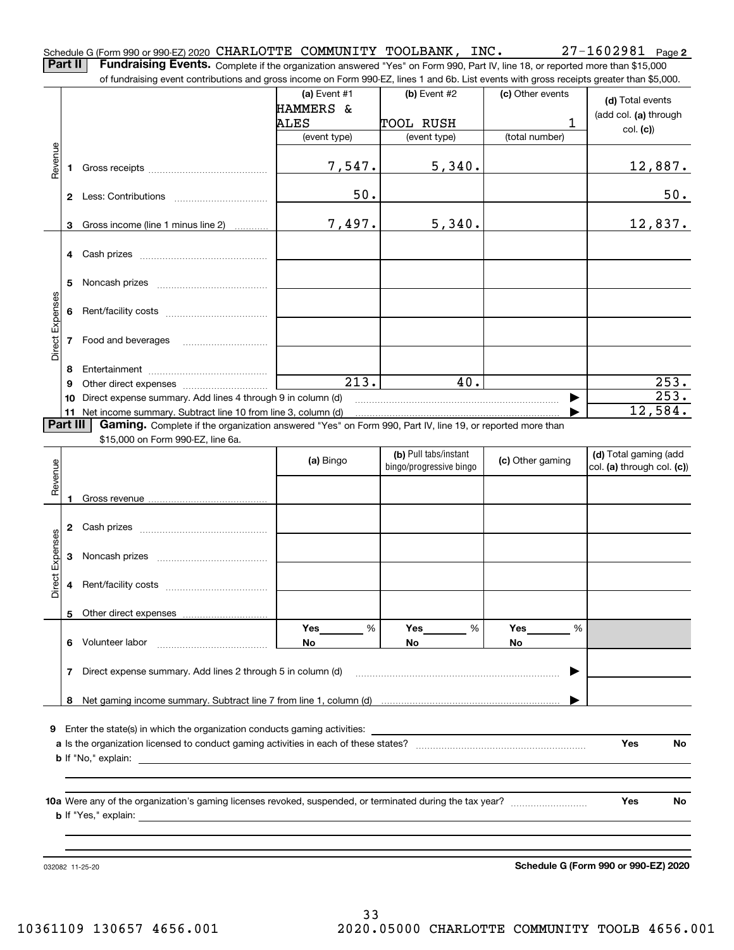**2** Schedule G (Form 990 or 990-EZ) 2020 CHARLOTTE COMMUNITY TOOLBANK, INC. 27-1602981 Page<br>Part II Fundraising Events, Complete it the experientive encycloped in Case and 200 Part IV line 19 competed mass than \$15,000.

**Part II Fundraising Events.** Complete if the organization answered "Yes" on Form 990, Part IV, line 18, or reported more than \$15,000<br>15.000 of fundraising event contributions and gross income on Form 990-EZ. lines 1 an of fundraising event contributions and gross income on Form 990-EZ, lines 1 and 6b. List events with gross receipts greater than \$5,000.

|                 |    |                                                                                                          | (a) Event $#1$     | (b) Event #2            | (c) Other events | (d) Total events           |
|-----------------|----|----------------------------------------------------------------------------------------------------------|--------------------|-------------------------|------------------|----------------------------|
|                 |    |                                                                                                          | HAMMERS &          |                         |                  | (add col. (a) through      |
|                 |    |                                                                                                          | ALES               | TOOL RUSH               | 1                |                            |
|                 |    |                                                                                                          | (event type)       | (event type)            | (total number)   | col. (c)                   |
|                 |    |                                                                                                          |                    |                         |                  |                            |
|                 |    |                                                                                                          |                    |                         |                  |                            |
| Revenue         | 1. |                                                                                                          | 7,547.             | 5,340.                  |                  | 12,887.                    |
|                 |    |                                                                                                          |                    |                         |                  |                            |
|                 |    |                                                                                                          | 50.                |                         |                  | 50.                        |
|                 |    |                                                                                                          |                    |                         |                  |                            |
|                 | 3  | Gross income (line 1 minus line 2)                                                                       | 7,497.             | 5,340.                  |                  | 12,837.                    |
|                 |    |                                                                                                          |                    |                         |                  |                            |
|                 | 4  |                                                                                                          |                    |                         |                  |                            |
|                 |    |                                                                                                          |                    |                         |                  |                            |
|                 |    |                                                                                                          |                    |                         |                  |                            |
|                 | 5  |                                                                                                          |                    |                         |                  |                            |
|                 |    |                                                                                                          |                    |                         |                  |                            |
|                 | 6  |                                                                                                          |                    |                         |                  |                            |
| Direct Expenses |    |                                                                                                          |                    |                         |                  |                            |
|                 | 7  | Food and beverages                                                                                       |                    |                         |                  |                            |
|                 |    |                                                                                                          |                    |                         |                  |                            |
|                 | 8  |                                                                                                          |                    |                         |                  |                            |
|                 | 9  |                                                                                                          | $\overline{213}$ . | 40.                     |                  | 253.                       |
|                 | 10 | Direct expense summary. Add lines 4 through 9 in column (d)                                              |                    |                         |                  | 253.                       |
|                 | 11 | Net income summary. Subtract line 10 from line 3, column (d)                                             |                    |                         |                  | 12,584.                    |
| Part III        |    | Gaming. Complete if the organization answered "Yes" on Form 990, Part IV, line 19, or reported more than |                    |                         |                  |                            |
|                 |    |                                                                                                          |                    |                         |                  |                            |
|                 |    | \$15,000 on Form 990-EZ, line 6a.                                                                        |                    |                         |                  |                            |
|                 |    |                                                                                                          | (a) Bingo          | (b) Pull tabs/instant   | (c) Other gaming | (d) Total gaming (add      |
| Revenue         |    |                                                                                                          |                    | bingo/progressive bingo |                  | col. (a) through col. (c)) |
|                 |    |                                                                                                          |                    |                         |                  |                            |
|                 |    |                                                                                                          |                    |                         |                  |                            |
|                 |    |                                                                                                          |                    |                         |                  |                            |
|                 | 2  |                                                                                                          |                    |                         |                  |                            |
|                 |    |                                                                                                          |                    |                         |                  |                            |
| Direct Expenses | 3  |                                                                                                          |                    |                         |                  |                            |
|                 |    |                                                                                                          |                    |                         |                  |                            |
|                 |    |                                                                                                          |                    |                         |                  |                            |
|                 | 4  |                                                                                                          |                    |                         |                  |                            |
|                 |    |                                                                                                          |                    |                         |                  |                            |
|                 |    |                                                                                                          |                    |                         |                  |                            |
|                 |    |                                                                                                          | $Yes$ %            | $Yes$ %                 | Yes<br>$-$ %     |                            |
|                 | 6  | Volunteer labor                                                                                          | No.                | No.                     | No.              |                            |
|                 |    |                                                                                                          |                    |                         |                  |                            |
|                 | 7  | Direct expense summary. Add lines 2 through 5 in column (d)                                              |                    |                         | ▶                |                            |
|                 |    |                                                                                                          |                    |                         |                  |                            |
|                 | 8  |                                                                                                          |                    |                         |                  |                            |
|                 |    |                                                                                                          |                    |                         |                  |                            |
| 9               |    | Enter the state(s) in which the organization conducts gaming activities:                                 |                    |                         |                  |                            |
|                 |    |                                                                                                          |                    |                         |                  |                            |
|                 |    |                                                                                                          |                    |                         |                  | <b>Yes</b><br>No.          |
|                 |    | <b>b</b> If "No," explain:                                                                               |                    |                         |                  |                            |
|                 |    |                                                                                                          |                    |                         |                  |                            |
|                 |    |                                                                                                          |                    |                         |                  |                            |
|                 |    |                                                                                                          |                    |                         |                  | Yes<br>No.                 |
|                 |    |                                                                                                          |                    |                         |                  |                            |
|                 |    |                                                                                                          |                    |                         |                  |                            |
|                 |    |                                                                                                          |                    |                         |                  |                            |
|                 |    |                                                                                                          |                    |                         |                  |                            |

032082 11-25-20

**Schedule G (Form 990 or 990-EZ) 2020**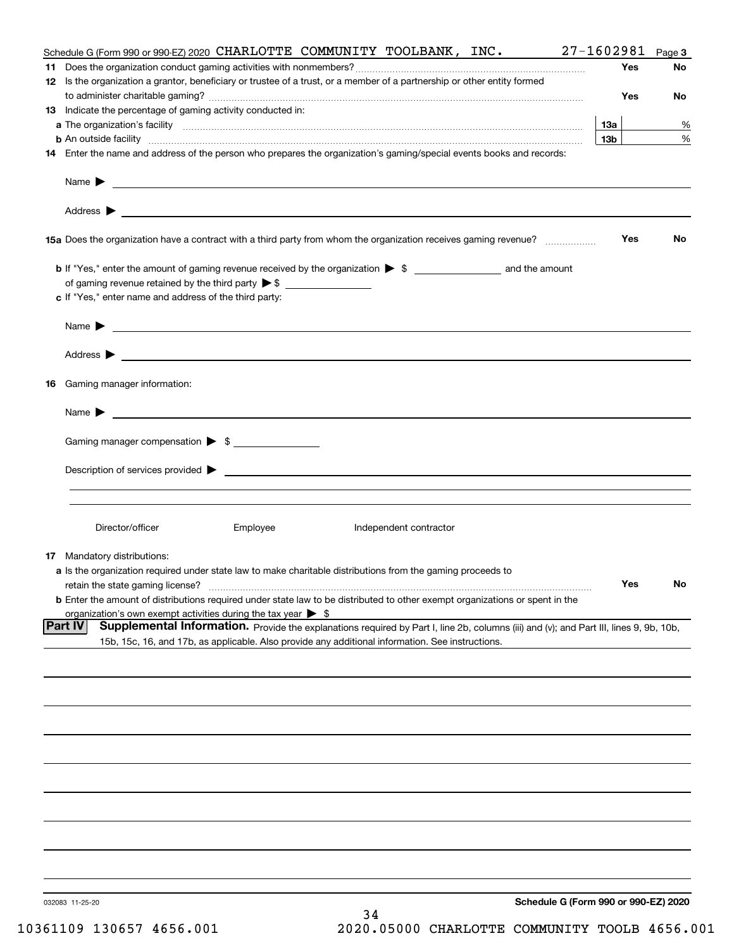|    | Schedule G (Form 990 or 990-EZ) 2020 CHARLOTTE COMMUNITY TOOLBANK, INC.                                                                                                                                                                  | 27-1602981      | Page 3 |
|----|------------------------------------------------------------------------------------------------------------------------------------------------------------------------------------------------------------------------------------------|-----------------|--------|
|    |                                                                                                                                                                                                                                          | Yes             | No     |
|    | 12 Is the organization a grantor, beneficiary or trustee of a trust, or a member of a partnership or other entity formed                                                                                                                 |                 |        |
|    |                                                                                                                                                                                                                                          | Yes             | No     |
|    | 13 Indicate the percentage of gaming activity conducted in:                                                                                                                                                                              |                 |        |
|    |                                                                                                                                                                                                                                          | 13a             | %      |
|    |                                                                                                                                                                                                                                          | 13 <sub>b</sub> | %      |
|    | <b>b</b> An outside facility <i>www.communicality www.communicality.communicality www.communicality www.communicality.communicality www.communicality.com</i>                                                                            |                 |        |
|    | 14 Enter the name and address of the person who prepares the organization's gaming/special events books and records:                                                                                                                     |                 |        |
|    | Name $\blacktriangleright$                                                                                                                                                                                                               |                 |        |
|    |                                                                                                                                                                                                                                          |                 |        |
|    |                                                                                                                                                                                                                                          | Yes             | No     |
|    |                                                                                                                                                                                                                                          |                 |        |
|    |                                                                                                                                                                                                                                          |                 |        |
|    |                                                                                                                                                                                                                                          |                 |        |
|    | c If "Yes," enter name and address of the third party:                                                                                                                                                                                   |                 |        |
|    |                                                                                                                                                                                                                                          |                 |        |
|    | Name $\blacktriangleright$                                                                                                                                                                                                               |                 |        |
|    |                                                                                                                                                                                                                                          |                 |        |
|    |                                                                                                                                                                                                                                          |                 |        |
| 16 | Gaming manager information:                                                                                                                                                                                                              |                 |        |
|    |                                                                                                                                                                                                                                          |                 |        |
|    | Name $\sum_{n=1}^{\infty}$                                                                                                                                                                                                               |                 |        |
|    |                                                                                                                                                                                                                                          |                 |        |
|    | Gaming manager compensation > \$                                                                                                                                                                                                         |                 |        |
|    |                                                                                                                                                                                                                                          |                 |        |
|    |                                                                                                                                                                                                                                          |                 |        |
|    |                                                                                                                                                                                                                                          |                 |        |
|    |                                                                                                                                                                                                                                          |                 |        |
|    |                                                                                                                                                                                                                                          |                 |        |
|    | Director/officer<br>Employee<br>Independent contractor                                                                                                                                                                                   |                 |        |
|    | 17 Mandatory distributions:                                                                                                                                                                                                              |                 |        |
|    | a Is the organization required under state law to make charitable distributions from the gaming proceeds to                                                                                                                              |                 |        |
|    |                                                                                                                                                                                                                                          | Yes             | No     |
|    | retain the state gaming license?                                                                                                                                                                                                         |                 |        |
|    | <b>b</b> Enter the amount of distributions required under state law to be distributed to other exempt organizations or spent in the                                                                                                      |                 |        |
|    | organization's own exempt activities during the tax year $\triangleright$ \$<br><b>Part IV</b><br>Supplemental Information. Provide the explanations required by Part I, line 2b, columns (iii) and (v); and Part III, lines 9, 9b, 10b, |                 |        |
|    | 15b, 15c, 16, and 17b, as applicable. Also provide any additional information. See instructions.                                                                                                                                         |                 |        |
|    |                                                                                                                                                                                                                                          |                 |        |
|    |                                                                                                                                                                                                                                          |                 |        |
|    |                                                                                                                                                                                                                                          |                 |        |
|    |                                                                                                                                                                                                                                          |                 |        |
|    |                                                                                                                                                                                                                                          |                 |        |
|    |                                                                                                                                                                                                                                          |                 |        |
|    |                                                                                                                                                                                                                                          |                 |        |
|    |                                                                                                                                                                                                                                          |                 |        |
|    |                                                                                                                                                                                                                                          |                 |        |
|    |                                                                                                                                                                                                                                          |                 |        |
|    |                                                                                                                                                                                                                                          |                 |        |
|    |                                                                                                                                                                                                                                          |                 |        |
|    |                                                                                                                                                                                                                                          |                 |        |
|    |                                                                                                                                                                                                                                          |                 |        |
|    |                                                                                                                                                                                                                                          |                 |        |
|    |                                                                                                                                                                                                                                          |                 |        |
|    | Schedule G (Form 990 or 990-EZ) 2020<br>032083 11-25-20                                                                                                                                                                                  |                 |        |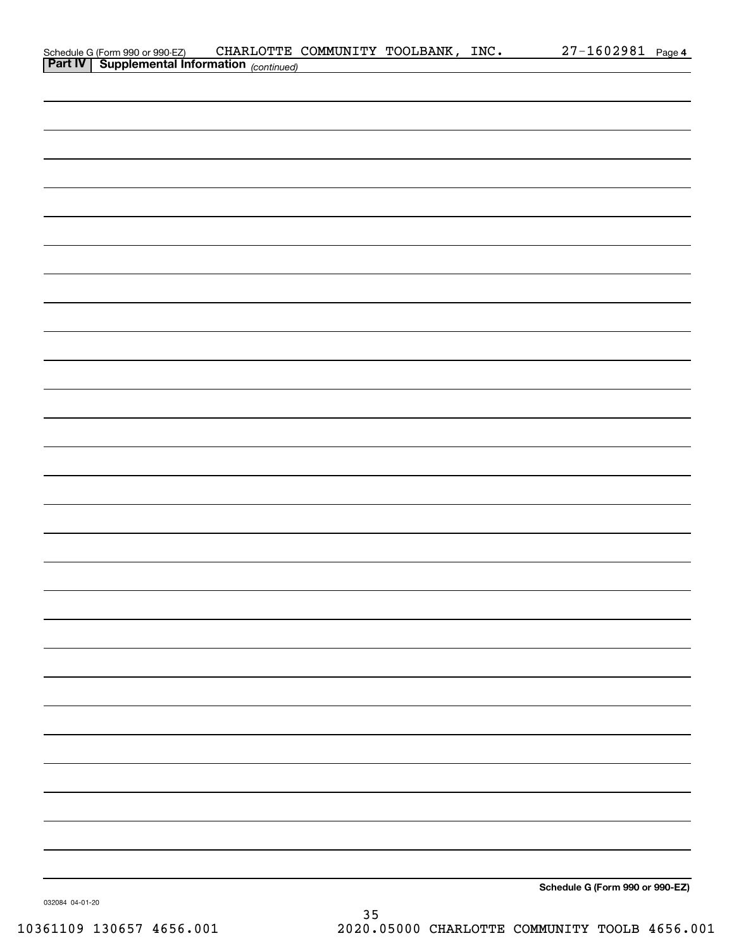| Schedule G (Form 990 or 990-EZ) CHARLOTTE (<br>Part IV   Supplemental Information (continued)<br>Schedule G (Form 990 or 990-EZ) |  |  | CHARLOTTE COMMUNITY TOOLBANK, INC. | 27-1602981 Page 4 |  |
|----------------------------------------------------------------------------------------------------------------------------------|--|--|------------------------------------|-------------------|--|
|                                                                                                                                  |  |  |                                    |                   |  |
|                                                                                                                                  |  |  |                                    |                   |  |
|                                                                                                                                  |  |  |                                    |                   |  |
|                                                                                                                                  |  |  |                                    |                   |  |
|                                                                                                                                  |  |  |                                    |                   |  |
|                                                                                                                                  |  |  |                                    |                   |  |
|                                                                                                                                  |  |  |                                    |                   |  |
|                                                                                                                                  |  |  |                                    |                   |  |
|                                                                                                                                  |  |  |                                    |                   |  |
|                                                                                                                                  |  |  |                                    |                   |  |
|                                                                                                                                  |  |  |                                    |                   |  |
|                                                                                                                                  |  |  |                                    |                   |  |
|                                                                                                                                  |  |  |                                    |                   |  |
|                                                                                                                                  |  |  |                                    |                   |  |
|                                                                                                                                  |  |  |                                    |                   |  |
|                                                                                                                                  |  |  |                                    |                   |  |
|                                                                                                                                  |  |  |                                    |                   |  |
|                                                                                                                                  |  |  |                                    |                   |  |
|                                                                                                                                  |  |  |                                    |                   |  |
|                                                                                                                                  |  |  |                                    |                   |  |
|                                                                                                                                  |  |  |                                    |                   |  |
|                                                                                                                                  |  |  |                                    |                   |  |
|                                                                                                                                  |  |  |                                    |                   |  |
|                                                                                                                                  |  |  |                                    |                   |  |
|                                                                                                                                  |  |  |                                    |                   |  |
|                                                                                                                                  |  |  |                                    |                   |  |
|                                                                                                                                  |  |  |                                    |                   |  |
|                                                                                                                                  |  |  |                                    |                   |  |
|                                                                                                                                  |  |  |                                    |                   |  |
|                                                                                                                                  |  |  |                                    |                   |  |
|                                                                                                                                  |  |  |                                    |                   |  |
|                                                                                                                                  |  |  |                                    |                   |  |
|                                                                                                                                  |  |  |                                    |                   |  |
|                                                                                                                                  |  |  |                                    |                   |  |
|                                                                                                                                  |  |  |                                    |                   |  |
|                                                                                                                                  |  |  |                                    |                   |  |
|                                                                                                                                  |  |  |                                    |                   |  |
|                                                                                                                                  |  |  |                                    |                   |  |
|                                                                                                                                  |  |  |                                    |                   |  |
|                                                                                                                                  |  |  |                                    |                   |  |
|                                                                                                                                  |  |  |                                    |                   |  |
|                                                                                                                                  |  |  |                                    |                   |  |
|                                                                                                                                  |  |  |                                    |                   |  |
|                                                                                                                                  |  |  |                                    |                   |  |
|                                                                                                                                  |  |  |                                    |                   |  |
|                                                                                                                                  |  |  |                                    |                   |  |
|                                                                                                                                  |  |  |                                    |                   |  |
|                                                                                                                                  |  |  |                                    |                   |  |
|                                                                                                                                  |  |  |                                    |                   |  |

032084 04-01-20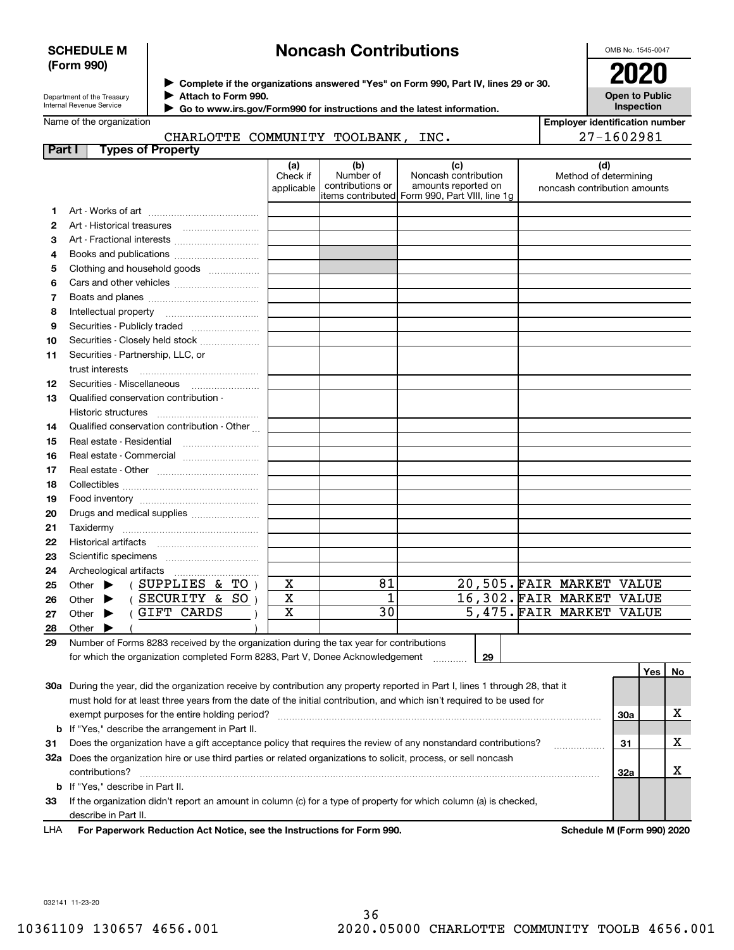### **SCHEDULE M (Form 990)**

# **Noncash Contributions**

OMB No. 1545-0047

**Open to Public Inspection**

| Department of the Treasury |
|----------------------------|
| Internal Revenue Service   |

**Complete if the organizations answered "Yes" on Form 990, Part IV, lines 29 or 30.** <sup>J</sup>**2020**

**Attach to Form 990.** J

 **Go to www.irs.gov/Form990 for instructions and the latest information.** J

Name of the organization

## CHARLOTTE COMMUNITY TOOLBANK, INC.

| <b>Employer identification number</b> |
|---------------------------------------|
| 27-1602981                            |

| Part I | <b>Types of Property</b>                                                                                                       |                               |                                      |                                                                                                      |                                                              |     |     |    |
|--------|--------------------------------------------------------------------------------------------------------------------------------|-------------------------------|--------------------------------------|------------------------------------------------------------------------------------------------------|--------------------------------------------------------------|-----|-----|----|
|        |                                                                                                                                | (a)<br>Check if<br>applicable | (b)<br>Number of<br>contributions or | (c)<br>Noncash contribution<br>amounts reported on<br>items contributed Form 990, Part VIII, line 1g | (d)<br>Method of determining<br>noncash contribution amounts |     |     |    |
| 1      |                                                                                                                                |                               |                                      |                                                                                                      |                                                              |     |     |    |
| 2      |                                                                                                                                |                               |                                      |                                                                                                      |                                                              |     |     |    |
| з      | Art - Fractional interests                                                                                                     |                               |                                      |                                                                                                      |                                                              |     |     |    |
| 4      | Books and publications                                                                                                         |                               |                                      |                                                                                                      |                                                              |     |     |    |
| 5      | Clothing and household goods                                                                                                   |                               |                                      |                                                                                                      |                                                              |     |     |    |
| 6      |                                                                                                                                |                               |                                      |                                                                                                      |                                                              |     |     |    |
| 7      |                                                                                                                                |                               |                                      |                                                                                                      |                                                              |     |     |    |
| 8      | Intellectual property                                                                                                          |                               |                                      |                                                                                                      |                                                              |     |     |    |
| 9      | Securities - Publicly traded                                                                                                   |                               |                                      |                                                                                                      |                                                              |     |     |    |
| 10     | Securities - Closely held stock                                                                                                |                               |                                      |                                                                                                      |                                                              |     |     |    |
| 11     | Securities - Partnership, LLC, or                                                                                              |                               |                                      |                                                                                                      |                                                              |     |     |    |
|        | trust interests                                                                                                                |                               |                                      |                                                                                                      |                                                              |     |     |    |
| 12     | Securities - Miscellaneous                                                                                                     |                               |                                      |                                                                                                      |                                                              |     |     |    |
| 13     | Qualified conservation contribution -                                                                                          |                               |                                      |                                                                                                      |                                                              |     |     |    |
|        | Historic structures                                                                                                            |                               |                                      |                                                                                                      |                                                              |     |     |    |
| 14     | Qualified conservation contribution - Other                                                                                    |                               |                                      |                                                                                                      |                                                              |     |     |    |
| 15     | Real estate - Residential                                                                                                      |                               |                                      |                                                                                                      |                                                              |     |     |    |
| 16     | Real estate - Commercial                                                                                                       |                               |                                      |                                                                                                      |                                                              |     |     |    |
| 17     |                                                                                                                                |                               |                                      |                                                                                                      |                                                              |     |     |    |
| 18     |                                                                                                                                |                               |                                      |                                                                                                      |                                                              |     |     |    |
| 19     |                                                                                                                                |                               |                                      |                                                                                                      |                                                              |     |     |    |
| 20     | Drugs and medical supplies                                                                                                     |                               |                                      |                                                                                                      |                                                              |     |     |    |
| 21     |                                                                                                                                |                               |                                      |                                                                                                      |                                                              |     |     |    |
| 22     |                                                                                                                                |                               |                                      |                                                                                                      |                                                              |     |     |    |
| 23     |                                                                                                                                |                               |                                      |                                                                                                      |                                                              |     |     |    |
| 24     | Archeological artifacts                                                                                                        |                               |                                      |                                                                                                      |                                                              |     |     |    |
| 25     | (SUPPLIES & TO)<br>Other $\blacktriangleright$                                                                                 | X                             | 81                                   |                                                                                                      | 20,505. FAIR MARKET VALUE                                    |     |     |    |
| 26     | (SECURITY & SO)<br>▶<br>Other                                                                                                  | X                             | 1                                    |                                                                                                      | 16,302. FAIR MARKET VALUE                                    |     |     |    |
| 27     | GIFT CARDS<br>Other $\blacktriangleright$                                                                                      | X                             | 30                                   |                                                                                                      | 5,475. FAIR MARKET VALUE                                     |     |     |    |
| 28     | Other                                                                                                                          |                               |                                      |                                                                                                      |                                                              |     |     |    |
| 29     | Number of Forms 8283 received by the organization during the tax year for contributions                                        |                               |                                      |                                                                                                      |                                                              |     |     |    |
|        | for which the organization completed Form 8283, Part V, Donee Acknowledgement                                                  |                               |                                      | 29                                                                                                   |                                                              |     |     |    |
|        |                                                                                                                                |                               |                                      |                                                                                                      |                                                              |     | Yes | No |
|        | 30a During the year, did the organization receive by contribution any property reported in Part I, lines 1 through 28, that it |                               |                                      |                                                                                                      |                                                              |     |     |    |
|        | must hold for at least three years from the date of the initial contribution, and which isn't required to be used for          |                               |                                      |                                                                                                      |                                                              |     |     |    |
|        | exempt purposes for the entire holding period?                                                                                 |                               |                                      |                                                                                                      |                                                              | 30a |     | х  |
|        | <b>b</b> If "Yes," describe the arrangement in Part II.                                                                        |                               |                                      |                                                                                                      |                                                              |     |     |    |
| 31     | Does the organization have a gift acceptance policy that requires the review of any nonstandard contributions?                 |                               |                                      |                                                                                                      |                                                              | 31  |     | х  |
|        | 32a Does the organization hire or use third parties or related organizations to solicit, process, or sell noncash              |                               |                                      |                                                                                                      |                                                              |     |     |    |
|        | contributions?                                                                                                                 |                               |                                      |                                                                                                      |                                                              | 32a |     | х  |
|        | <b>b</b> If "Yes," describe in Part II.                                                                                        |                               |                                      |                                                                                                      |                                                              |     |     |    |

**33**If the organization didn't report an amount in column (c) for a type of property for which column (a) is checked, describe in Part II.

**For Paperwork Reduction Act Notice, see the Instructions for Form 990. Schedule M (Form 990) 2020** LHA

032141 11-23-20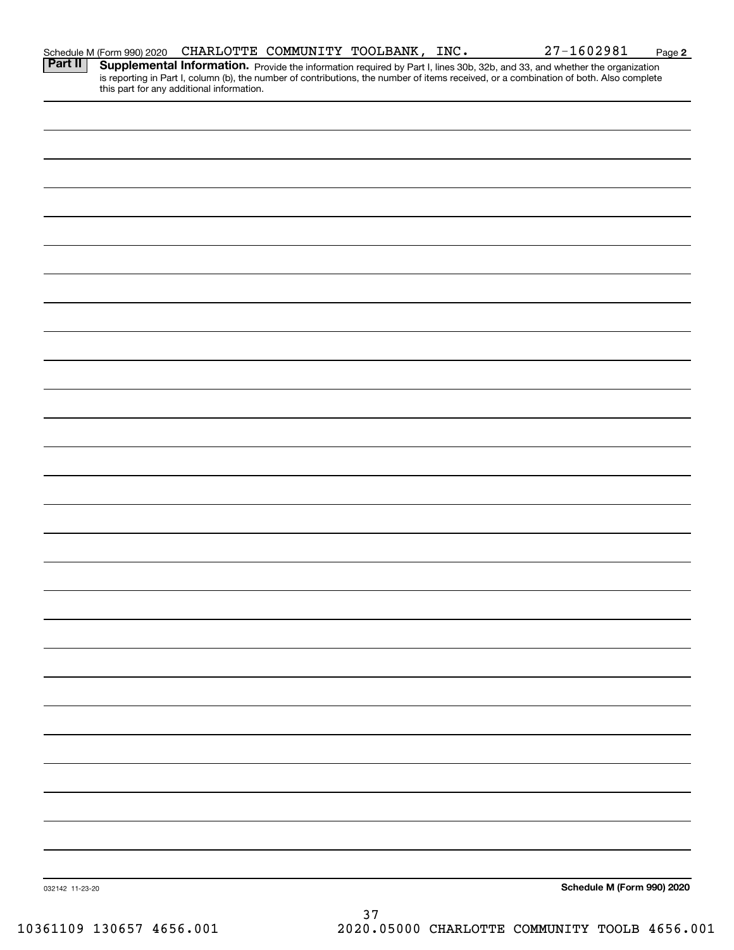| <b>Supplemental Information.</b> Provide the information required by Part I, lines 30b, 32b, and 33, and whether the organization is reporting in Part I, column (b), the number of contributions, the number of items received, or<br>this part for any additional information.<br>Schedule M (Form 990) 2020<br>032142 11-23-20 |                | Schedule M (Form 990) 2020 |  | CHARLOTTE COMMUNITY TOOLBANK, INC. | 27-1602981 | Page 2 |
|-----------------------------------------------------------------------------------------------------------------------------------------------------------------------------------------------------------------------------------------------------------------------------------------------------------------------------------|----------------|----------------------------|--|------------------------------------|------------|--------|
|                                                                                                                                                                                                                                                                                                                                   | <b>Part II</b> |                            |  |                                    |            |        |
|                                                                                                                                                                                                                                                                                                                                   |                |                            |  |                                    |            |        |
|                                                                                                                                                                                                                                                                                                                                   |                |                            |  |                                    |            |        |
|                                                                                                                                                                                                                                                                                                                                   |                |                            |  |                                    |            |        |
|                                                                                                                                                                                                                                                                                                                                   |                |                            |  |                                    |            |        |
|                                                                                                                                                                                                                                                                                                                                   |                |                            |  |                                    |            |        |
|                                                                                                                                                                                                                                                                                                                                   |                |                            |  |                                    |            |        |
|                                                                                                                                                                                                                                                                                                                                   |                |                            |  |                                    |            |        |
|                                                                                                                                                                                                                                                                                                                                   |                |                            |  |                                    |            |        |
|                                                                                                                                                                                                                                                                                                                                   |                |                            |  |                                    |            |        |
|                                                                                                                                                                                                                                                                                                                                   |                |                            |  |                                    |            |        |
|                                                                                                                                                                                                                                                                                                                                   |                |                            |  |                                    |            |        |
|                                                                                                                                                                                                                                                                                                                                   |                |                            |  |                                    |            |        |
|                                                                                                                                                                                                                                                                                                                                   |                |                            |  |                                    |            |        |
|                                                                                                                                                                                                                                                                                                                                   |                |                            |  |                                    |            |        |
|                                                                                                                                                                                                                                                                                                                                   |                |                            |  |                                    |            |        |
|                                                                                                                                                                                                                                                                                                                                   |                |                            |  |                                    |            |        |
|                                                                                                                                                                                                                                                                                                                                   |                |                            |  |                                    |            |        |
|                                                                                                                                                                                                                                                                                                                                   |                |                            |  |                                    |            |        |
|                                                                                                                                                                                                                                                                                                                                   |                |                            |  |                                    |            |        |
|                                                                                                                                                                                                                                                                                                                                   |                |                            |  |                                    |            |        |
|                                                                                                                                                                                                                                                                                                                                   |                |                            |  |                                    |            |        |
|                                                                                                                                                                                                                                                                                                                                   |                |                            |  |                                    |            |        |
|                                                                                                                                                                                                                                                                                                                                   |                |                            |  |                                    |            |        |
|                                                                                                                                                                                                                                                                                                                                   |                |                            |  |                                    |            |        |
|                                                                                                                                                                                                                                                                                                                                   |                |                            |  |                                    |            |        |
|                                                                                                                                                                                                                                                                                                                                   |                |                            |  |                                    |            |        |
|                                                                                                                                                                                                                                                                                                                                   |                |                            |  |                                    |            |        |
|                                                                                                                                                                                                                                                                                                                                   |                |                            |  | 37                                 |            |        |